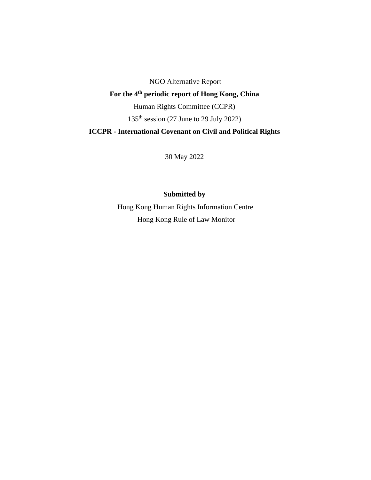NGO Alternative Report **For the 4th periodic report of Hong Kong, China** Human Rights Committee (CCPR) 135<sup>th</sup> session (27 June to 29 July 2022) **ICCPR - International Covenant on Civil and Political Rights**

30 May 2022

# **Submitted by**

Hong Kong Human Rights Information Centre Hong Kong Rule of Law Monitor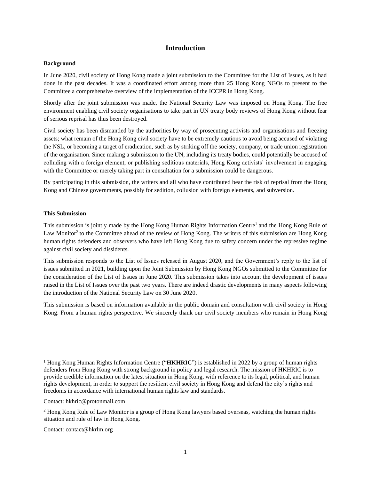### **Introduction**

#### **Background**

In June 2020, civil society of Hong Kong made a joint submission to the Committee for the List of Issues, as it had done in the past decades. It was a coordinated effort among more than 25 Hong Kong NGOs to present to the Committee a comprehensive overview of the implementation of the ICCPR in Hong Kong.

Shortly after the joint submission was made, the National Security Law was imposed on Hong Kong. The free environment enabling civil society organisations to take part in UN treaty body reviews of Hong Kong without fear of serious reprisal has thus been destroyed.

Civil society has been dismantled by the authorities by way of prosecuting activists and organisations and freezing assets; what remain of the Hong Kong civil society have to be extremely cautious to avoid being accused of violating the NSL, or becoming a target of eradication, such as by striking off the society, company, or trade union registration of the organisation. Since making a submission to the UN, including its treaty bodies, could potentially be accused of colluding with a foreign element, or publishing seditious materials, Hong Kong activists' involvement in engaging with the Committee or merely taking part in consultation for a submission could be dangerous.

By participating in this submission, the writers and all who have contributed bear the risk of reprisal from the Hong Kong and Chinese governments, possibly for sedition, collusion with foreign elements, and subversion.

#### **This Submission**

This submission is jointly made by the Hong Kong Human Rights Information Centre<sup>1</sup> and the Hong Kong Rule of Law Monitor<sup>2</sup> to the Committee ahead of the review of Hong Kong. The writers of this submission are Hong Kong human rights defenders and observers who have left Hong Kong due to safety concern under the repressive regime against civil society and dissidents.

This submission responds to the List of Issues released in August 2020, and the Government's reply to the list of issues submitted in 2021, building upon the Joint Submission by Hong Kong NGOs submitted to the Committee for the consideration of the List of Issues in June 2020. This submission takes into account the development of issues raised in the List of Issues over the past two years. There are indeed drastic developments in many aspects following the introduction of the National Security Law on 30 June 2020.

This submission is based on information available in the public domain and consultation with civil society in Hong Kong. From a human rights perspective. We sincerely thank our civil society members who remain in Hong Kong

Contact: hkhric@protonmail.com

Contact: contact@hkrlm.org

<sup>1</sup> Hong Kong Human Rights Information Centre ("**HKHRIC**") is established in 2022 by a group of human rights defenders from Hong Kong with strong background in policy and legal research. The mission of HKHRIC is to provide credible information on the latest situation in Hong Kong, with reference to its legal, political, and human rights development, in order to support the resilient civil society in Hong Kong and defend the city's rights and freedoms in accordance with international human rights law and standards.

<sup>&</sup>lt;sup>2</sup> Hong Kong Rule of Law Monitor is a group of Hong Kong lawyers based overseas, watching the human rights situation and rule of law in Hong Kong.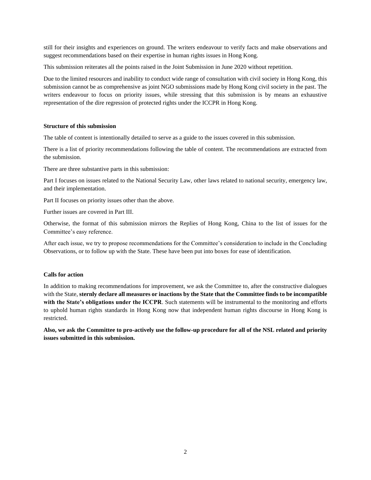still for their insights and experiences on ground. The writers endeavour to verify facts and make observations and suggest recommendations based on their expertise in human rights issues in Hong Kong.

This submission reiterates all the points raised in the Joint Submission in June 2020 without repetition.

Due to the limited resources and inability to conduct wide range of consultation with civil society in Hong Kong, this submission cannot be as comprehensive as joint NGO submissions made by Hong Kong civil society in the past. The writers endeavour to focus on priority issues, while stressing that this submission is by means an exhaustive representation of the dire regression of protected rights under the ICCPR in Hong Kong.

#### **Structure of this submission**

The table of content is intentionally detailed to serve as a guide to the issues covered in this submission.

There is a list of priority recommendations following the table of content. The recommendations are extracted from the submission.

There are three substantive parts in this submission:

Part I focuses on issues related to the National Security Law, other laws related to national security, emergency law, and their implementation.

Part II focuses on priority issues other than the above.

Further issues are covered in Part III.

Otherwise, the format of this submission mirrors the Replies of Hong Kong, China to the list of issues for the Committee's easy reference.

After each issue, we try to propose recommendations for the Committee's consideration to include in the Concluding Observations, or to follow up with the State. These have been put into boxes for ease of identification.

### **Calls for action**

In addition to making recommendations for improvement, we ask the Committee to, after the constructive dialogues with the State, **sternly declare all measures or inactions by the State that the Committee finds to be incompatible with the State's obligations under the ICCPR**. Such statements will be instrumental to the monitoring and efforts to uphold human rights standards in Hong Kong now that independent human rights discourse in Hong Kong is restricted.

**Also, we ask the Committee to pro-actively use the follow-up procedure for all of the NSL related and priority issues submitted in this submission.**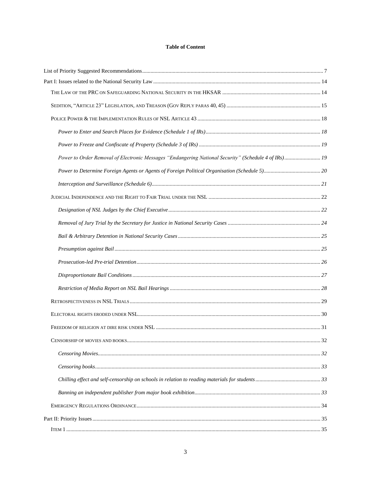### **Table of Content**

| Power to Order Removal of Electronic Messages "Endangering National Security" (Schedule 4 of IRs) 19 |  |
|------------------------------------------------------------------------------------------------------|--|
|                                                                                                      |  |
|                                                                                                      |  |
|                                                                                                      |  |
|                                                                                                      |  |
|                                                                                                      |  |
|                                                                                                      |  |
|                                                                                                      |  |
|                                                                                                      |  |
|                                                                                                      |  |
|                                                                                                      |  |
|                                                                                                      |  |
|                                                                                                      |  |
|                                                                                                      |  |
|                                                                                                      |  |
|                                                                                                      |  |
|                                                                                                      |  |
|                                                                                                      |  |
|                                                                                                      |  |
|                                                                                                      |  |
|                                                                                                      |  |
|                                                                                                      |  |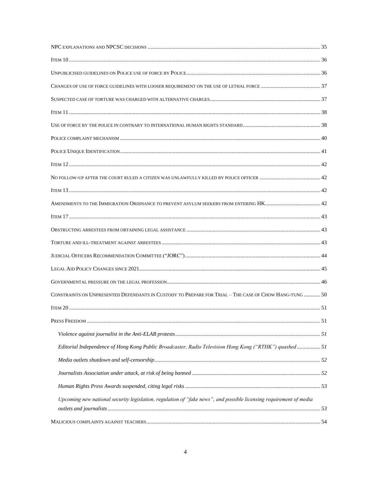| CONSTRAINTS ON UNPRESENTED DEFENDANTS IN CUSTODY TO PREPARE FOR TRIAL - THE CASE OF CHOW HANG-TUNG  50             |  |
|--------------------------------------------------------------------------------------------------------------------|--|
|                                                                                                                    |  |
|                                                                                                                    |  |
|                                                                                                                    |  |
| Editorial Independence of Hong Kong Public Broadcaster, Radio Television Hong Kong ("RTHK") quashed51              |  |
|                                                                                                                    |  |
|                                                                                                                    |  |
|                                                                                                                    |  |
| Upcoming new national security legislation, regulation of "fake news", and possible licensing requirement of media |  |
|                                                                                                                    |  |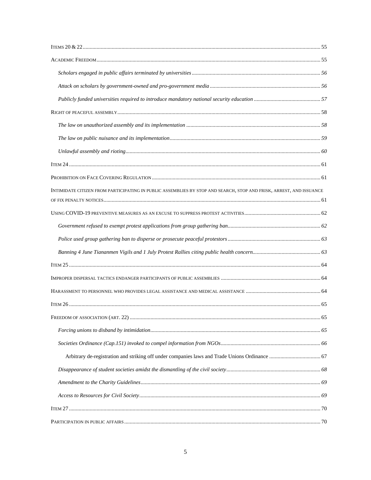| INTIMIDATE CITIZEN FROM PARTICIPATING IN PUBLIC ASSEMBLIES BY STOP AND SEARCH, STOP AND FRISK, ARREST, AND ISSUANCE |  |
|---------------------------------------------------------------------------------------------------------------------|--|
|                                                                                                                     |  |
|                                                                                                                     |  |
|                                                                                                                     |  |
|                                                                                                                     |  |
|                                                                                                                     |  |
|                                                                                                                     |  |
|                                                                                                                     |  |
|                                                                                                                     |  |
|                                                                                                                     |  |
|                                                                                                                     |  |
|                                                                                                                     |  |
|                                                                                                                     |  |
|                                                                                                                     |  |
|                                                                                                                     |  |
|                                                                                                                     |  |
|                                                                                                                     |  |
|                                                                                                                     |  |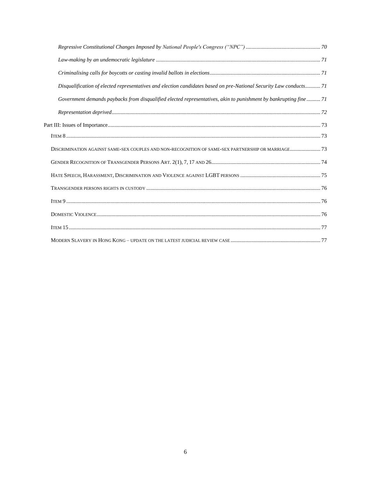<span id="page-6-0"></span>

| Disqualification of elected representatives and election candidates based on pre-National Security Law conducts71 |  |
|-------------------------------------------------------------------------------------------------------------------|--|
| Government demands paybacks from disqualified elected representatives, akin to punishment by bankrupting fine  71 |  |
|                                                                                                                   |  |
|                                                                                                                   |  |
|                                                                                                                   |  |
| DISCRIMINATION AGAINST SAME-SEX COUPLES AND NON-RECOGNITION OF SAME-SEX PARTNERSHIP OR MARRIAGE 73                |  |
|                                                                                                                   |  |
|                                                                                                                   |  |
|                                                                                                                   |  |
|                                                                                                                   |  |
|                                                                                                                   |  |
|                                                                                                                   |  |
|                                                                                                                   |  |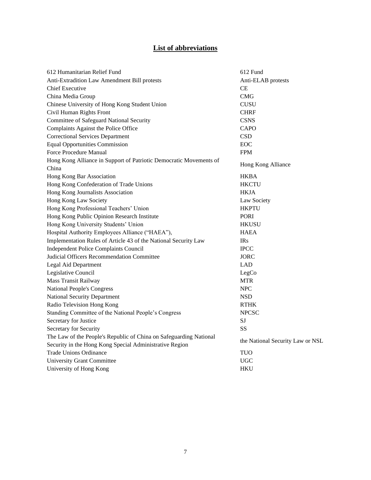# **List of abbreviations**

| 612 Humanitarian Relief Fund                                       | 612 Fund                         |  |
|--------------------------------------------------------------------|----------------------------------|--|
| Anti-Extradition Law Amendment Bill protests                       | Anti-ELAB protests               |  |
| <b>Chief Executive</b>                                             | CE                               |  |
| China Media Group                                                  | <b>CMG</b>                       |  |
| Chinese University of Hong Kong Student Union                      | <b>CUSU</b>                      |  |
| Civil Human Rights Front                                           | <b>CHRF</b>                      |  |
| Committee of Safeguard National Security                           | <b>CSNS</b>                      |  |
| Complaints Against the Police Office                               | <b>CAPO</b>                      |  |
| <b>Correctional Services Department</b>                            | <b>CSD</b>                       |  |
| <b>Equal Opportunities Commission</b>                              | EOC                              |  |
| Force Procedure Manual                                             | <b>FPM</b>                       |  |
| Hong Kong Alliance in Support of Patriotic Democratic Movements of | Hong Kong Alliance               |  |
| China                                                              |                                  |  |
| Hong Kong Bar Association                                          | <b>HKBA</b>                      |  |
| Hong Kong Confederation of Trade Unions                            | <b>HKCTU</b>                     |  |
| Hong Kong Journalists Association                                  | <b>HKJA</b>                      |  |
| Hong Kong Law Society                                              | Law Society                      |  |
| Hong Kong Professional Teachers' Union                             | <b>HKPTU</b>                     |  |
| Hong Kong Public Opinion Research Institute                        | <b>PORI</b>                      |  |
| Hong Kong University Students' Union                               | <b>HKUSU</b>                     |  |
| Hospital Authority Employees Alliance ("HAEA"),                    | <b>HAEA</b>                      |  |
| Implementation Rules of Article 43 of the National Security Law    | <b>IRs</b>                       |  |
| <b>Independent Police Complaints Council</b>                       | <b>IPCC</b>                      |  |
| Judicial Officers Recommendation Committee                         | <b>JORC</b>                      |  |
| Legal Aid Department                                               | <b>LAD</b>                       |  |
| Legislative Council                                                | LegCo                            |  |
| <b>Mass Transit Railway</b>                                        | <b>MTR</b>                       |  |
| <b>National People's Congress</b>                                  | <b>NPC</b>                       |  |
| <b>National Security Department</b>                                | <b>NSD</b>                       |  |
| Radio Television Hong Kong                                         | <b>RTHK</b>                      |  |
| Standing Committee of the National People's Congress               | <b>NPCSC</b>                     |  |
| Secretary for Justice                                              | <b>SJ</b>                        |  |
| Secretary for Security                                             | SS                               |  |
| The Law of the People's Republic of China on Safeguarding National | the National Security Law or NSL |  |
| Security in the Hong Kong Special Administrative Region            |                                  |  |
| <b>Trade Unions Ordinance</b>                                      | <b>TUO</b>                       |  |
| <b>University Grant Committee</b>                                  | <b>UGC</b>                       |  |
| University of Hong Kong                                            | <b>HKU</b>                       |  |
|                                                                    |                                  |  |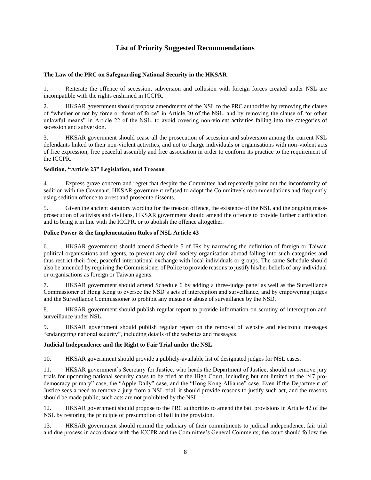# **List of Priority Suggested Recommendations**

### **The Law of the PRC on Safeguarding National Security in the HKSAR**

1. Reiterate the offence of secession, subversion and collusion with foreign forces created under NSL are incompatible with the rights enshrined in ICCPR.

2. HKSAR government should propose amendments of the NSL to the PRC authorities by removing the clause of "whether or not by force or threat of force" in Article 20 of the NSL, and by removing the clause of "or other unlawful means" in Article 22 of the NSL, to avoid covering non-violent activities falling into the categories of secession and subversion.

3. HKSAR government should cease all the prosecution of secession and subversion among the current NSL defendants linked to their non-violent activities, and not to charge individuals or organisations with non-violent acts of free expression, free peaceful assembly and free association in order to conform its practice to the requirement of the ICCPR.

### **Sedition, "Article 23" Legislation, and Treason**

4. Express grave concern and regret that despite the Committee had repeatedly point out the inconformity of sedition with the Covenant, HKSAR government refused to adopt the Committee's recommendations and frequently using sedition offence to arrest and prosecute dissents.

5. Given the ancient statutory wording for the treason offence, the existence of the NSL and the ongoing massprosecution of activists and civilians, HKSAR government should amend the offence to provide further clarification and to bring it in line with the ICCPR, or to abolish the offence altogether.

### **Police Power & the Implementation Rules of NSL Article 43**

6. HKSAR government should amend Schedule 5 of IRs by narrowing the definition of foreign or Taiwan political organisations and agents, to prevent any civil society organisation abroad falling into such categories and thus restrict their free, peaceful international exchange with local individuals or groups. The same Schedule should also be amended by requiring the Commissioner of Police to provide reasons to justify his/her beliefs of any individual or organisations as foreign or Taiwan agents.

7. HKSAR government should amend Schedule 6 by adding a three-judge panel as well as the Surveillance Commissioner of Hong Kong to oversee the NSD's acts of interception and surveillance, and by empowering judges and the Surveillance Commissioner to prohibit any misuse or abuse of surveillance by the NSD.

8. HKSAR government should publish regular report to provide information on scrutiny of interception and surveillance under NSL.

9. HKSAR government should publish regular report on the removal of website and electronic messages "endangering national security", including details of the websites and messages.

### **Judicial Independence and the Right to Fair Trial under the NSL**

10. HKSAR government should provide a publicly-available list of designated judges for NSL cases.

11. HKSAR government's Secretary for Justice, who heads the Department of Justice, should not remove jury trials for upcoming national security cases to be tried at the High Court, including but not limited to the "47 prodemocracy primary" case, the "Apple Daily" case, and the "Hong Kong Alliance" case. Even if the Department of Justice sees a need to remove a jury from a NSL trial, it should provide reasons to justify such act, and the reasons should be made public; such acts are not prohibited by the NSL.

12. HKSAR government should propose to the PRC authorities to amend the bail provisions in Article 42 of the NSL by restoring the principle of presumption of bail in the provision.

13. HKSAR government should remind the judiciary of their commitments to judicial independence, fair trial and due process in accordance with the ICCPR and the Committee's General Comments; the court should follow the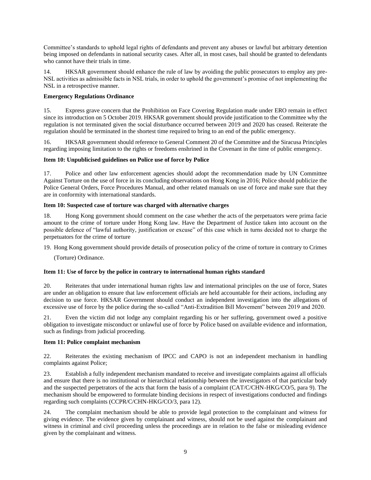Committee's standards to uphold legal rights of defendants and prevent any abuses or lawful but arbitrary detention being imposed on defendants in national security cases. After all, in most cases, bail should be granted to defendants who cannot have their trials in time.

14. HKSAR government should enhance the rule of law by avoiding the public prosecutors to employ any pre-NSL activities as admissible facts in NSL trials, in order to uphold the government's promise of not implementing the NSL in a retrospective manner.

### **Emergency Regulations Ordinance**

15. Express grave concern that the Prohibition on Face Covering Regulation made under ERO remain in effect since its introduction on 5 October 2019. HKSAR government should provide justification to the Committee why the regulation is not terminated given the social disturbance occurred between 2019 and 2020 has ceased. Reiterate the regulation should be terminated in the shortest time required to bring to an end of the public emergency.

16. HKSAR government should reference to General Comment 20 of the Committee and the Siracusa Principles regarding imposing limitation to the rights or freedoms enshrined in the Covenant in the time of public emergency.

### **Item 10: Unpublicised guidelines on Police use of force by Police**

17. Police and other law enforcement agencies should adopt the recommendation made by UN Committee Against Torture on the use of force in its concluding observations on Hong Kong in 2016; Police should publicize the Police General Orders, Force Procedures Manual, and other related manuals on use of force and make sure that they are in conformity with international standards.

### **Item 10: Suspected case of torture was charged with alternative charges**

18. Hong Kong government should comment on the case whether the acts of the perpetuators were prima facie amount to the crime of torture under Hong Kong law. Have the Department of Justice taken into account on the possible defence of "lawful authority, justification or excuse" of this case which in turns decided not to charge the perpetuators for the crime of torture

19. Hong Kong government should provide details of prosecution policy of the crime of torture in contrary to Crimes

(Torture) Ordinance.

# **Item 11: Use of force by the police in contrary to international human rights standard**

20. Reiterates that under international human rights law and international principles on the use of force, States are under an obligation to ensure that law enforcement officials are held accountable for their actions, including any decision to use force. HKSAR Government should conduct an independent investigation into the allegations of excessive use of force by the police during the so-called "Anti-Extradition Bill Movement" between 2019 and 2020.

21. Even the victim did not lodge any complaint regarding his or her suffering, government owed a positive obligation to investigate misconduct or unlawful use of force by Police based on available evidence and information, such as findings from judicial proceeding.

### **Item 11: Police complaint mechanism**

22. Reiterates the existing mechanism of IPCC and CAPO is not an independent mechanism in handling complaints against Police;

23. Establish a fully independent mechanism mandated to receive and investigate complaints against all officials and ensure that there is no institutional or hierarchical relationship between the investigators of that particular body and the suspected perpetrators of the acts that form the basis of a complaint (CAT/C/CHN-HKG/CO/5, para 9). The mechanism should be empowered to formulate binding decisions in respect of investigations conducted and findings regarding such complaints (CCPR/C/CHN-HKG/CO/3, para 12).

24. The complaint mechanism should be able to provide legal protection to the complainant and witness for giving evidence. The evidence given by complainant and witness, should not be used against the complainant and witness in criminal and civil proceeding unless the proceedings are in relation to the false or misleading evidence given by the complainant and witness.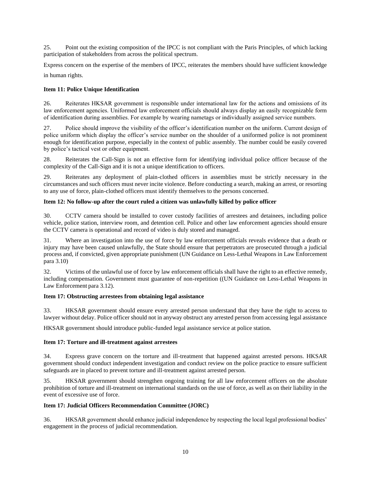25. Point out the existing composition of the IPCC is not compliant with the Paris Principles, of which lacking participation of stakeholders from across the political spectrum.

Express concern on the expertise of the members of IPCC, reiterates the members should have sufficient knowledge

in human rights.

### **Item 11: Police Unique Identification**

26. Reiterates HKSAR government is responsible under international law for the actions and omissions of its law enforcement agencies. Uniformed law enforcement officials should always display an easily recognizable form of identification during assemblies. For example by wearing nametags or individually assigned service numbers.

27. Police should improve the visibility of the officer's identification number on the uniform. Current design of police uniform which display the officer's service number on the shoulder of a uniformed police is not prominent enough for identification purpose, especially in the context of public assembly. The number could be easily covered by police's tactical vest or other equipment.

28. Reiterates the Call-Sign is not an effective form for identifying individual police officer because of the complexity of the Call-Sign and it is not a unique identification to officers.

29. Reiterates any deployment of plain-clothed officers in assemblies must be strictly necessary in the circumstances and such officers must never incite violence. Before conducting a search, making an arrest, or resorting to any use of force, plain-clothed officers must identify themselves to the persons concerned.

### **Item 12: No follow-up after the court ruled a citizen was unlawfully killed by police officer**

30. CCTV camera should be installed to cover custody facilities of arrestees and detainees, including police vehicle, police station, interview room, and detention cell. Police and other law enforcement agencies should ensure the CCTV camera is operational and record of video is duly stored and managed.

31. Where an investigation into the use of force by law enforcement officials reveals evidence that a death or injury may have been caused unlawfully, the State should ensure that perpetrators are prosecuted through a judicial process and, if convicted, given appropriate punishment (UN Guidance on Less-Lethal Weapons in Law Enforcement para 3.10)

32. Victims of the unlawful use of force by law enforcement officials shall have the right to an effective remedy, including compensation. Government must guarantee of non-repetition ((UN Guidance on Less-Lethal Weapons in Law Enforcement para 3.12).

### **Item 17: Obstructing arrestees from obtaining legal assistance**

33. HKSAR government should ensure every arrested person understand that they have the right to access to lawyer without delay. Police officer should not in anyway obstruct any arrested person from accessing legal assistance

HKSAR government should introduce public-funded legal assistance service at police station.

### **Item 17: Torture and ill-treatment against arrestees**

34. Express grave concern on the torture and ill-treatment that happened against arrested persons. HKSAR government should conduct independent investigation and conduct review on the police practice to ensure sufficient safeguards are in placed to prevent torture and ill-treatment against arrested person.

35. HKSAR government should strengthen ongoing training for all law enforcement officers on the absolute prohibition of torture and ill-treatment on international standards on the use of force, as well as on their liability in the event of excessive use of force.

# **Item 17: Judicial Officers Recommendation Committee (JORC)**

36. HKSAR government should enhance judicial independence by respecting the local legal professional bodies' engagement in the process of judicial recommendation.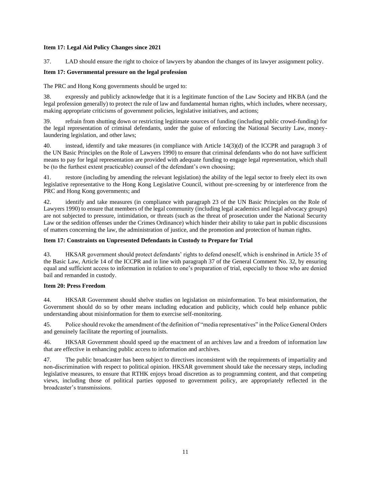### **Item 17: Legal Aid Policy Changes since 2021**

37. LAD should ensure the right to choice of lawyers by abandon the changes of its lawyer assignment policy.

### **Item 17: Governmental pressure on the legal profession**

The PRC and Hong Kong governments should be urged to:

38. expressly and publicly acknowledge that it is a legitimate function of the Law Society and HKBA (and the legal profession generally) to protect the rule of law and fundamental human rights, which includes, where necessary, making appropriate criticisms of government policies, legislative initiatives, and actions;

39. refrain from shutting down or restricting legitimate sources of funding (including public crowd-funding) for the legal representation of criminal defendants, under the guise of enforcing the National Security Law, moneylaundering legislation, and other laws;

40. instead, identify and take measures (in compliance with Article 14(3)(d) of the ICCPR and paragraph 3 of the UN Basic Principles on the Role of Lawyers 1990) to ensure that criminal defendants who do not have sufficient means to pay for legal representation are provided with adequate funding to engage legal representation, which shall be (to the furthest extent practicable) counsel of the defendant's own choosing;

41. restore (including by amending the relevant legislation) the ability of the legal sector to freely elect its own legislative representative to the Hong Kong Legislative Council, without pre-screening by or interference from the PRC and Hong Kong governments; and

42. identify and take measures (in compliance with paragraph 23 of the UN Basic Principles on the Role of Lawyers 1990) to ensure that members of the legal community (including legal academics and legal advocacy groups) are not subjected to pressure, intimidation, or threats (such as the threat of prosecution under the National Security Law or the sedition offenses under the Crimes Ordinance) which hinder their ability to take part in public discussions of matters concerning the law, the administration of justice, and the promotion and protection of human rights.

### **Item 17: Constraints on Unpresented Defendants in Custody to Prepare for Trial**

43. HKSAR government should protect defendants' rights to defend oneself, which is enshrined in Article 35 of the Basic Law, Article 14 of the ICCPR and in line with paragraph 37 of the General Comment No. 32, by ensuring equal and sufficient access to information in relation to one's preparation of trial, especially to those who are denied bail and remanded in custody.

#### **Item 20: Press Freedom**

44. HKSAR Government should shelve studies on legislation on misinformation. To beat misinformation, the Government should do so by other means including education and publicity, which could help enhance public understanding about misinformation for them to exercise self-monitoring.

45. Police should revoke the amendment of the definition of "media representatives" in the Police General Orders and genuinely facilitate the reporting of journalists.

46. HKSAR Government should speed up the enactment of an archives law and a freedom of information law that are effective in enhancing public access to information and archives.

47. The public broadcaster has been subject to directives inconsistent with the requirements of impartiality and non‑discrimination with respect to political opinion. HKSAR government should take the necessary steps, including legislative measures, to ensure that RTHK enjoys broad discretion as to programming content, and that competing views, including those of political parties opposed to government policy, are appropriately reflected in the broadcaster's transmissions.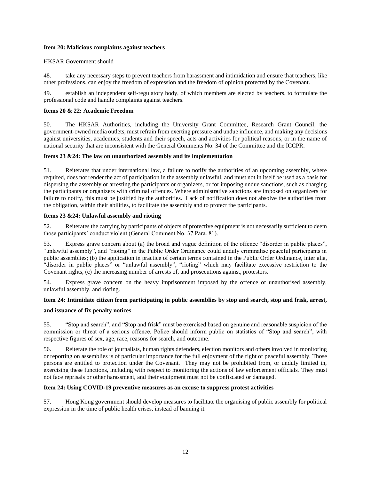#### **Item 20: Malicious complaints against teachers**

### HKSAR Government should

48. take any necessary steps to prevent teachers from harassment and intimidation and ensure that teachers, like other professions, can enjoy the freedom of expression and the freedom of opinion protected by the Covenant.

49. establish an independent self-regulatory body, of which members are elected by teachers, to formulate the professional code and handle complaints against teachers.

### **Items 20 & 22: Academic Freedom**

50. The HKSAR Authorities, including the University Grant Committee, Research Grant Council, the government-owned media outlets, must refrain from exerting pressure and undue influence, and making any decisions against universities, academics, students and their speech, acts and activities for political reasons, or in the name of national security that are inconsistent with the General Comments No. 34 of the Committee and the ICCPR.

#### **Items 23 &24: The law on unauthorized assembly and its implementation**

51. Reiterates that under international law, a failure to notify the authorities of an upcoming assembly, where required, does not render the act of participation in the assembly unlawful, and must not in itself be used as a basis for dispersing the assembly or arresting the participants or organizers, or for imposing undue sanctions, such as charging the participants or organizers with criminal offences. Where administrative sanctions are imposed on organizers for failure to notify, this must be justified by the authorities. Lack of notification does not absolve the authorities from the obligation, within their abilities, to facilitate the assembly and to protect the participants.

#### **Items 23 &24: Unlawful assembly and rioting**

52. Reiterates the carrying by participants of objects of protective equipment is not necessarily sufficient to deem those participants' conduct violent (General Comment No. 37 Para. 81).

53. Express grave concern about (a) the broad and vague definition of the offence "disorder in public places", "unlawful assembly", and "rioting" in the Public Order Ordinance could unduly criminalise peaceful participants in public assemblies; (b) the application in practice of certain terms contained in the Public Order Ordinance, inter alia, "disorder in public places" or "unlawful assembly", "rioting" which may facilitate excessive restriction to the Covenant rights, (c) the increasing number of arrests of, and prosecutions against, protestors.

54. Express grave concern on the heavy imprisonment imposed by the offence of unauthorised assembly, unlawful assembly, and rioting.

### **Item 24: Intimidate citizen from participating in public assemblies by stop and search, stop and frisk, arrest,**

#### **and issuance of fix penalty notices**

55. "Stop and search", and "Stop and frisk" must be exercised based on genuine and reasonable suspicion of the commission or threat of a serious offence. Police should inform public on statistics of "Stop and search", with respective figures of sex, age, race, reasons for search, and outcome.

56. Reiterate the role of journalists, human rights defenders, election monitors and others involved in monitoring or reporting on assemblies is of particular importance for the full enjoyment of the right of peaceful assembly. Those persons are entitled to protection under the Covenant. They may not be prohibited from, or unduly limited in, exercising these functions, including with respect to monitoring the actions of law enforcement officials. They must not face reprisals or other harassment, and their equipment must not be confiscated or damaged.

#### **Item 24: Using COVID-19 preventive measures as an excuse to suppress protest activities**

57. Hong Kong government should develop measures to facilitate the organising of public assembly for political expression in the time of public health crises, instead of banning it.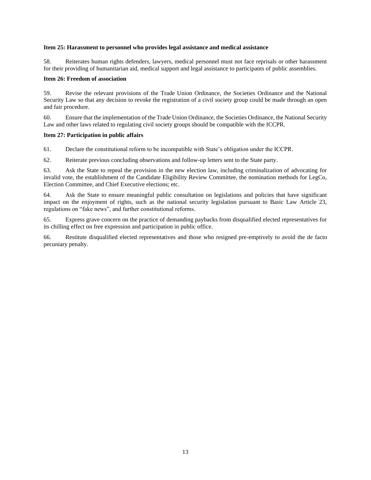#### **Item 25: Harassment to personnel who provides legal assistance and medical assistance**

58. Reiterates human rights defenders, lawyers, medical personnel must not face reprisals or other harassment for their providing of humanitarian aid, medical support and legal assistance to participants of public assemblies.

#### **Item 26: Freedom of association**

59. Revise the relevant provisions of the Trade Union Ordinance, the Societies Ordinance and the National Security Law so that any decision to revoke the registration of a civil society group could be made through an open and fair procedure.

60. Ensure that the implementation of the Trade Union Ordinance, the Societies Ordinance, the National Security Law and other laws related to regulating civil society groups should be compatible with the ICCPR.

#### **Item 27: Participation in public affairs**

61. Declare the constitutional reform to be incompatible with State's obligation under the ICCPR.

62. Reiterate previous concluding observations and follow-up letters sent to the State party.

63. Ask the State to repeal the provision in the new election law, including criminalization of advocating for invalid vote, the establishment of the Candidate Eligibility Review Committee, the nomination methods for LegCo, Election Committee, and Chief Executive elections; etc.

64. Ask the State to ensure meaningful public consultation on legislations and policies that have significant impact on the enjoyment of rights, such as the national security legislation pursuant to Basic Law Article 23, regulations on "fake news", and further constitutional reforms.

65. Express grave concern on the practice of demanding paybacks from disqualified elected representatives for its chilling effect on free expression and participation in public office.

66. Restitute disqualified elected representatives and those who resigned pre-emptively to avoid the de facto pecuniary penalty.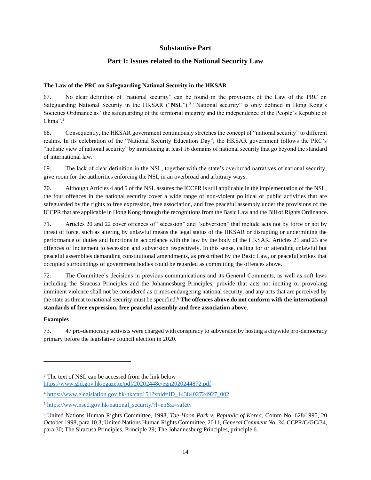# **Substantive Part**

# **Part I: Issues related to the National Security Law**

### <span id="page-14-1"></span><span id="page-14-0"></span>**The Law of the PRC on Safeguarding National Security in the HKSAR**

67. No clear definition of "national security" can be found in the provisions of the Law of the PRC on Safeguarding National Security in the HKSAR ("NSL").<sup>3</sup> "National security" is only defined in Hong Kong's Societies Ordinance as "the safeguarding of the territorial integrity and the independence of the People's Republic of China".<sup>4</sup>

68. Consequently, the HKSAR government continuously stretches the concept of "national security" to different realms. In its celebration of the "National Security Education Day", the HKSAR government follows the PRC's "holistic view of national security" by introducing at least 16 domains of national security that go beyond the standard of international law.<sup>5</sup>

69. The lack of clear definition in the NSL, together with the state's overbroad narratives of national security, give room for the authorities enforcing the NSL in an overbroad and arbitrary ways.

70. Although Articles 4 and 5 of the NSL assures the ICCPR is still applicable in the implementation of the NSL, the four offences in the national security cover a wide range of non-violent political or public activities that are safeguarded by the rights to free expression, free association, and free peaceful assembly under the provisions of the ICCPR that are applicable in Hong Kong through the recognitions from the Basic Law and the Bill of Rights Ordinance.

71. Articles 20 and 22 cover offences of "secession" and "subversion" that include acts not by force or not by threat of force, such as altering by unlawful means the legal status of the HKSAR or disrupting or undermining the performance of duties and functions in accordance with the law by the body of the HKSAR. Articles 21 and 23 are offences of incitement to secession and subversion respectively. In this sense, calling for or attending unlawful but peaceful assemblies demanding constitutional amendments, as prescribed by the Basic Law, or peaceful strikes that occupied surroundings of government bodies could be regarded as committing the offences above.

72. The Committee's decisions in previous communications and its General Comments, as well as soft laws including the Siracusa Principles and the Johannesburg Principles, provide that acts not inciting or provoking imminent violence shall not be considered as crimes endangering national security, and any acts that are perceived by the state as threat to national security must be specified.<sup>6</sup> **The offences above do not conform with the international standards of free expression, free peaceful assembly and free association above**.

### **Examples**

73. 47 pro-democracy activists were charged with conspiracy to subversion by hosting a citywide pro-democracy primary before the legislative council election in 2020.

<sup>&</sup>lt;sup>3</sup> The text of NSL can be accessed from the link below <https://www.gld.gov.hk/egazette/pdf/20202448e/egn2020244872.pdf>

<sup>4</sup> [https://www.elegislation.gov.hk/hk/cap151?xpid=ID\\_1438402724927\\_002](https://www.elegislation.gov.hk/hk/cap151?xpid=ID_1438402724927_002)

 $5 \text{ https://www.nsed.gov.hk/national security?}l=en&a=safety$ 

<sup>6</sup> United Nations Human Rights Committee, 1998, *Tae-Hoon Park v. Republic of Korea*, Comm No. 628/1995, 20 October 1998, para 10.3; United Nations Human Rights Committee, 2011, *General Comment No. 34*, CCPR/C/GC/34, para 30; The Siracusa Principles, Principle 29; The Johannesburg Principles, principle 6.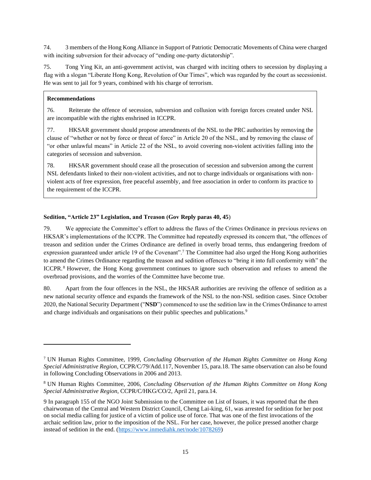74. 3 members of the Hong Kong Alliance in Support of Patriotic Democratic Movements of China were charged with inciting subversion for their advocacy of "ending one-party dictatorship".

75. Tong Ying Kit, an anti-government activist, was charged with inciting others to secession by displaying a flag with a slogan "Liberate Hong Kong, Revolution of Our Times", which was regarded by the court as secessionist. He was sent to jail for 9 years, combined with his charge of terrorism.

### **Recommendations**

76. Reiterate the offence of secession, subversion and collusion with foreign forces created under NSL are incompatible with the rights enshrined in ICCPR.

77. HKSAR government should propose amendments of the NSL to the PRC authorities by removing the clause of "whether or not by force or threat of force" in Article 20 of the NSL, and by removing the clause of "or other unlawful means" in Article 22 of the NSL, to avoid covering non-violent activities falling into the categories of secession and subversion.

78. HKSAR government should cease all the prosecution of secession and subversion among the current NSL defendants linked to their non-violent activities, and not to charge individuals or organisations with nonviolent acts of free expression, free peaceful assembly, and free association in order to conform its practice to the requirement of the ICCPR.

### <span id="page-15-0"></span>**Sedition, "Article 23" Legislation, and Treason (Gov Reply paras 40, 45**)

79. We appreciate the Committee's effort to address the flaws of the Crimes Ordinance in previous reviews on HKSAR's implementations of the ICCPR. The Committee had repeatedly expressed its concern that, "the offences of treason and sedition under the Crimes Ordinance are defined in overly broad terms, thus endangering freedom of expression guaranteed under article 19 of the Covenant".<sup>7</sup> The Committee had also urged the Hong Kong authorities to amend the Crimes Ordinance regarding the treason and sedition offences to "bring it into full conformity with" the ICCPR.<sup>8</sup> However, the Hong Kong government continues to ignore such observation and refuses to amend the overbroad provisions, and the worries of the Committee have become true.

80. Apart from the four offences in the NSL, the HKSAR authorities are reviving the offence of sedition as a new national security offence and expands the framework of the NSL to the non-NSL sedition cases. Since October 2020, the National Security Department ("**NSD**") commenced to use the sedition law in the Crimes Ordinance to arrest and charge individuals and organisations on their public speeches and publications.<sup>9</sup>

<sup>7</sup> UN Human Rights Committee, 1999, *Concluding Observation of the Human Rights Committee on Hong Kong Special Administrative Region*, CCPR/C/79/Add.117, November 15, para.18. The same observation can also be found in following Concluding Observations in 2006 and 2013.

<sup>8</sup> UN Human Rights Committee, 2006, *Concluding Observation of the Human Rights Committee on Hong Kong Special Administrative Region*, CCPR/C/HKG/CO/2, April 21, para.14.

<sup>9</sup> In paragraph 155 of the NGO Joint Submission to the Committee on List of Issues, it was reported that the then chairwoman of the Central and Western District Council, Cheng Lai-king, 61, was arrested for sedition for her post on social media calling for justice of a victim of police use of force. That was one of the first invocations of the archaic sedition law, prior to the imposition of the NSL. For her case, however, the police pressed another charge instead of sedition in the end. [\(https://www.inmediahk.net/node/1078269\)](https://www.inmediahk.net/node/1078269)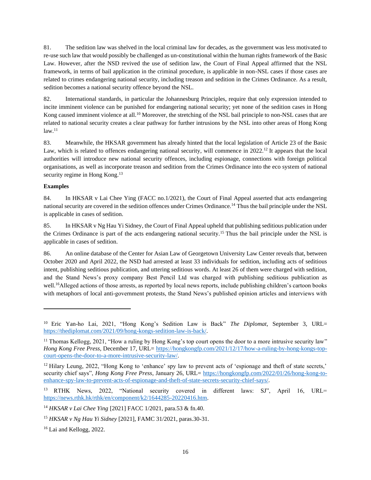81. The sedition law was shelved in the local criminal law for decades, as the government was less motivated to re-use such law that would possibly be challenged as un-constitutional within the human rights framework of the Basic Law. However, after the NSD revived the use of sedition law, the Court of Final Appeal affirmed that the NSL framework, in terms of bail application in the criminal procedure, is applicable in non-NSL cases if those cases are related to crimes endangering national security, including treason and sedition in the Crimes Ordinance. As a result, sedition becomes a national security offence beyond the NSL.

82. International standards, in particular the Johannesburg Principles, require that only expression intended to incite imminent violence can be punished for endangering national security; yet none of the sedition cases in Hong Kong caused imminent violence at all.<sup>10</sup> Moreover, the stretching of the NSL bail principle to non-NSL cases that are related to national security creates a clear pathway for further intrusions by the NSL into other areas of Hong Kong  $law.<sup>11</sup>$ 

83. Meanwhile, the HKSAR government has already hinted that the local legislation of Article 23 of the Basic Law, which is related to offences endangering national security, will commence in 2022.<sup>12</sup> It appears that the local authorities will introduce new national security offences, including espionage, connections with foreign political organisations, as well as incorporate treason and sedition from the Crimes Ordinance into the eco system of national security regime in Hong Kong.<sup>13</sup>

# **Examples**

84. In HKSAR v Lai Chee Ying (FACC no.1/2021), the Court of Final Appeal asserted that acts endangering national security are covered in the sedition offences under Crimes Ordinance.<sup>14</sup> Thus the bail principle under the NSL is applicable in cases of sedition.

85. In HKSAR v Ng Hau Yi Sidney, the Court of Final Appeal upheld that publishing seditious publication under the Crimes Ordinance is part of the acts endangering national security.<sup>15</sup> Thus the bail principle under the NSL is applicable in cases of sedition.

86. An online database of the Center for Asian Law of Georgetown University Law Center reveals that, between October 2020 and April 2022, the NSD had arrested at least 33 individuals for sedition, including acts of seditious intent, publishing seditious publication, and uttering seditious words. At least 26 of them were charged with sedition, and the Stand News's proxy company Best Pencil Ltd was charged with publishing seditious publication as well.<sup>16</sup>Alleged actions of those arrests, as reported by local news reports, include publishing children's cartoon books with metaphors of local anti-government protests, the Stand News's published opinion articles and interviews with

<sup>10</sup> Eric Yan-ho Lai, 2021, "Hong Kong's Sedition Law is Back" *The Diplomat,* September 3, URL= [https://thediplomat.com/2021/09/hong-kongs-sedition-law-is-back/.](https://thediplomat.com/2021/09/hong-kongs-sedition-law-is-back/)

<sup>&</sup>lt;sup>11</sup> Thomas Kellogg, 2021, "How a ruling by Hong Kong's top court opens the door to a more intrusive security law" *Hong Kong Free Press*, December 17, URL= [https://hongkongfp.com/2021/12/17/how-a-ruling-by-hong-kongs-top](https://hongkongfp.com/2021/12/17/how-a-ruling-by-hong-kongs-top-court-opens-the-door-to-a-more-intrusive-security-law/)[court-opens-the-door-to-a-more-intrusive-security-law/.](https://hongkongfp.com/2021/12/17/how-a-ruling-by-hong-kongs-top-court-opens-the-door-to-a-more-intrusive-security-law/)

<sup>&</sup>lt;sup>12</sup> Hilary Leung, 2022, "Hong Kong to 'enhance' spy law to prevent acts of 'espionage and theft of state secrets,' security chief says", *Hong Kong Free Press*, January 26, URL= [https://hongkongfp.com/2022/01/26/hong-kong-to](https://hongkongfp.com/2022/01/26/hong-kong-to-enhance-spy-law-to-prevent-acts-of-espionage-and-theft-of-state-secrets-security-chief-says/)[enhance-spy-law-to-prevent-acts-of-espionage-and-theft-of-state-secrets-security-chief-says/.](https://hongkongfp.com/2022/01/26/hong-kong-to-enhance-spy-law-to-prevent-acts-of-espionage-and-theft-of-state-secrets-security-chief-says/)

<sup>&</sup>lt;sup>13</sup> RTHK News, 2022, "National security covered in different laws: SJ", April 16, URL= [https://news.rthk.hk/rthk/en/component/k2/1644285-20220416.htm.](https://news.rthk.hk/rthk/en/component/k2/1644285-20220416.htm)

<sup>14</sup> *HKSAR v Lai Chee Ying* [2021] FACC 1/2021, para.53 & fn.40.

<sup>15</sup> *HKSAR v Ng Hau Yi Sidney* [2021], FAMC 31/2021, paras.30-31.

<sup>16</sup> Lai and Kellogg, 2022.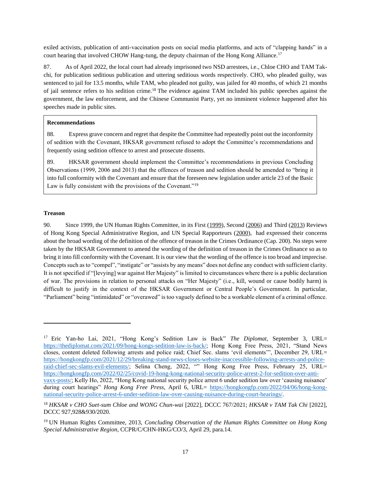exiled activists, publication of anti-vaccination posts on social media platforms, and acts of "clapping hands" in a court hearing that involved CHOW Hang-tung, the deputy chairman of the Hong Kong Alliance.<sup>17</sup>

87. As of April 2022, the local court had already imprisoned two NSD arrestees, i.e., Chloe CHO and TAM Takchi, for publication seditious publication and uttering seditious words respectively. CHO, who pleaded guilty, was sentenced to jail for 13.5 months, while TAM, who pleaded not guilty, was jailed for 40 months, of which 21 months of jail sentence refers to his sedition crime.<sup>18</sup> The evidence against TAM included his public speeches against the government, the law enforcement, and the Chinese Communist Party, yet no imminent violence happened after his speeches made in public sites.

### **Recommendations**

88. Express grave concern and regret that despite the Committee had repeatedly point out the inconformity of sedition with the Covenant, HKSAR government refused to adopt the Committee's recommendations and frequently using sedition offence to arrest and prosecute dissents.

89. HKSAR government should implement the Committee's recommendations in previous Concluding Observations (1999, 2006 and 2013) that the offences of treason and sedition should be amended to "bring it into full conformity with the Covenant and ensure that the foreseen new legislation under article 23 of the Basic Law is fully consistent with the provisions of the Covenant."<sup>19</sup>

### **Treason**

90. Since 1999, the UN Human Rights Committee, in its First [\(1999\)](https://www.refworld.org/docid/3ae6b03c10.html), Second [\(2006\)](https://www.refworld.org/docid/453777a70.html) and Third [\(2013\)](https://www.refworld.org/publisher,HRC,CONCOBSERVATIONS,HKG,539031324,0.html) Reviews of Hong Kong Special Administrative Region, and UN Special Rapporteurs [\(2000\)](https://spcommreports.ohchr.org/TMResultsBase/DownLoadPublicCommunicationFile?gId=25196), had expressed their concerns about the broad wording of the definition of the offence of treason in the Crimes Ordinance (Cap. 200). No steps were taken by the HKSAR Government to amend the wording of the definition of treason in the Crimes Ordinance so as to bring it into fill conformity with the Covenant. It is our view that the wording of the offence is too broad and imprecise. Concepts such as to "compel", "instigate" or "assists by any means" does not define any conduct with sufficient clarity. It is not specified if "[levying] war against Her Majesty" is limited to circumstances where there is a public declaration of war. The provisions in relation to personal attacks on "Her Majesty" (i.e., kill, wound or cause bodily harm) is difficult to justify in the context of the HKSAR Government or Central People's Government. In particular, "Parliament" being "intimidated" or "overawed" is too vaguely defined to be a workable element of a criminal offence.

<sup>17</sup> Eric Yan-ho Lai, 2021, "Hong Kong's Sedition Law is Back" *The Diplomat,* September 3, URL= [https://thediplomat.com/2021/09/hong-kongs-sedition-law-is-back/;](https://thediplomat.com/2021/09/hong-kongs-sedition-law-is-back/) Hong Kong Free Press, 2021, "Stand News closes, content deleted following arrests and police raid; Chief Sec. slams 'evil elements'", December 29, URL= [https://hongkongfp.com/2021/12/29/breaking-stand-news-closes-website-inaccessible-following-arrests-and-police](https://hongkongfp.com/2021/12/29/breaking-stand-news-closes-website-inaccessible-following-arrests-and-police-raid-chief-sec-slams-evil-elements/)[raid-chief-sec-slams-evil-elements/;](https://hongkongfp.com/2021/12/29/breaking-stand-news-closes-website-inaccessible-following-arrests-and-police-raid-chief-sec-slams-evil-elements/) Selina Cheng, 2022, "" Hong Kong Free Press, February 25, URL= [https://hongkongfp.com/2022/02/25/covid-19-hong-kong-national-security-police-arrest-2-for-sedition-over-anti](https://hongkongfp.com/2022/02/25/covid-19-hong-kong-national-security-police-arrest-2-for-sedition-over-anti-vaxx-posts/)[vaxx-posts/;](https://hongkongfp.com/2022/02/25/covid-19-hong-kong-national-security-police-arrest-2-for-sedition-over-anti-vaxx-posts/) Kelly Ho, 2022, "Hong Kong national security police arrest 6 under sedition law over 'causing nuisance' during court hearings" *Hong Kong Free Press*, April 6, URL= [https://hongkongfp.com/2022/04/06/hong-kong](https://hongkongfp.com/2022/04/06/hong-kong-national-security-police-arrest-6-under-sedition-law-over-causing-nuisance-during-court-hearings/)[national-security-police-arrest-6-under-sedition-law-over-causing-nuisance-during-court-hearings/.](https://hongkongfp.com/2022/04/06/hong-kong-national-security-police-arrest-6-under-sedition-law-over-causing-nuisance-during-court-hearings/) 

<sup>18</sup> *HKSAR v CHO Suet-sum Chloe and WONG Chun-wai* [2022], DCCC 767/2021; *HKSAR v TAM Tak Chi* [2022], DCCC 927,928&930/2020.

<sup>19</sup> UN Human Rights Committee, 2013, *Concluding Observation of the Human Rights Committee on Hong Kong Special Administrative Region*, CCPR/C/CHN-HKG/CO/3, April 29, para.14.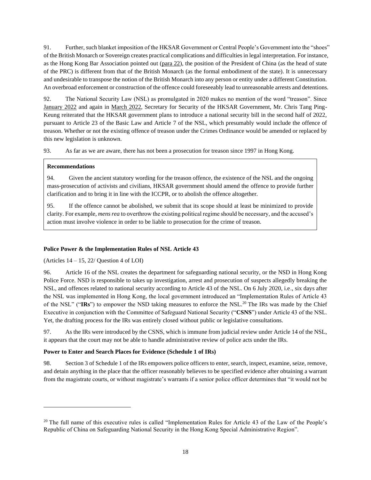91. Further, such blanket imposition of the HKSAR Government or Central People's Government into the "shoes" of the British Monarch or Sovereign creates practical complications and difficulties in legal interpretation. For instance, as the Hong Kong Bar Association pointed out [\(para 22\)](https://www.hkba.org/sites/default/files/20020722-prel-e.pdf), the position of the President of China (as the head of state of the PRC) is different from that of the British Monarch (as the formal embodiment of the state). It is unnecessary and undesirable to transpose the notion of the British Monarch into any person or entity under a different Constitution. An overbroad enforcement or construction of the offence could foreseeably lead to unreasonable arrests and detentions.

92. The National Security Law (NSL) as promulgated in 2020 makes no mention of the word "treason". Sinc[e](https://www.legco.gov.hk/yr2022/english/counmtg/hansard/cm20220126-translate-e.pdf#nameddest=orq) [January 2022](https://www.legco.gov.hk/yr2022/english/counmtg/hansard/cm20220126-translate-e.pdf#nameddest=orq) and again in [March 2022,](https://www.info.gov.hk/gia/general/202205/11/P2022051100512.htm) Secretary for Security of the HKSAR Government, Mr. Chris Tang Ping-Keung reiterated that the HKSAR government plans to introduce a national security bill in the second half of 2022, pursuant to Article 23 of the Basic Law and Article 7 of the NSL, which presumably would include the offence of treason. Whether or not the existing offence of treason under the Crimes Ordinance would be amended or replaced by this new legislation is unknown.

93. As far as we are aware, there has not been a prosecution for treason since 1997 in Hong Kong.

### **Recommendations**

94. Given the ancient statutory wording for the treason offence, the existence of the NSL and the ongoing mass-prosecution of activists and civilians, HKSAR government should amend the offence to provide further clarification and to bring it in line with the ICCPR, or to abolish the offence altogether.

95. If the offence cannot be abolished, we submit that its scope should at least be minimized to provide clarity. For example, *mens rea* to overthrow the existing political regime should be necessary, and the accused's action must involve violence in order to be liable to prosecution for the crime of treason.

# <span id="page-18-0"></span>**Police Power & the Implementation Rules of NSL Article 43**

(Articles  $14 - 15$ ,  $22$ / Question 4 of LOI)

96. Article 16 of the NSL creates the department for safeguarding national security, or the NSD in Hong Kong Police Force. NSD is responsible to takes up investigation, arrest and prosecution of suspects allegedly breaking the NSL, and offences related to national security according to Article 43 of the NSL. On 6 July 2020, i.e., six days after the NSL was implemented in Hong Kong, the local government introduced an "Implementation Rules of Article 43 of the NSL" ("**IRs**") to empower the NSD taking measures to enforce the NSL.<sup>20</sup> The IRs was made by the Chief Executive in conjunction with the Committee of Safeguard National Security ("**CSNS**") under Article 43 of the NSL. Yet, the drafting process for the IRs was entirely closed without public or legislative consultations.

97. As the IRs were introduced by the CSNS, which is immune from judicial review under Article 14 of the NSL, it appears that the court may not be able to handle administrative review of police acts under the IRs.

# <span id="page-18-1"></span>**Power to Enter and Search Places for Evidence (Schedule 1 of IRs)**

98. Section 3 of Schedule 1 of the IRs empowers police officers to enter, search, inspect, examine, seize, remove, and detain anything in the place that the officer reasonably believes to be specified evidence after obtaining a warrant from the magistrate courts, or without magistrate's warrants if a senior police officer determines that "it would not be

<sup>&</sup>lt;sup>20</sup> The full name of this executive rules is called "Implementation Rules for Article 43 of the Law of the People's Republic of China on Safeguarding National Security in the Hong Kong Special Administrative Region".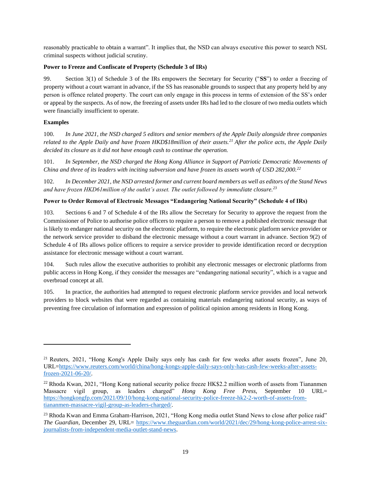reasonably practicable to obtain a warrant". It implies that, the NSD can always executive this power to search NSL criminal suspects without judicial scrutiny.

### <span id="page-19-0"></span>**Power to Freeze and Confiscate of Property (Schedule 3 of IRs)**

99. Section 3(1) of Schedule 3 of the IRs empowers the Secretary for Security ("**SS**") to order a freezing of property without a court warrant in advance, if the SS has reasonable grounds to suspect that any property held by any person is offence related property. The court can only engage in this process in terms of extension of the SS's order or appeal by the suspects. As of now, the freezing of assets under IRs had led to the closure of two media outlets which were financially insufficient to operate.

### **Examples**

100. *In June 2021, the NSD charged 5 editors and senior members of the Apple Daily alongside three companies related to the Apple Daily and have frozen HKD\$18million of their assets.<sup>21</sup> After the police acts, the Apple Daily decided its closure as it did not have enough cash to continue the operation.*

101. *In September, the NSD charged the Hong Kong Alliance in Support of Patriotic Democratic Movements of China and three of its leaders with inciting subversion and have frozen its assets worth of USD 282,000.<sup>22</sup>*

102. *In December 2021, the NSD arrested former and current board members as well as editors of the Stand News and have frozen HKD61million of the outlet's asset. The outlet followed by immediate closure.<sup>23</sup>*

### <span id="page-19-1"></span>**Power to Order Removal of Electronic Messages "Endangering National Security" (Schedule 4 of IRs)**

103. Sections 6 and 7 of Schedule 4 of the IRs allow the Secretary for Security to approve the request from the Commissioner of Police to authorise police officers to require a person to remove a published electronic message that is likely to endanger national security on the electronic platform, to require the electronic platform service provider or the network service provider to disband the electronic message without a court warrant in advance. Section 9(2) of Schedule 4 of IRs allows police officers to require a service provider to provide identification record or decryption assistance for electronic message without a court warrant.

104. Such rules allow the executive authorities to prohibit any electronic messages or electronic platforms from public access in Hong Kong, if they consider the messages are "endangering national security", which is a vague and overbroad concept at all.

105. In practice, the authorities had attempted to request electronic platform service provides and local network providers to block websites that were regarded as containing materials endangering national security, as ways of preventing free circulation of information and expression of political opinion among residents in Hong Kong.

<sup>&</sup>lt;sup>21</sup> Reuters, 2021, "Hong Kong's Apple Daily says only has cash for few weeks after assets frozen", June 20, URL[=https://www.reuters.com/world/china/hong-kongs-apple-daily-says-only-has-cash-few-weeks-after-assets](https://www.reuters.com/world/china/hong-kongs-apple-daily-says-only-has-cash-few-weeks-after-assets-frozen-2021-06-20/)[frozen-2021-06-20/.](https://www.reuters.com/world/china/hong-kongs-apple-daily-says-only-has-cash-few-weeks-after-assets-frozen-2021-06-20/)

<sup>&</sup>lt;sup>22</sup> Rhoda Kwan, 2021, "Hong Kong national security police freeze HK\$2.2 million worth of assets from Tiananmen Massacre vigil group, as leaders charged" *Hong Kong Free Press*, September 10 URL= [https://hongkongfp.com/2021/09/10/hong-kong-national-security-police-freeze-hk2-2-worth-of-assets-from](https://hongkongfp.com/2021/09/10/hong-kong-national-security-police-freeze-hk2-2-worth-of-assets-from-tiananmen-massacre-vigil-group-as-leaders-charged/)[tiananmen-massacre-vigil-group-as-leaders-charged/.](https://hongkongfp.com/2021/09/10/hong-kong-national-security-police-freeze-hk2-2-worth-of-assets-from-tiananmen-massacre-vigil-group-as-leaders-charged/)

<sup>&</sup>lt;sup>23</sup> Rhoda Kwan and Emma Graham-Harrison, 2021, "Hong Kong media outlet Stand News to close after police raid" *The Guardian*, December 29, URL= [https://www.theguardian.com/world/2021/dec/29/hong-kong-police-arrest-six](https://www.theguardian.com/world/2021/dec/29/hong-kong-police-arrest-six-journalists-from-independent-media-outlet-stand-news)[journalists-from-independent-media-outlet-stand-news.](https://www.theguardian.com/world/2021/dec/29/hong-kong-police-arrest-six-journalists-from-independent-media-outlet-stand-news)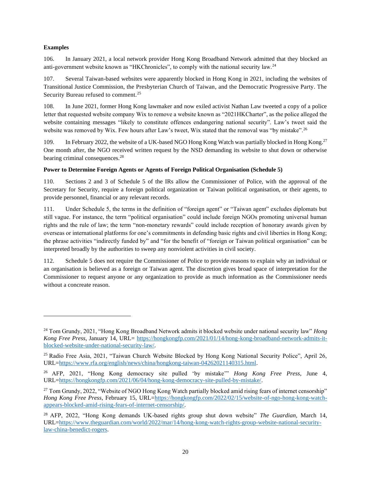### **Examples**

106. In January 2021, a local network provider Hong Kong Broadband Network admitted that they blocked an anti-government website known as "HKChronicles", to comply with the national security law.<sup>24</sup>

107. Several Taiwan-based websites were apparently blocked in Hong Kong in 2021, including the websites of Transitional Justice Commission, the Presbyterian Church of Taiwan, and the Democratic Progressive Party. The Security Bureau refused to comment.<sup>25</sup>

108. In June 2021, former Hong Kong lawmaker and now exiled activist Nathan Law tweeted a copy of a police letter that requested website company Wix to remove a website known as "2021HKCharter", as the police alleged the website containing messages "likely to constitute offences endangering national security". Law's tweet said the website was removed by Wix. Few hours after Law's tweet, Wix stated that the removal was "by mistake".<sup>26</sup>

109. In February 2022, the website of a UK-based NGO Hong Kong Watch was partially blocked in Hong Kong.<sup>27</sup> One month after, the NGO received written request by the NSD demanding its website to shut down or otherwise bearing criminal consequences.<sup>28</sup>

### <span id="page-20-0"></span>**Power to Determine Foreign Agents or Agents of Foreign Political Organisation (Schedule 5)**

110. Sections 2 and 3 of Schedule 5 of the IRs allow the Commissioner of Police, with the approval of the Secretary for Security, require a foreign political organization or Taiwan political organisation, or their agents, to provide personnel, financial or any relevant records.

111. Under Schedule 5, the terms in the definition of "foreign agent" or "Taiwan agent" excludes diplomats but still vague. For instance, the term "political organisation" could include foreign NGOs promoting universal human rights and the rule of law; the term "non-monetary rewards" could include reception of honorary awards given by overseas or international platforms for one's commitments in defending basic rights and civil liberties in Hong Kong; the phrase activities "indirectly funded by" and "for the benefit of "foreign or Taiwan political organisation" can be interpreted broadly by the authorities to sweep any nonviolent activities in civil society.

112. Schedule 5 does not require the Commissioner of Police to provide reasons to explain why an individual or an organisation is believed as a foreign or Taiwan agent. The discretion gives broad space of interpretation for the Commissioner to request anyone or any organization to provide as much information as the Commissioner needs without a concreate reason.

<sup>24</sup> Tom Grundy, 2021, "Hong Kong Broadband Network admits it blocked website under national security law" *Hong Kong Free Press*, January 14, URL= [https://hongkongfp.com/2021/01/14/hong-kong-broadband-network-admits-it](https://hongkongfp.com/2021/01/14/hong-kong-broadband-network-admits-it-blocked-website-under-national-security-law/)[blocked-website-under-national-security-law/.](https://hongkongfp.com/2021/01/14/hong-kong-broadband-network-admits-it-blocked-website-under-national-security-law/)

<sup>25</sup> Radio Free Asia, 2021, "Taiwan Church Website Blocked by Hong Kong National Security Police", April 26, URL[=https://www.rfa.org/english/news/china/hongkong-taiwan-04262021140315.html.](https://www.rfa.org/english/news/china/hongkong-taiwan-04262021140315.html)

<sup>26</sup> AFP, 2021, "Hong Kong democracy site pulled 'by mistake'" *Hong Kong Free Press*, June 4, URL[=https://hongkongfp.com/2021/06/04/hong-kong-democracy-site-pulled-by-mistake/.](https://hongkongfp.com/2021/06/04/hong-kong-democracy-site-pulled-by-mistake/)

<sup>&</sup>lt;sup>27</sup> Tom Grundy, 2022, "Website of NGO Hong Kong Watch partially blocked amid rising fears of internet censorship" *Hong Kong Free Press*, February 15, URL[=https://hongkongfp.com/2022/02/15/website-of-ngo-hong-kong-watch](https://hongkongfp.com/2022/02/15/website-of-ngo-hong-kong-watch-appears-blocked-amid-rising-fears-of-internet-censorship/)[appears-blocked-amid-rising-fears-of-internet-censorship/.](https://hongkongfp.com/2022/02/15/website-of-ngo-hong-kong-watch-appears-blocked-amid-rising-fears-of-internet-censorship/)

<sup>28</sup> AFP, 2022, "Hong Kong demands UK-based rights group shut down website" *The Guardian*, March 14, URL[=https://www.theguardian.com/world/2022/mar/14/hong-kong-watch-rights-group-website-national-security](https://www.theguardian.com/world/2022/mar/14/hong-kong-watch-rights-group-website-national-security-law-china-benedict-rogers)[law-china-benedict-rogers.](https://www.theguardian.com/world/2022/mar/14/hong-kong-watch-rights-group-website-national-security-law-china-benedict-rogers)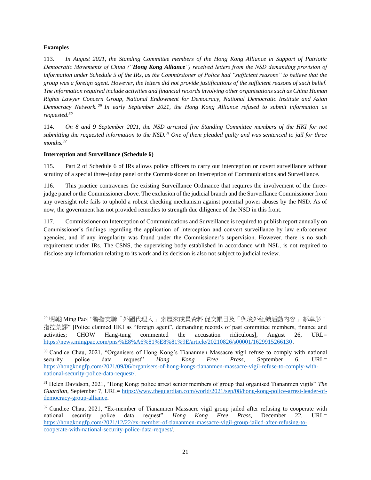### **Examples**

113. *In August 2021, the Standing Committee members of the Hong Kong Alliance in Support of Patriotic Democratic Movements of China ("Hong Kong Alliance") received letters from the NSD demanding provision of information under Schedule 5 of the IRs, as the Commissioner of Police had "sufficient reasons" to believe that the group was a foreign agent. However, the letters did not provide justifications of the sufficient reasons of such belief. The information required include activities and financial records involving other organisations such as China Human Rights Lawyer Concern Group, National Endowment for Democracy, National Democratic Institute and Asian Democracy Network. <sup>29</sup> In early September 2021, the Hong Kong Alliance refused to submit information as requested.<sup>30</sup>*

114. *On 8 and 9 September 2021, the NSD arrested five Standing Committee members of the HKI for not submitting the requested information to the NSD.<sup>31</sup> One of them pleaded guilty and was sentenced to jail for three months.<sup>32</sup>*

### <span id="page-21-0"></span>**Interception and Surveillance (Schedule 6)**

115. Part 2 of Schedule 6 of IRs allows police officers to carry out interception or covert surveillance without scrutiny of a special three-judge panel or the Commissioner on Interception of Communications and Surveillance.

116. This practice contravenes the existing Surveillance Ordinance that requires the involvement of the threejudge panel or the Commissioner above. The exclusion of the judicial branch and the Surveillance Commissioner from any oversight role fails to uphold a robust checking mechanism against potential power abuses by the NSD. As of now, the government has not provided remedies to strength due diligence of the NSD in this front.

117. Commissioner on Interception of Communications and Surveillance is required to publish report annually on Commissioner's findings regarding the application of interception and convert surveillance by law enforcement agencies, and if any irregularity was found under the Commissioner's supervision. However, there is no such requirement under IRs. The CSNS, the supervising body established in accordance with NSL, is not required to disclose any information relating to its work and its decision is also not subject to judicial review.

<sup>29</sup> 明報[Ming Pao] "警指支聯「外國代理人」 索歷來成員資料 促交帳目及「與境外組織活動內容」 鄒幸彤: 指控荒謬" [Police claimed HKI as "foreign agent", demanding records of past committee members, finance and activities; CHOW Hang-tung commented the accusation ridiculous], August 26, URL= [https://news.mingpao.com/pns/%E8%A6%81%E8%81%9E/article/20210826/s00001/1629915266130.](https://news.mingpao.com/pns/%E8%A6%81%E8%81%9E/article/20210826/s00001/1629915266130)

<sup>&</sup>lt;sup>30</sup> Candice Chau, 2021, "Organisers of Hong Kong's Tiananmen Massacre vigil refuse to comply with national security police data request" *Hong Kong Free Press*, September 6, URL= [https://hongkongfp.com/2021/09/06/organisers-of-hong-kongs-tiananmen-massacre-vigil-refuse-to-comply-with](https://hongkongfp.com/2021/09/06/organisers-of-hong-kongs-tiananmen-massacre-vigil-refuse-to-comply-with-national-security-police-data-request/)[national-security-police-data-request/.](https://hongkongfp.com/2021/09/06/organisers-of-hong-kongs-tiananmen-massacre-vigil-refuse-to-comply-with-national-security-police-data-request/)

<sup>31</sup> Helen Davidson, 2021, "Hong Kong: police arrest senior members of group that organised Tiananmen vigils" *The Guardian*, September 7, URL= [https://www.theguardian.com/world/2021/sep/08/hong-kong-police-arrest-leader-of](https://www.theguardian.com/world/2021/sep/08/hong-kong-police-arrest-leader-of-democracy-group-alliance)[democracy-group-alliance.](https://www.theguardian.com/world/2021/sep/08/hong-kong-police-arrest-leader-of-democracy-group-alliance)

<sup>&</sup>lt;sup>32</sup> Candice Chau, 2021, "Ex-member of Tiananmen Massacre vigil group jailed after refusing to cooperate with national security police data request" *Hong Kong Free Press*, December 22, URL= [https://hongkongfp.com/2021/12/22/ex-member-of-tiananmen-massacre-vigil-group-jailed-after-refusing-to](https://hongkongfp.com/2021/12/22/ex-member-of-tiananmen-massacre-vigil-group-jailed-after-refusing-to-cooperate-with-national-security-police-data-request/)[cooperate-with-national-security-police-data-request/.](https://hongkongfp.com/2021/12/22/ex-member-of-tiananmen-massacre-vigil-group-jailed-after-refusing-to-cooperate-with-national-security-police-data-request/)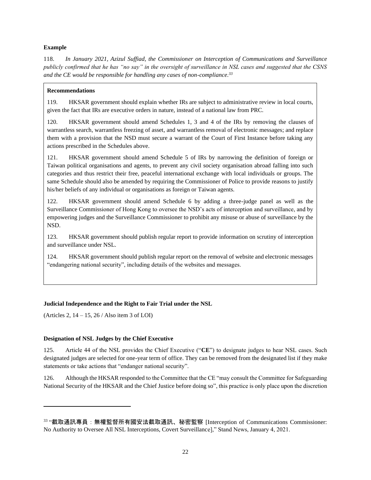### **Example**

118. *In January 2021, Azizul Suffiad, the Commissioner on Interception of Communications and Surveillance publicly confirmed that he has "no say" in the oversight of surveillance in NSL cases and suggested that the CSNS and the CE would be responsible for handling any cases of non-compliance.<sup>33</sup>*

### **Recommendations**

119. HKSAR government should explain whether IRs are subject to administrative review in local courts, given the fact that IRs are executive orders in nature, instead of a national law from PRC.

120. HKSAR government should amend Schedules 1, 3 and 4 of the IRs by removing the clauses of warrantless search, warrantless freezing of asset, and warrantless removal of electronic messages; and replace them with a provision that the NSD must secure a warrant of the Court of First Instance before taking any actions prescribed in the Schedules above.

121. HKSAR government should amend Schedule 5 of IRs by narrowing the definition of foreign or Taiwan political organisations and agents, to prevent any civil society organisation abroad falling into such categories and thus restrict their free, peaceful international exchange with local individuals or groups. The same Schedule should also be amended by requiring the Commissioner of Police to provide reasons to justify his/her beliefs of any individual or organisations as foreign or Taiwan agents.

122. HKSAR government should amend Schedule 6 by adding a three-judge panel as well as the Surveillance Commissioner of Hong Kong to oversee the NSD's acts of interception and surveillance, and by empowering judges and the Surveillance Commissioner to prohibit any misuse or abuse of surveillance by the NSD.

123. HKSAR government should publish regular report to provide information on scrutiny of interception and surveillance under NSL.

124. HKSAR government should publish regular report on the removal of website and electronic messages "endangering national security", including details of the websites and messages.

# <span id="page-22-0"></span>**Judicial Independence and the Right to Fair Trial under the NSL**

(Articles 2, 14 – 15, 26 / Also item 3 of LOI)

# <span id="page-22-1"></span>**Designation of NSL Judges by the Chief Executive**

125. Article 44 of the NSL provides the Chief Executive ("**CE**") to designate judges to hear NSL cases. Such designated judges are selected for one-year term of office. They can be removed from the designated list if they make statements or take actions that "endanger national security".

126. Although the HKSAR responded to the Committee that the CE "may consult the Committee for Safeguarding National Security of the HKSAR and the Chief Justice before doing so", this practice is only place upon the discretion

<sup>33</sup> "截取通訊專員:無權監督所有國安法截取通訊、秘密監察 [Interception of Communications Commissioner: No Authority to Oversee All NSL Interceptions, Covert Surveillance]," Stand News, January 4, 2021.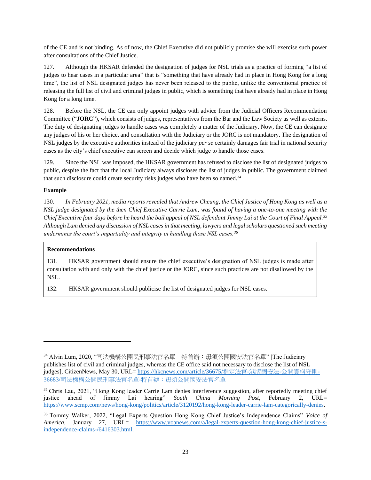of the CE and is not binding. As of now, the Chief Executive did not publicly promise she will exercise such power after consultations of the Chief Justice.

127. Although the HKSAR defended the designation of judges for NSL trials as a practice of forming "a list of judges to hear cases in a particular area" that is "something that have already had in place in Hong Kong for a long time", the list of NSL designated judges has never been released to the public, unlike the conventional practice of releasing the full list of civil and criminal judges in public, which is something that have already had in place in Hong Kong for a long time.

128. Before the NSL, the CE can only appoint judges with advice from the Judicial Officers Recommendation Committee ("**JORC**"), which consists of judges, representatives from the Bar and the Law Society as well as externs. The duty of designating judges to handle cases was completely a matter of the Judiciary. Now, the CE can designate any judges of his or her choice, and consultation with the Judiciary or the JORC is not mandatory. The designation of NSL judges by the executive authorities instead of the judiciary *per se* certainly damages fair trial in national security cases as the city's chief executive can screen and decide which judge to handle those cases.

129. Since the NSL was imposed, the HKSAR government has refused to disclose the list of designated judges to public, despite the fact that the local Judiciary always discloses the list of judges in public. The government claimed that such disclosure could create security risks judges who have been so named.<sup>34</sup>

# **Example**

130. *In February 2021, media reports revealed that Andrew Cheung, the Chief Justice of Hong Kong as well as a NSL judge designated by the then Chief Executive Carrie Lam, was found of having a one-to-one meeting with the Chief Executive four days before he heard the bail appeal of NSL defendant Jimmy Lai at the Court of Final Appeal.<sup>35</sup> Although Lam denied any discussion of NSL cases in that meeting, lawyers and legal scholars questioned such meeting undermines the court's impartiality and integrity in handling those NSL cases.<sup>36</sup>*

### **Recommendations**

131. HKSAR government should ensure the chief executive's designation of NSL judges is made after consultation with and only with the chief justice or the JORC, since such practices are not disallowed by the NSL.

132. HKSAR government should publicise the list of designated judges for NSL cases.

<sup>34</sup> Alvin Lum, 2020, "司法機構公開民刑事法官名單 特首辦:毋須公開國安法官名單" [The Judiciary publishes list of civil and criminal judges, whereas the CE office said not necessary to disclose the list of NSL judges], CitizenNews, May 30, URL= [https://hkcnews.com/article/36675/](https://web.archive.org/web/20220111044615/https:/hkcnews.com/article/36675/%E6%8C%87%E5%AE%9A%E6%B3%95%E5%AE%98-%E6%B8%AF%E7%89%88%E5%9C%8B%E5%AE%89%E6%B3%95-%E5%85%AC%E9%96%8B%E8%B3%87%E6%96%99%E5%AE%88%E5%89%87-36683/%E5%8F%B8%E6%B3%95%E6%A9%9F%E6%A7%8B%E5%85%AC%E9%96%8B%E6%B0%91%E5%88%91%E4%BA%8B%E6%B3%95%E5%AE%98%E5%90%8D%E5%96%AE-%E7%89%B9%E9%A6%96%E8%BE%A6%EF%BC%9A%E6%AF%8B%E9%A0%88%E5%85%AC%E9%96%8B%E5%9C%8B%E5%AE%89%E6%B3%95%E5%AE%98%E5%90%8D%E5%96%AE)指定法官-港版國安法-公開資料守則-36683/[司法機構公開民刑事法官名單](https://web.archive.org/web/20220111044615/https:/hkcnews.com/article/36675/%E6%8C%87%E5%AE%9A%E6%B3%95%E5%AE%98-%E6%B8%AF%E7%89%88%E5%9C%8B%E5%AE%89%E6%B3%95-%E5%85%AC%E9%96%8B%E8%B3%87%E6%96%99%E5%AE%88%E5%89%87-36683/%E5%8F%B8%E6%B3%95%E6%A9%9F%E6%A7%8B%E5%85%AC%E9%96%8B%E6%B0%91%E5%88%91%E4%BA%8B%E6%B3%95%E5%AE%98%E5%90%8D%E5%96%AE-%E7%89%B9%E9%A6%96%E8%BE%A6%EF%BC%9A%E6%AF%8B%E9%A0%88%E5%85%AC%E9%96%8B%E5%9C%8B%E5%AE%89%E6%B3%95%E5%AE%98%E5%90%8D%E5%96%AE)-[特首辦:毋須公開國安法官名單](https://web.archive.org/web/20220111044615/https:/hkcnews.com/article/36675/%E6%8C%87%E5%AE%9A%E6%B3%95%E5%AE%98-%E6%B8%AF%E7%89%88%E5%9C%8B%E5%AE%89%E6%B3%95-%E5%85%AC%E9%96%8B%E8%B3%87%E6%96%99%E5%AE%88%E5%89%87-36683/%E5%8F%B8%E6%B3%95%E6%A9%9F%E6%A7%8B%E5%85%AC%E9%96%8B%E6%B0%91%E5%88%91%E4%BA%8B%E6%B3%95%E5%AE%98%E5%90%8D%E5%96%AE-%E7%89%B9%E9%A6%96%E8%BE%A6%EF%BC%9A%E6%AF%8B%E9%A0%88%E5%85%AC%E9%96%8B%E5%9C%8B%E5%AE%89%E6%B3%95%E5%AE%98%E5%90%8D%E5%96%AE)

<sup>&</sup>lt;sup>35</sup> Chris Lau, 2021, "Hong Kong leader Carrie Lam denies interference suggestion, after reportedly meeting chief justice ahead of Jimmy Lai hearing" *South China Morning Post*, February 2, URL= [https://www.scmp.com/news/hong-kong/politics/article/3120192/hong-kong-leader-carrie-lam-categorically-denies.](https://www.scmp.com/news/hong-kong/politics/article/3120192/hong-kong-leader-carrie-lam-categorically-denies)

<sup>36</sup> Tommy Walker, 2022, "Legal Experts Question Hong Kong Chief Justice's Independence Claims" *Voice of America*, January 27, URL= [https://www.voanews.com/a/legal-experts-question-hong-kong-chief-justice-s](https://www.voanews.com/a/legal-experts-question-hong-kong-chief-justice-s-independence-claims-/6416303.html)[independence-claims-/6416303.html.](https://www.voanews.com/a/legal-experts-question-hong-kong-chief-justice-s-independence-claims-/6416303.html)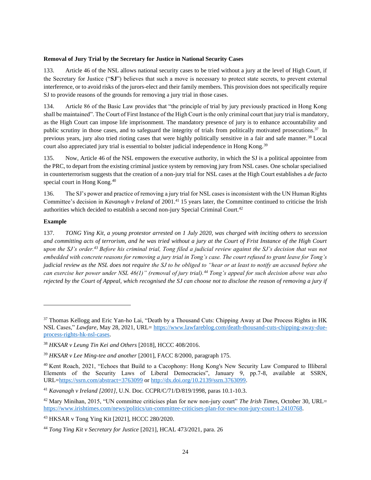#### <span id="page-24-0"></span>**Removal of Jury Trial by the Secretary for Justice in National Security Cases**

133. Article 46 of the NSL allows national security cases to be tried without a jury at the level of High Court, if the Secretary for Justice ("**SJ**") believes that such a move is necessary to protect state secrets, to prevent external interference, or to avoid risks of the jurors-elect and their family members. This provision does not specifically require SJ to provide reasons of the grounds for removing a jury trial in those cases.

134. Article 86 of the Basic Law provides that "the principle of trial by jury previously practiced in Hong Kong shall be maintained". The Court of First Instance of the High Court is the only criminal court that jury trial is mandatory, as the High Court can impose life imprisonment. The mandatory presence of jury is to enhance accountability and public scrutiny in those cases, and to safeguard the integrity of trials from politically motivated prosecutions.<sup>37</sup> In previous years, jury also tried rioting cases that were highly politically sensitive in a fair and safe manner.<sup>38</sup> Local court also appreciated jury trial is essential to bolster judicial independence in Hong Kong.<sup>39</sup>

135. Now, Article 46 of the NSL empowers the executive authority, in which the SJ is a political appointee from the PRC, to depart from the existing criminal justice system by removing jury from NSL cases. One scholar specialised in counterterrorism suggests that the creation of a non-jury trial for NSL cases at the High Court establishes a *de facto* special court in Hong Kong.<sup>40</sup>

136. The SJ's power and practice of removing a jury trial for NSL cases is inconsistent with the UN Human Rights Committee's decision in *Kavanagh v Ireland* of 2001.<sup>41</sup> 15 years later, the Committee continued to criticise the Irish authorities which decided to establish a second non-jury Special Criminal Court.<sup>42</sup>

### **Example**

137. *TONG Ying Kit, a young protestor arrested on 1 July 2020, was charged with inciting others to secession and committing acts of terrorism, and he was tried without a jury at the Court of Frist Instance of the High Court upon the SJ's order.<sup>43</sup> Before his criminal trial, Tong filed a judicial review against the SJ's decision that was not embedded with concrete reasons for removing a jury trial in Tong's case. The court refused to grant leave for Tong's judicial review as the NSL does not require the SJ to be obliged to "hear or at least to notify an accused before she can exercise her power under NSL 46(1)" (removal of jury trial).<sup>44</sup> Tong's appeal for such decision above was also rejected by the Court of Appeal, which recognised the SJ can choose not to disclose the reason of removing a jury if* 

<sup>&</sup>lt;sup>37</sup> Thomas Kellogg and Eric Yan-ho Lai, "Death by a Thousand Cuts: Chipping Away at Due Process Rights in HK NSL Cases," *Lawfare*, May 28, 2021, URL= [https://www.lawfareblog.com/death-thousand-cuts-chipping-away-due](https://www.lawfareblog.com/death-thousand-cuts-chipping-away-due-process-rights-hk-nsl-cases)[process-rights-hk-nsl-cases.](https://www.lawfareblog.com/death-thousand-cuts-chipping-away-due-process-rights-hk-nsl-cases)

<sup>38</sup> *HKSAR v Leung Tin Kei and Others* [2018], HCCC 408/2016.

<sup>39</sup> *HKSAR v Lee Ming-tee and another* [2001], FACC 8/2000, paragraph 175.

<sup>40</sup> Kent Roach, 2021, "Echoes that Build to a Cacophony: Hong Kong's New Security Law Compared to Illiberal Elements of the Security Laws of Liberal Democracies", January 9, pp.7-8, available at SSRN, URL[=https://ssrn.com/abstract=3763099](https://ssrn.com/abstract=3763099) or [http://dx.doi.org/10.2139/ssrn.3763099.](http://dx.doi.org/10.2139/ssrn.3763099)

<sup>41</sup> *Kavanagh v Ireland [2001]*, U.N. Doc. CCPR/C/71/D/819/1998, paras 10.1-10.3.

<sup>42</sup> Mary Minihan, 2015, "UN committee criticises plan for new non-jury court" *The Irish Times*, October 30, URL= [https://www.irishtimes.com/news/politics/un-committee-criticises-plan-for-new-non-jury-court-1.2410768.](https://www.irishtimes.com/news/politics/un-committee-criticises-plan-for-new-non-jury-court-1.2410768)

<sup>43</sup> HKSAR v Tong Ying Kit [2021], HCCC 280/2020.

<sup>44</sup> *Tong Ying Kit v Secretary for Justice* [2021], HCAL 473/2021, para. 26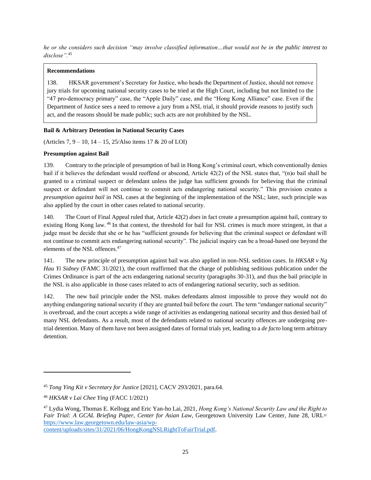*he or she considers such decision "may involve classified information…that would not be in the public interest to disclose".<sup>45</sup>*

# **Recommendations**

138. HKSAR government's Secretary for Justice, who heads the Department of Justice, should not remove jury trials for upcoming national security cases to be tried at the High Court, including but not limited to the "47 pro-democracy primary" case, the "Apple Daily" case, and the "Hong Kong Alliance" case. Even if the Department of Justice sees a need to remove a jury from a NSL trial, it should provide reasons to justify such act, and the reasons should be made public; such acts are not prohibited by the NSL.

# <span id="page-25-0"></span>**Bail & Arbitrary Detention in National Security Cases**

(Articles 7, 9 – 10, 14 – 15, 25/Also items 17 & 20 of LOI)

### <span id="page-25-1"></span>**Presumption against Bail**

139. Contrary to the principle of presumption of bail in Hong Kong's criminal court, which conventionally denies bail if it believes the defendant would reoffend or abscond, Article 42(2) of the NSL states that, "(n)o bail shall be granted to a criminal suspect or defendant unless the judge has sufficient grounds for believing that the criminal suspect or defendant will not continue to commit acts endangering national security." This provision creates a *presumption against bail* in NSL cases at the beginning of the implementation of the NSL; later, such principle was also applied by the court in other cases related to national security.

140. The Court of Final Appeal ruled that, Article 42(2) *does* in fact create a presumption against bail, contrary to existing Hong Kong law. <sup>46</sup> In that context, the threshold for bail for NSL crimes is much more stringent, in that a judge must be decide that she or he has "sufficient grounds for believing that the criminal suspect or defendant will not continue to commit acts endangering national security". The judicial inquiry can be a broad-based one beyond the elements of the NSL offences.<sup>47</sup>

141. The new principle of presumption against bail was also applied in non-NSL sedition cases. In *HKSAR v Ng Hau Yi Sidney* (FAMC 31/2021), the court reaffirmed that the charge of publishing seditious publication under the Crimes Ordinance is part of the acts endangering national security (paragraphs 30-31), and thus the bail principle in the NSL is also applicable in those cases related to acts of endangering national security, such as sedition.

142. The new bail principle under the NSL makes defendants almost impossible to prove they would not do anything endangering national security if they are granted bail before the court. The term "endanger national security" is overbroad, and the court accepts a wide range of activities as endangering national security and thus denied bail of many NSL defendants. As a result, most of the defendants related to national security offences are undergoing pretrial detention. Many of them have not been assigned dates of formal trials yet, leading to a *de facto* long term arbitrary detention.

<sup>45</sup> *Tong Ying Kit v Secretary for Justice* [2021], CACV 293/2021, para.64.

<sup>46</sup> *HKSAR v Lai Chee Ying* (FACC 1/2021)

<sup>47</sup> Lydia Wong, Thomas E. Kellogg and Eric Yan-ho Lai, 2021, *Hong Kong's National Security Law and the Right to Fair Trial: A GCAL Briefing Paper, Center for Asian Law,* Georgetown University Law Center, June 28, URL= [https://www.law.georgetown.edu/law-asia/wp-](https://www.law.georgetown.edu/law-asia/wp-content/uploads/sites/31/2021/06/HongKongNSLRightToFairTrial.pdf)

[content/uploads/sites/31/2021/06/HongKongNSLRightToFairTrial.pdf.](https://www.law.georgetown.edu/law-asia/wp-content/uploads/sites/31/2021/06/HongKongNSLRightToFairTrial.pdf)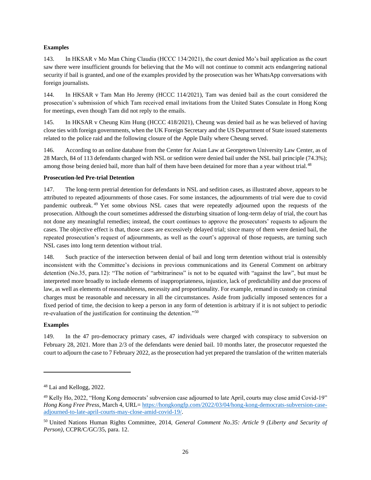### **Examples**

143. In HKSAR v Mo Man Ching Claudia (HCCC 134/2021), the court denied Mo's bail application as the court saw there were insufficient grounds for believing that the Mo will not continue to commit acts endangering national security if bail is granted, and one of the examples provided by the prosecution was her WhatsApp conversations with foreign journalists.

144. In HKSAR v Tam Man Ho Jeremy (HCCC 114/2021), Tam was denied bail as the court considered the prosecution's submission of which Tam received email invitations from the United States Consulate in Hong Kong for meetings, even though Tam did not reply to the emails.

145. In HKSAR v Cheung Kim Hung (HCCC 418/2021), Cheung was denied bail as he was believed of having close ties with foreign governments, when the UK Foreign Secretary and the US Department of State issued statements related to the police raid and the following closure of the Apple Daily where Cheung served.

146. According to an online database from the Center for Asian Law at Georgetown University Law Center, as of 28 March, 84 of 113 defendants charged with NSL or sedition were denied bail under the NSL bail principle (74.3%); among those being denied bail, more than half of them have been detained for more than a year without trial.<sup>48</sup>

### <span id="page-26-0"></span>**Prosecution-led Pre-trial Detention**

147. The long-term pretrial detention for defendants in NSL and sedition cases, as illustrated above, appears to be attributed to repeated adjournments of those cases. For some instances, the adjournments of trial were due to covid pandemic outbreak. <sup>49</sup> Yet some obvious NSL cases that were repeatedly adjourned upon the requests of the prosecution. Although the court sometimes addressed the disturbing situation of long-term delay of trial, the court has not done any meaningful remedies; instead, the court continues to approve the prosecutors' requests to adjourn the cases. The objective effect is that, those cases are excessively delayed trial; since many of them were denied bail, the repeated prosecution's request of adjournments, as well as the court's approval of those requests, are turning such NSL cases into long term detention without trial.

148. Such practice of the intersection between denial of bail and long term detention without trial is ostensibly inconsistent with the Committee's decisions in previous communications and its General Comment on arbitrary detention (No.35, para.12): "The notion of "arbitrariness" is not to be equated with "against the law", but must be interpreted more broadly to include elements of inappropriateness, injustice, lack of predictability and due process of law, as well as elements of reasonableness, necessity and proportionality. For example, remand in custody on criminal charges must be reasonable and necessary in all the circumstances. Aside from judicially imposed sentences for a fixed period of time, the decision to keep a person in any form of detention is arbitrary if it is not subject to periodic re-evaluation of the justification for continuing the detention."<sup>50</sup>

### **Examples**

149. In the 47 pro-democracy primary cases, 47 individuals were charged with conspiracy to subversion on February 28, 2021. More than 2/3 of the defendants were denied bail. 10 months later, the prosecutor requested the court to adjourn the case to 7 February 2022, as the prosecution had yet prepared the translation of the written materials

<sup>48</sup> Lai and Kellogg, 2022.

<sup>49</sup> Kelly Ho, 2022, "Hong Kong democrats' subversion case adjourned to late April, courts may close amid Covid-19" *Hong Kong Free Press*, March 4, URL= [https://hongkongfp.com/2022/03/04/hong-kong-democrats-subversion-case](https://hongkongfp.com/2022/03/04/hong-kong-democrats-subversion-case-adjourned-to-late-april-courts-may-close-amid-covid-19/)[adjourned-to-late-april-courts-may-close-amid-covid-19/.](https://hongkongfp.com/2022/03/04/hong-kong-democrats-subversion-case-adjourned-to-late-april-courts-may-close-amid-covid-19/)

<sup>50</sup> United Nations Human Rights Committee, 2014, *General Comment No.35: Article 9 (Liberty and Security of Person)*, CCPR/C/GC/35, para. 12.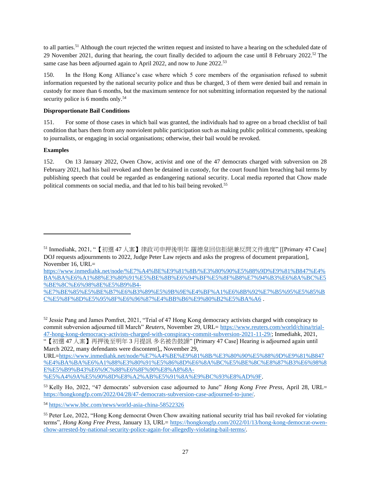to all parties.<sup>51</sup> Although the court rejected the written request and insisted to have a hearing on the scheduled date of 29 November 2021, during that hearing, the court finally decided to adjourn the case until 8 February 2022.<sup>52</sup> The same case has been adjourned again to April 2022, and now to June 2022.<sup>53</sup>

150. In the Hong Kong Alliance's case where which 5 core members of the organisation refused to submit information requested by the national security police and thus be charged, 3 of them were denied bail and remain in custody for more than 6 months, but the maximum sentence for not submitting information requested by the national security police is 6 months only.<sup>54</sup>

# <span id="page-27-0"></span>**Disproportionate Bail Conditions**

151. For some of those cases in which bail was granted, the individuals had to agree on a broad checklist of bail condition that bars them from any nonviolent public participation such as making public political comments, speaking to journalists, or engaging in social organisations; otherwise, their bail would be revoked.

### **Examples**

152. On 13 January 2022, Owen Chow, activist and one of the 47 democrats charged with subversion on 28 February 2021, had his bail revoked and then be detained in custody, for the court found him breaching bail terms by publishing speech that could be regarded as endangering national security. Local media reported that Chow made political comments on social media, and that led to his bail being revoked.<sup>55</sup>

[https://www.inmediahk.net/node/%E7%A4%BE%E9%81%8B/%E3%80%90%E5%88%9D%E9%81%B847%E4%](https://www.inmediahk.net/node/%E7%A4%BE%E9%81%8B/%E3%80%90%E5%88%9D%E9%81%B847%E4%BA%BA%E6%A1%88%E3%80%91%E5%BE%8B%E6%94%BF%E5%8F%B8%E7%94%B3%E6%8A%BC%E5%BE%8C%E6%98%8E%E5%B9%B4-%E7%BE%85%E5%BE%B7%E6%B3%89%E5%9B%9E%E4%BF%A1%E6%8B%92%E7%B5%95%E5%85%BC%E5%8F%8D%E5%95%8F%E6%96%87%E4%BB%B6%E9%80%B2%E5%BA%A6) [BA%BA%E6%A1%88%E3%80%91%E5%BE%8B%E6%94%BF%E5%8F%B8%E7%94%B3%E6%8A%BC%E5](https://www.inmediahk.net/node/%E7%A4%BE%E9%81%8B/%E3%80%90%E5%88%9D%E9%81%B847%E4%BA%BA%E6%A1%88%E3%80%91%E5%BE%8B%E6%94%BF%E5%8F%B8%E7%94%B3%E6%8A%BC%E5%BE%8C%E6%98%8E%E5%B9%B4-%E7%BE%85%E5%BE%B7%E6%B3%89%E5%9B%9E%E4%BF%A1%E6%8B%92%E7%B5%95%E5%85%BC%E5%8F%8D%E5%95%8F%E6%96%87%E4%BB%B6%E9%80%B2%E5%BA%A6) [%BE%8C%E6%98%8E%E5%B9%B4-](https://www.inmediahk.net/node/%E7%A4%BE%E9%81%8B/%E3%80%90%E5%88%9D%E9%81%B847%E4%BA%BA%E6%A1%88%E3%80%91%E5%BE%8B%E6%94%BF%E5%8F%B8%E7%94%B3%E6%8A%BC%E5%BE%8C%E6%98%8E%E5%B9%B4-%E7%BE%85%E5%BE%B7%E6%B3%89%E5%9B%9E%E4%BF%A1%E6%8B%92%E7%B5%95%E5%85%BC%E5%8F%8D%E5%95%8F%E6%96%87%E4%BB%B6%E9%80%B2%E5%BA%A6)

[%E7%BE%85%E5%BE%B7%E6%B3%89%E5%9B%9E%E4%BF%A1%E6%8B%92%E7%B5%95%E5%85%B](https://www.inmediahk.net/node/%E7%A4%BE%E9%81%8B/%E3%80%90%E5%88%9D%E9%81%B847%E4%BA%BA%E6%A1%88%E3%80%91%E5%BE%8B%E6%94%BF%E5%8F%B8%E7%94%B3%E6%8A%BC%E5%BE%8C%E6%98%8E%E5%B9%B4-%E7%BE%85%E5%BE%B7%E6%B3%89%E5%9B%9E%E4%BF%A1%E6%8B%92%E7%B5%95%E5%85%BC%E5%8F%8D%E5%95%8F%E6%96%87%E4%BB%B6%E9%80%B2%E5%BA%A6) [C%E5%8F%8D%E5%95%8F%E6%96%87%E4%BB%B6%E9%80%B2%E5%BA%A6](https://www.inmediahk.net/node/%E7%A4%BE%E9%81%8B/%E3%80%90%E5%88%9D%E9%81%B847%E4%BA%BA%E6%A1%88%E3%80%91%E5%BE%8B%E6%94%BF%E5%8F%B8%E7%94%B3%E6%8A%BC%E5%BE%8C%E6%98%8E%E5%B9%B4-%E7%BE%85%E5%BE%B7%E6%B3%89%E5%9B%9E%E4%BF%A1%E6%8B%92%E7%B5%95%E5%85%BC%E5%8F%8D%E5%95%8F%E6%96%87%E4%BB%B6%E9%80%B2%E5%BA%A6) .

<sup>52</sup> Jessie Pang and James Pomfret, 2021, "Trial of 47 Hong Kong democracy activists charged with conspiracy to commit subversion adjourned till March" *Reuters*, November 29, URL= [https://www.reuters.com/world/china/trial-](https://www.reuters.com/world/china/trial-47-hong-kong-democracy-activists-charged-with-conspiracy-commit-subversion-2021-11-29/)[47-hong-kong-democracy-activists-charged-with-conspiracy-commit-subversion-2021-11-29/;](https://www.reuters.com/world/china/trial-47-hong-kong-democracy-activists-charged-with-conspiracy-commit-subversion-2021-11-29/) Inmediahk, 2021,

"【初選 47 人案】再押後至明年 3 月提訊 多名被告鼓譟" [Primary 47 Case] Hearing is adjourned again until March 2022, many defendants were discontent. November 29,

URL[=https://www.inmediahk.net/node/%E7%A4%BE%E9%81%8B/%E3%80%90%E5%88%9D%E9%81%B847](https://www.inmediahk.net/node/%E7%A4%BE%E9%81%8B/%E3%80%90%E5%88%9D%E9%81%B847%E4%BA%BA%E6%A1%88%E3%80%91%E5%86%8D%E6%8A%BC%E5%BE%8C%E8%87%B3%E6%98%8E%E5%B9%B43%E6%9C%88%E6%8F%90%E8%A8%8A-%E5%A4%9A%E5%90%8D%E8%A2%AB%E5%91%8A%E9%BC%93%E8%AD%9F) [%E4%BA%BA%E6%A1%88%E3%80%91%E5%86%8D%E6%8A%BC%E5%BE%8C%E8%87%B3%E6%98%8](https://www.inmediahk.net/node/%E7%A4%BE%E9%81%8B/%E3%80%90%E5%88%9D%E9%81%B847%E4%BA%BA%E6%A1%88%E3%80%91%E5%86%8D%E6%8A%BC%E5%BE%8C%E8%87%B3%E6%98%8E%E5%B9%B43%E6%9C%88%E6%8F%90%E8%A8%8A-%E5%A4%9A%E5%90%8D%E8%A2%AB%E5%91%8A%E9%BC%93%E8%AD%9F) [E%E5%B9%B43%E6%9C%88%E6%8F%90%E8%A8%8A-](https://www.inmediahk.net/node/%E7%A4%BE%E9%81%8B/%E3%80%90%E5%88%9D%E9%81%B847%E4%BA%BA%E6%A1%88%E3%80%91%E5%86%8D%E6%8A%BC%E5%BE%8C%E8%87%B3%E6%98%8E%E5%B9%B43%E6%9C%88%E6%8F%90%E8%A8%8A-%E5%A4%9A%E5%90%8D%E8%A2%AB%E5%91%8A%E9%BC%93%E8%AD%9F)

[%E5%A4%9A%E5%90%8D%E8%A2%AB%E5%91%8A%E9%BC%93%E8%AD%9F.](https://www.inmediahk.net/node/%E7%A4%BE%E9%81%8B/%E3%80%90%E5%88%9D%E9%81%B847%E4%BA%BA%E6%A1%88%E3%80%91%E5%86%8D%E6%8A%BC%E5%BE%8C%E8%87%B3%E6%98%8E%E5%B9%B43%E6%9C%88%E6%8F%90%E8%A8%8A-%E5%A4%9A%E5%90%8D%E8%A2%AB%E5%91%8A%E9%BC%93%E8%AD%9F)

<sup>51</sup> Inmediahk, 2021, "【初選 47 人案】律政司申押後明年 羅德泉回信拒絕兼反問文件進度" [[Primary 47 Case] DOJ requests adjournments to 2022, Judge Peter Law rejects and asks the progress of document preparation], November 16, URL=

<sup>53</sup> Kelly Ho, 2022, "47 democrats' subversion case adjourned to June" *Hong Kong Free Press*, April 28, URL= [https://hongkongfp.com/2022/04/28/47-democrats-subversion-case-adjourned-to-june/.](https://hongkongfp.com/2022/04/28/47-democrats-subversion-case-adjourned-to-june/)

<sup>54</sup> <https://www.bbc.com/news/world-asia-china-58522326>

<sup>55</sup> Peter Lee, 2022, "Hong Kong democrat Owen Chow awaiting national security trial has bail revoked for violating terms", *Hong Kong Free Press*, January 13, URL= [https://hongkongfp.com/2022/01/13/hong-kong-democrat-owen](https://hongkongfp.com/2022/01/13/hong-kong-democrat-owen-chow-arrested-by-national-security-police-again-for-allegedly-violating-bail-terms/)[chow-arrested-by-national-security-police-again-for-allegedly-violating-bail-terms/.](https://hongkongfp.com/2022/01/13/hong-kong-democrat-owen-chow-arrested-by-national-security-police-again-for-allegedly-violating-bail-terms/)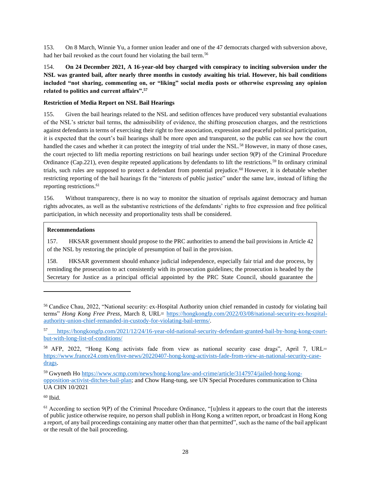153. On 8 March, Winnie Yu, a former union leader and one of the 47 democrats charged with subversion above, had her bail revoked as the court found her violating the bail term.<sup>56</sup>

154. **On 24 December 2021, A 16-year-old boy charged with conspiracy to inciting subversion under the NSL was granted bail, after nearly three months in custody awaiting his trial. However, his bail conditions included "not sharing, commenting on, or "liking" social media posts or otherwise expressing any opinion related to politics and current affairs".<sup>57</sup>**

### <span id="page-28-0"></span>**Restriction of Media Report on NSL Bail Hearings**

155. Given the bail hearings related to the NSL and sedition offences have produced very substantial evaluations of the NSL's stricter bail terms, the admissibility of evidence, the shifting prosecution charges, and the restrictions against defendants in terms of exercising their right to free association, expression and peaceful political participation, it is expected that the court's bail hearings shall be more open and transparent, so the public can see how the court handled the cases and whether it can protect the integrity of trial under the NSL.<sup>58</sup> However, in many of those cases, the court rejected to lift media reporting restrictions on bail hearings under section 9(P) of the Criminal Procedure Ordinance (Cap.221), even despite repeated applications by defendants to lift the restrictions.<sup>59</sup> In ordinary criminal trials, such rules are supposed to protect a defendant from potential prejudice.<sup>60</sup> However, it is debatable whether restricting reporting of the bail hearings fit the "interests of public justice" under the same law, instead of lifting the reporting restrictions.<sup>61</sup>

156. Without transparency, there is no way to monitor the situation of reprisals against democracy and human rights advocates, as well as the substantive restrictions of the defendants' rights to free expression and free political participation, in which necessity and proportionality tests shall be considered.

### **Recommendations**

157. HKSAR government should propose to the PRC authorities to amend the bail provisions in Article 42 of the NSL by restoring the principle of presumption of bail in the provision.

158. HKSAR government should enhance judicial independence, especially fair trial and due process, by reminding the prosecution to act consistently with its prosecution guidelines; the prosecution is headed by the Secretary for Justice as a principal official appointed by the PRC State Council, should guarantee the

 $60$  Ibid.

<sup>56</sup> Candice Chau, 2022, "National security: ex-Hospital Authority union chief remanded in custody for violating bail terms" *Hong Kong Free Press*, March 8, URL= [https://hongkongfp.com/2022/03/08/national-security-ex-hospital](https://hongkongfp.com/2022/03/08/national-security-ex-hospital-authority-union-chief-remanded-in-custody-for-violating-bail-terms/)[authority-union-chief-remanded-in-custody-for-violating-bail-terms/.](https://hongkongfp.com/2022/03/08/national-security-ex-hospital-authority-union-chief-remanded-in-custody-for-violating-bail-terms/)

<sup>57</sup> [https://hongkongfp.com/2021/12/24/16-year-old-national-security-defendant-granted-bail-by-hong-kong-court](https://hongkongfp.com/2021/12/24/16-year-old-national-security-defendant-granted-bail-by-hong-kong-court-but-with-long-list-of-conditions/)[but-with-long-list-of-conditions/](https://hongkongfp.com/2021/12/24/16-year-old-national-security-defendant-granted-bail-by-hong-kong-court-but-with-long-list-of-conditions/)

<sup>58</sup> AFP, 2022, "Hong Kong activists fade from view as national security case drags", April 7, URL= [https://www.france24.com/en/live-news/20220407-hong-kong-activists-fade-from-view-as-national-security-case](https://www.france24.com/en/live-news/20220407-hong-kong-activists-fade-from-view-as-national-security-case-drags)[drags.](https://www.france24.com/en/live-news/20220407-hong-kong-activists-fade-from-view-as-national-security-case-drags)

<sup>59</sup> Gwyneth Ho [https://www.scmp.com/news/hong-kong/law-and-crime/article/3147974/jailed-hong-kong](https://www.scmp.com/news/hong-kong/law-and-crime/article/3147974/jailed-hong-kong-opposition-activist-ditches-bail-plan)[opposition-activist-ditches-bail-plan;](https://www.scmp.com/news/hong-kong/law-and-crime/article/3147974/jailed-hong-kong-opposition-activist-ditches-bail-plan) and Chow Hang-tung, see UN Special Procedures communication to China UA CHN 10/2021

 $<sup>61</sup>$  According to section 9(P) of the Criminal Procedure Ordinance, "[u]nless it appears to the court that the interests</sup> of public justice otherwise require, no person shall publish in Hong Kong a written report, or broadcast in Hong Kong a report, of any bail proceedings containing any matter other than that permitted", such as the name of the bail applicant or the result of the bail proceeding.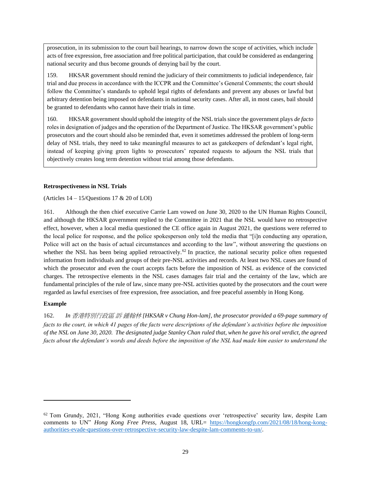prosecution, in its submission to the court bail hearings, to narrow down the scope of activities, which include acts of free expression, free association and free political participation, that could be considered as endangering national security and thus become grounds of denying bail by the court.

159. HKSAR government should remind the judiciary of their commitments to judicial independence, fair trial and due process in accordance with the ICCPR and the Committee's General Comments; the court should follow the Committee's standards to uphold legal rights of defendants and prevent any abuses or lawful but arbitrary detention being imposed on defendants in national security cases. After all, in most cases, bail should be granted to defendants who cannot have their trials in time.

160. HKSAR government should uphold the integrity of the NSL trials since the government plays *de facto* roles in designation of judges and the operation of the Department of Justice. The HKSAR government's public prosecutors and the court should also be reminded that, even it sometimes addressed the problem of long-term delay of NSL trials, they need to take meaningful measures to act as gatekeepers of defendant's legal right, instead of keeping giving green lights to prosecutors' repeated requests to adjourn the NSL trials that objectively creates long term detention without trial among those defendants.

### <span id="page-29-0"></span>**Retrospectiveness in NSL Trials**

(Articles  $14 - 15$ /Questions  $17 & 20$  of LOI)

161. Although the then chief executive Carrie Lam vowed on June 30, 2020 to the UN Human Rights Council, and although the HKSAR government replied to the Committee in 2021 that the NSL would have no retrospective effect, however, when a local media questioned the CE office again in August 2021, the questions were referred to the local police for response, and the police spokesperson only told the media that "[i]n conducting any operation, Police will act on the basis of actual circumstances and according to the law", without answering the questions on whether the NSL has been being applied retroactively.<sup>62</sup> In practice, the national security police often requested information from individuals and groups of their pre-NSL activities and records. At least two NSL cases are found of which the prosecutor and even the court accepts facts before the imposition of NSL as evidence of the convicted charges. The retrospective elements in the NSL cases damages fair trial and the certainty of the law, which are fundamental principles of the rule of law, since many pre-NSL activities quoted by the prosecutors and the court were regarded as lawful exercises of free expression, free association, and free peaceful assembly in Hong Kong.

# **Example**

162. *In* 香港特別行政區 訴 鍾翰林 *[HKSAR v Chung Hon-lam], the prosecutor provided a 69-page summary of facts to the court, in which 41 pages of the facts were descriptions of the defendant's activities before the imposition of the NSL on June 30, 2020. The designated judge Stanley Chan ruled that, when he gave his oral verdict, the agreed facts about the defendant's words and deeds before the imposition of the NSL had made him easier to understand the* 

 $62$  Tom Grundy, 2021, "Hong Kong authorities evade questions over 'retrospective' security law, despite Lam comments to UN" *Hong Kong Free Press*, August 18, URL= [https://hongkongfp.com/2021/08/18/hong-kong](https://hongkongfp.com/2021/08/18/hong-kong-authorities-evade-questions-over-retrospective-security-law-despite-lam-comments-to-un/)[authorities-evade-questions-over-retrospective-security-law-despite-lam-comments-to-un/.](https://hongkongfp.com/2021/08/18/hong-kong-authorities-evade-questions-over-retrospective-security-law-despite-lam-comments-to-un/)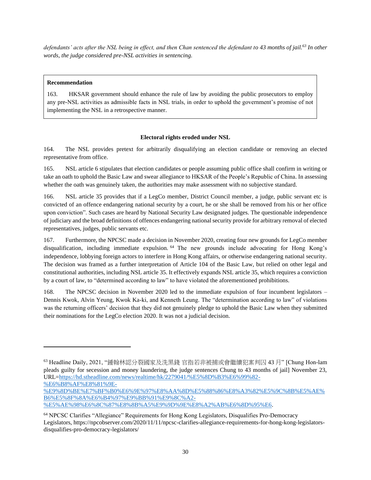*defendants' acts after the NSL being in effect, and then Chan sentenced the defendant to 43 months of jail.<sup>63</sup> In other words, the judge considered pre-NSL activities in sentencing.* 

### **Recommendation**

163. HKSAR government should enhance the rule of law by avoiding the public prosecutors to employ any pre-NSL activities as admissible facts in NSL trials, in order to uphold the government's promise of not implementing the NSL in a retrospective manner.

### **Electoral rights eroded under NSL**

<span id="page-30-0"></span>164. The NSL provides pretext for arbitrarily disqualifying an election candidate or removing an elected representative from office.

165. NSL article 6 stipulates that election candidates or people assuming public office shall confirm in writing or take an oath to uphold the Basic Law and swear allegiance to HKSAR of the People's Republic of China. In assessing whether the oath was genuinely taken, the authorities may make assessment with no subjective standard.

166. NSL article 35 provides that if a LegCo member, District Council member, a judge, public servant etc is convicted of an offence endangering national security by a court, he or she shall be removed from his or her office upon conviction". Such cases are heard by National Security Law designated judges. The questionable independence of judiciary and the broad definitions of offences endangering national security provide for arbitrary removal of elected representatives, judges, public servants etc.

167. Furthermore, the NPCSC made a decision in November 2020, creating four new grounds for LegCo member disqualification, including immediate expulsion. <sup>64</sup> The new grounds include advocating for Hong Kong's independence, lobbying foreign actors to interfere in Hong Kong affairs, or otherwise endangering national security. The decision was framed as a further interpretation of Article 104 of the Basic Law, but relied on other legal and constitutional authorities, including NSL article 35. It effectively expands NSL article 35, which requires a conviction by a court of law, to "determined according to law" to have violated the aforementioned prohibitions.

168. The NPCSC decision in November 2020 led to the immediate expulsion of four incumbent legislators – Dennis Kwok, Alvin Yeung, Kwok Ka-ki, and Kenneth Leung. The "determination according to law" of violations was the returning officers' decision that they did not genuinely pledge to uphold the Basic Law when they submitted their nominations for the LegCo election 2020. It was not a judicial decision.

<sup>63</sup> Headline Daily, 2021, "鍾翰林認分裂國家及洗黑錢 官指若非被捕或會繼續犯案判囚 43 月" [Chung Hon-lam pleads guilty for secession and money laundering, the judge sentences Chung to 43 months of jail] November 23, URL[=https://hd.stheadline.com/news/realtime/hk/2279041/%E5%8D%B3%E6%99%82-](https://hd.stheadline.com/news/realtime/hk/2279041/%E5%8D%B3%E6%99%82-%E6%B8%AF%E8%81%9E-%E9%8D%BE%E7%BF%B0%E6%9E%97%E8%AA%8D%E5%88%86%E8%A3%82%E5%9C%8B%E5%AE%B6%E5%8F%8A%E6%B4%97%E9%BB%91%E9%8C%A2-%E5%AE%98%E6%8C%87%E8%8B%A5%E9%9D%9E%E8%A2%AB%E6%8D%95%E6%88%96%E6%9C%83%E7%B9%BC%E7%BA%8C%E7%8A%AF%E6%A1%88%E5%88%A4%E5%9B%9A43%E6%9C%88) [%E6%B8%AF%E8%81%9E-](https://hd.stheadline.com/news/realtime/hk/2279041/%E5%8D%B3%E6%99%82-%E6%B8%AF%E8%81%9E-%E9%8D%BE%E7%BF%B0%E6%9E%97%E8%AA%8D%E5%88%86%E8%A3%82%E5%9C%8B%E5%AE%B6%E5%8F%8A%E6%B4%97%E9%BB%91%E9%8C%A2-%E5%AE%98%E6%8C%87%E8%8B%A5%E9%9D%9E%E8%A2%AB%E6%8D%95%E6%88%96%E6%9C%83%E7%B9%BC%E7%BA%8C%E7%8A%AF%E6%A1%88%E5%88%A4%E5%9B%9A43%E6%9C%88)

[<sup>%</sup>E9%8D%BE%E7%BF%B0%E6%9E%97%E8%AA%8D%E5%88%86%E8%A3%82%E5%9C%8B%E5%AE%](https://hd.stheadline.com/news/realtime/hk/2279041/%E5%8D%B3%E6%99%82-%E6%B8%AF%E8%81%9E-%E9%8D%BE%E7%BF%B0%E6%9E%97%E8%AA%8D%E5%88%86%E8%A3%82%E5%9C%8B%E5%AE%B6%E5%8F%8A%E6%B4%97%E9%BB%91%E9%8C%A2-%E5%AE%98%E6%8C%87%E8%8B%A5%E9%9D%9E%E8%A2%AB%E6%8D%95%E6%88%96%E6%9C%83%E7%B9%BC%E7%BA%8C%E7%8A%AF%E6%A1%88%E5%88%A4%E5%9B%9A43%E6%9C%88) [B6%E5%8F%8A%E6%B4%97%E9%BB%91%E9%8C%A2-](https://hd.stheadline.com/news/realtime/hk/2279041/%E5%8D%B3%E6%99%82-%E6%B8%AF%E8%81%9E-%E9%8D%BE%E7%BF%B0%E6%9E%97%E8%AA%8D%E5%88%86%E8%A3%82%E5%9C%8B%E5%AE%B6%E5%8F%8A%E6%B4%97%E9%BB%91%E9%8C%A2-%E5%AE%98%E6%8C%87%E8%8B%A5%E9%9D%9E%E8%A2%AB%E6%8D%95%E6%88%96%E6%9C%83%E7%B9%BC%E7%BA%8C%E7%8A%AF%E6%A1%88%E5%88%A4%E5%9B%9A43%E6%9C%88)

[<sup>%</sup>E5%AE%98%E6%8C%87%E8%8B%A5%E9%9D%9E%E8%A2%AB%E6%8D%95%E6.](https://hd.stheadline.com/news/realtime/hk/2279041/%E5%8D%B3%E6%99%82-%E6%B8%AF%E8%81%9E-%E9%8D%BE%E7%BF%B0%E6%9E%97%E8%AA%8D%E5%88%86%E8%A3%82%E5%9C%8B%E5%AE%B6%E5%8F%8A%E6%B4%97%E9%BB%91%E9%8C%A2-%E5%AE%98%E6%8C%87%E8%8B%A5%E9%9D%9E%E8%A2%AB%E6%8D%95%E6%88%96%E6%9C%83%E7%B9%BC%E7%BA%8C%E7%8A%AF%E6%A1%88%E5%88%A4%E5%9B%9A43%E6%9C%88)

<sup>64</sup> NPCSC Clarifies "Allegiance" Requirements for Hong Kong Legislators, Disqualifies Pro-Democracy Legislators, https://npcobserver.com/2020/11/11/npcsc-clarifies-allegiance-requirements-for-hong-kong-legislatorsdisqualifies-pro-democracy-legislators/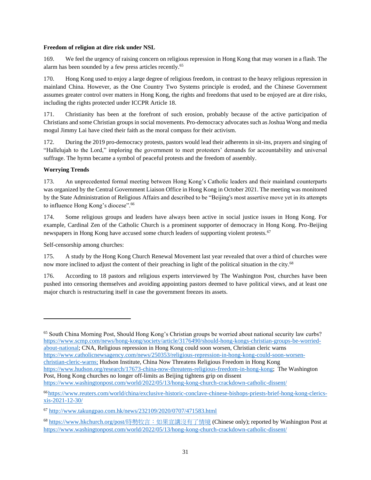### <span id="page-31-0"></span>**Freedom of religion at dire risk under NSL**

169. We feel the urgency of raising concern on religious repression in Hong Kong that may worsen in a flash. The alarm has been sounded by a few press articles recently.<sup>65</sup>

170. Hong Kong used to enjoy a large degree of religious freedom, in contrast to the heavy religious repression in mainland China. However, as the One Country Two Systems principle is eroded, and the Chinese Government assumes greater control over matters in Hong Kong, the rights and freedoms that used to be enjoyed are at dire risks, including the rights protected under ICCPR Article 18.

171. Christianity has been at the forefront of such erosion, probably because of the active participation of Christians and some Christian groups in social movements. Pro-democracy advocates such as Joshua Wong and media mogul Jimmy Lai have cited their faith as the moral compass for their activism.

172. During the 2019 pro-democracy protests, pastors would lead their adherents in sit-ins, prayers and singing of "Hallelujah to the Lord," imploring the government to meet protesters' demands for accountability and universal suffrage. The hymn became a symbol of peaceful protests and the freedom of assembly.

### **Worrying Trends**

173. An unprecedented formal meeting between Hong Kong's Catholic leaders and their mainland counterparts was organized by the Central Government Liaison Office in Hong Kong in October 2021. The meeting was monitored by the State Administration of Religious Affairs and described to be "Beijing's most assertive move yet in its attempts to influence Hong Kong's diocese".<sup>66</sup>

174. Some religious groups and leaders have always been active in social justice issues in Hong Kong. For example, Cardinal Zen of the Catholic Church is a prominent supporter of democracy in Hong Kong. Pro-Beijing newspapers in Hong Kong have accused some church leaders of supporting violent protests.<sup>67</sup>

Self-censorship among churches:

175. A study by the Hong Kong Church Renewal Movement last year revealed that over a third of churches were now more inclined to adjust the content of their preaching in light of the political situation in the city.<sup>68</sup>

176. According to 18 pastors and religious experts interviewed by The Washington Post, churches have been pushed into censoring themselves and avoiding appointing pastors deemed to have political views, and at least one major church is restructuring itself in case the government freezes its assets.

<https://www.washingtonpost.com/world/2022/05/13/hong-kong-church-crackdown-catholic-dissent/>

<sup>65</sup> South China Morning Post, Should Hong Kong's Christian groups be worried about national security law curbs? [https://www.scmp.com/news/hong-kong/society/article/3176490/should-hong-kongs-christian-groups-be-worried](https://www.scmp.com/news/hong-kong/society/article/3176490/should-hong-kongs-christian-groups-be-worried-about-national)[about-national;](https://www.scmp.com/news/hong-kong/society/article/3176490/should-hong-kongs-christian-groups-be-worried-about-national) CNA, Religious repression in Hong Kong could soon worsen, Christian cleric warns

[https://www.catholicnewsagency.com/news/250353/religious-repression-in-hong-kong-could-soon-worsen](https://www.catholicnewsagency.com/news/250353/religious-repression-in-hong-kong-could-soon-worsen-christian-cleric-warns;Hudson)[christian-cleric-warns;](https://www.catholicnewsagency.com/news/250353/religious-repression-in-hong-kong-could-soon-worsen-christian-cleric-warns;Hudson) Hudson Institute, China Now Threatens Religious Freedom in Hong Kong

[https://www.hudson.org/research/17673-china-now-threatens-religious-freedom-in-hong-kong;](https://www.hudson.org/research/17673-china-now-threatens-religious-freedom-in-hong-kong) The Washington Post, Hong Kong churches no longer off-limits as Beijing tightens grip on dissent

<sup>66</sup> [https://www.reuters.com/world/china/exclusive-historic-conclave-chinese-bishops-priests-brief-hong-kong-clerics](https://www.reuters.com/world/china/exclusive-historic-conclave-chinese-bishops-priests-brief-hong-kong-clerics-xis-2021-12-30/)[xis-2021-12-30/](https://www.reuters.com/world/china/exclusive-historic-conclave-chinese-bishops-priests-brief-hong-kong-clerics-xis-2021-12-30/)

<sup>67</sup> <http://www.takungpao.com.hk/news/232109/2020/0707/471583.html>

<sup>68</sup> [https://www.hkchurch.org/post/](https://www.hkchurch.org/post/時勢牧言：如果宣講沒有了情境)[時勢牧言:如果宣講沒有了情境](https://www.hkchurch.org/post/時勢牧言：如果宣講沒有了情境) (Chinese only); reported by Washington Post at <https://www.washingtonpost.com/world/2022/05/13/hong-kong-church-crackdown-catholic-dissent/>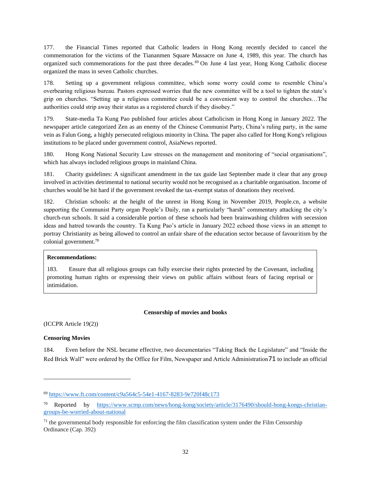177. the Financial Times reported that Catholic leaders in Hong Kong recently decided to cancel the commemoration for the victims of the Tiananmen Square Massacre on June 4, 1989, this year. The church has organized such commemorations for the past three decades.<sup>69</sup> On June 4 last year, Hong Kong Catholic diocese organized the mass in seven Catholic churches.

178. Setting up a government religious committee, which some worry could come to resemble China's overbearing religious bureau. Pastors expressed worries that the new committee will be a tool to tighten the state's grip on churches. "Setting up a religious committee could be a convenient way to control the churches…The authorities could strip away their status as a registered church if they disobey."

179. State-media Ta Kung Pao published four articles about Catholicism in Hong Kong in January 2022. The newspaper article categorized Zen as an enemy of the Chinese Communist Party, China's ruling party, in the same vein as Falun Gong, a highly persecuted religious minority in China. The paper also called for Hong Kong's religious institutions to be placed under government control, AsiaNews reported.

180. Hong Kong National Security Law stresses on the management and monitoring of "social organisations", which has always included religious groups in mainland China.

181. Charity guidelines: A significant amendment in the tax guide last September made it clear that any group involved in activities detrimental to national security would not be recognised as a charitable organisation. Income of churches would be hit hard if the government revoked the tax-exempt status of donations they received.

182. Christian schools: at the height of the unrest in Hong Kong in November 2019, People.cn, a website supporting the Communist Party organ People's Daily, ran a particularly "harsh" commentary attacking the city's church-run schools. It said a considerable portion of these schools had been brainwashing children with secession ideas and hatred towards the country. Ta Kung Pao's article in January 2022 echoed those views in an attempt to portray Christianity as being allowed to control an unfair share of the education sector because of favouritism by the colonial government.<sup>70</sup>

### **Recommendations:**

183. Ensure that all religious groups can fully exercise their rights protected by the Covenant, including promoting human rights or expressing their views on public affairs without fears of facing reprisal or intimidation.

#### **Censorship of movies and books**

<span id="page-32-0"></span>(ICCPR Article 19(2))

### <span id="page-32-1"></span>**Censoring Movies**

184. Even before the NSL became effective, two documentaries "Taking Back the Legislature" and "Inside the Red Brick Wall" were ordered by the Office for Film, Newspaper and Article Administration71 to include an official

<sup>69</sup> <https://www.ft.com/content/c9a564c5-54e1-4167-8283-9e720f48c173>

<sup>70</sup> Reported by [https://www.scmp.com/news/hong-kong/society/article/3176490/should-hong-kongs-christian](https://www.scmp.com/news/hong-kong/society/article/3176490/should-hong-kongs-christian-groups-be-worried-about-national)[groups-be-worried-about-national](https://www.scmp.com/news/hong-kong/society/article/3176490/should-hong-kongs-christian-groups-be-worried-about-national)

 $<sup>71</sup>$  the governmental body responsible for enforcing the film classification system under the Film Censorship</sup> Ordinance (Cap. 392)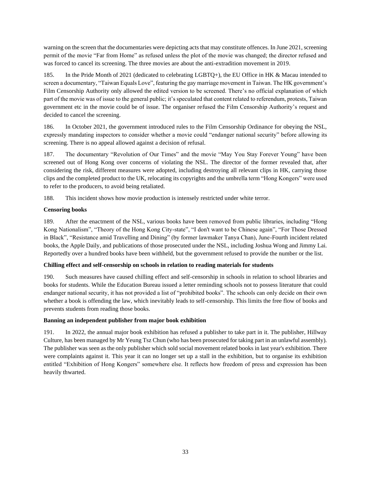warning on the screen that the documentaries were depicting acts that may constitute offences. In June 2021, screening permit of the movie "Far from Home" as refused unless the plot of the movie was changed; the director refused and was forced to cancel its screening. The three movies are about the anti-extradition movement in 2019.

185. In the Pride Month of 2021 (dedicated to celebrating LGBTQ+), the EU Office in HK & Macau intended to screen a documentary, "Taiwan Equals Love", featuring the gay marriage movement in Taiwan. The HK government's Film Censorship Authority only allowed the edited version to be screened. There's no official explanation of which part of the movie was of issue to the general public; it's speculated that content related to referendum, protests, Taiwan government etc in the movie could be of issue. The organiser refused the Film Censorship Authority's request and decided to cancel the screening.

186. In October 2021, the government introduced rules to the Film Censorship Ordinance for obeying the NSL, expressly mandating inspectors to consider whether a movie could "endanger national security" before allowing its screening. There is no appeal allowed against a decision of refusal.

187. The documentary "Revolution of Our Times" and the movie "May You Stay Forever Young" have been screened out of Hong Kong over concerns of violating the NSL. The director of the former revealed that, after considering the risk, different measures were adopted, including destroying all relevant clips in HK, carrying those clips and the completed product to the UK, relocating its copyrights and the umbrella term "Hong Kongers" were used to refer to the producers, to avoid being retaliated.

188. This incident shows how movie production is intensely restricted under white terror.

### <span id="page-33-0"></span>**Censoring books**

189. After the enactment of the NSL, various books have been removed from public libraries, including "Hong Kong Nationalism", "Theory of the Hong Kong City-state", "I don't want to be Chinese again", "For Those Dressed in Black", "Resistance amid Travelling and Dining" (by former lawmaker Tanya Chan), June-Fourth incident related books, the Apple Daily, and publications of those prosecuted under the NSL, including Joshua Wong and Jimmy Lai. Reportedly over a hundred books have been withheld, but the government refused to provide the number or the list.

# <span id="page-33-1"></span>**Chilling effect and self-censorship on schools in relation to reading materials for students**

190. Such measures have caused chilling effect and self-censorship in schools in relation to school libraries and books for students. While the Education Bureau issued a letter reminding schools not to possess literature that could endanger national security, it has not provided a list of "prohibited books". The schools can only decide on their own whether a book is offending the law, which inevitably leads to self-censorship. This limits the free flow of books and prevents students from reading those books.

### <span id="page-33-2"></span>**Banning an independent publisher from major book exhibition**

<span id="page-33-3"></span>191. In 2022, the annual major book exhibition has refused a publisher to take part in it. The publisher, Hillway Culture, has been managed by Mr Yeung Tsz Chun (who has been prosecuted for taking part in an unlawful assembly). The publisher was seen as the only publisher which sold social movement related books in last year's exhibition. There were complaints against it. This year it can no longer set up a stall in the exhibition, but to organise its exhibition entitled "Exhibition of Hong Kongers" somewhere else. It reflects how freedom of press and expression has been heavily thwarted.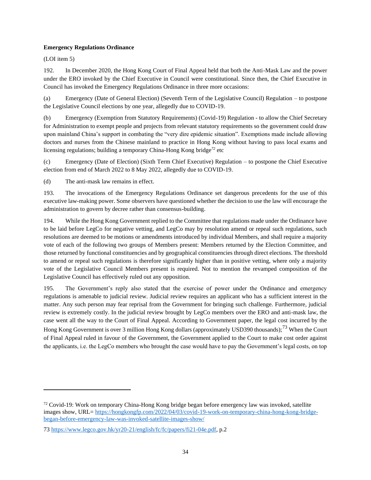### **Emergency Regulations Ordinance**

(LOI item 5)

192. In December 2020, the Hong Kong Court of Final Appeal held that both the Anti-Mask Law and the power under the ERO invoked by the Chief Executive in Council were constitutional. Since then, the Chief Executive in Council has invoked the Emergency Regulations Ordinance in three more occasions:

(a) Emergency (Date of General Election) (Seventh Term of the Legislative Council) Regulation – to postpone the Legislative Council elections by one year, allegedly due to COVID-19.

(b) Emergency (Exemption from Statutory Requirements) (Covid-19) Regulation - to allow the Chief Secretary for Administration to exempt people and projects from relevant statutory requirements so the government could draw upon mainland China's support in combating the "very dire epidemic situation". Exemptions made include allowing doctors and nurses from the Chinese mainland to practice in Hong Kong without having to pass local exams and licensing regulations; building a temporary China-Hong Kong bridge*<sup>72</sup>* etc

(c) Emergency (Date of Election) (Sixth Term Chief Executive) Regulation – to postpone the Chief Executive election from end of March 2022 to 8 May 2022, allegedly due to COVID-19.

(d) The anti-mask law remains in effect.

193. The invocations of the Emergency Regulations Ordinance set dangerous precedents for the use of this executive law-making power. Some observers have questioned whether the decision to use the law will encourage the administration to govern by decree rather than consensus-building.

194. While the Hong Kong Government replied to the Committee that regulations made under the Ordinance have to be laid before LegCo for negative vetting, and LegCo may by resolution amend or repeal such regulations, such resolutions are deemed to be motions or amendments introduced by individual Members, and shall require a majority vote of each of the following two groups of Members present: Members returned by the Election Committee, and those returned by functional constituencies and by geographical constituencies through direct elections. The threshold to amend or repeal such regulations is therefore significantly higher than in positive vetting, where only a majority vote of the Legislative Council Members present is required. Not to mention the revamped composition of the Legislative Council has effectively ruled out any opposition.

195. The Government's reply also stated that the exercise of power under the Ordinance and emergency regulations is amenable to judicial review. Judicial review requires an applicant who has a sufficient interest in the matter. Any such person may fear reprisal from the Government for bringing such challenge. Furthermore, judicial review is extremely costly. In the judicial review brought by LegCo members over the ERO and anti-mask law, the case went all the way to the Court of Final Appeal. According to Government paper, the legal cost incurred by the Hong Kong Government is over 3 million Hong Kong dollars (approximately USD390 thousands);<sup>73</sup> When the Court of Final Appeal ruled in favour of the Government, the Government applied to the Court to make cost order against the applicants, i.e. the LegCo members who brought the case would have to pay the Government's legal costs, on top

 $72$  Covid-19: Work on temporary China-Hong Kong bridge began before emergency law was invoked, satellite images show, URL= [https://hongkongfp.com/2022/04/03/covid-19-work-on-temporary-china-hong-kong-bridge](https://hongkongfp.com/2022/04/03/covid-19-work-on-temporary-china-hong-kong-bridge-began-before-emergency-law-was-invoked-satellite-images-show/)[began-before-emergency-law-was-invoked-satellite-images-show/](https://hongkongfp.com/2022/04/03/covid-19-work-on-temporary-china-hong-kong-bridge-began-before-emergency-law-was-invoked-satellite-images-show/)

<sup>73</sup> [https://www.legco.gov.hk/yr20-21/english/fc/fc/papers/fi21-04e.pdf,](https://www.legco.gov.hk/yr20-21/english/fc/fc/papers/fi21-04e.pdf) p.2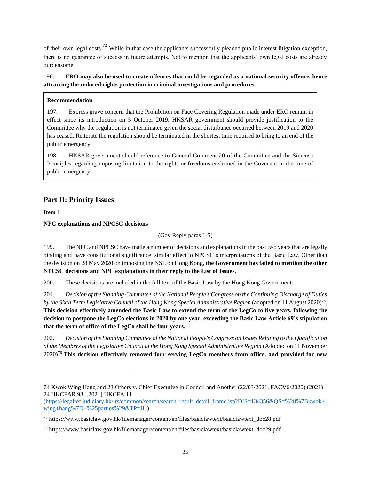of their own legal costs.<sup>74</sup> While in that case the applicants successfully pleaded public interest litigation exception, there is no guarantee of success in future attempts. Not to mention that the applicants' own legal costs are already burdensome.

196. **ERO may also be used to create offences that could be regarded as a national security offence, hence attracting the reduced rights protection in criminal investigations and procedures.** 

### **Recommendation**

197. Express grave concern that the Prohibition on Face Covering Regulation made under ERO remain in effect since its introduction on 5 October 2019. HKSAR government should provide justification to the Committee why the regulation is not terminated given the social disturbance occurred between 2019 and 2020 has ceased. Reiterate the regulation should be terminated in the shortest time required to bring to an end of the public emergency.

198. HKSAR government should reference to General Comment 20 of the Committee and the Siracusa Principles regarding imposing limitation to the rights or freedoms enshrined in the Covenant in the time of public emergency.

# <span id="page-35-0"></span>**Part II: Priority Issues**

<span id="page-35-1"></span>**Item 1**

### <span id="page-35-2"></span>**NPC explanations and NPCSC decisions**

(Gov Reply paras 1-5)

199. The NPC and NPCSC have made a number of decisions and explanations in the past two years that are legally binding and have constitutional significance, similar effect to NPCSC's interpretations of the Basic Law. Other than the decision on 28 May 2020 on imposing the NSL on Hong Kong, **the Government has failed to mention the other NPCSC decisions and NPC explanations in their reply to the List of Issues.**

200. These decisions are included in the full text of the Basic Law by the Hong Kong Government:

201. *Decision of the Standing Committee of the National People's Congress on the Continuing Discharge of Duties by the Sixth Term Legislative Council of the Hong Kong Special Administrative Region* (adopted on 11 August 2020)<sup>75</sup> . **This decision effectively amended the Basic Law to extend the term of the LegCo to five years, following the decision to postpone the LegCo elections in 2020 by one year, exceeding the Basic Law Article 69's stipulation that the term of office of the LegCo shall be four years.**

202. *Decision of the Standing Committee of the National People's Congress on Issues Relating to the Qualification of the Members of the Legislative Council of the Hong Kong Special Administrative Region* (Adopted on 11 November 2020)<sup>76</sup> **This decision effectively removed four serving LegCo members from office, and provided for new** 

<sup>74</sup> Kwok Wing Hang and 23 Others v. Chief Executive in Council and Another (22/03/2021, FACV6/2020) (2021) 24 HKCFAR 93, [2021] HKCFA 11

<sup>(</sup>https://legalref.judiciary.hk/lrs/common/search/search\_result\_detail\_frame.jsp?DIS=134356&OS=%28%7Bkwok+ [wing+hang%7D+%25parties%29&TP=JU\)](https://legalref.judiciary.hk/lrs/common/search/search_result_detail_frame.jsp?DIS=134356&QS=%28%7Bkwok+wing+hang%7D+%25parties%29&TP=JU)

<sup>75</sup> https://www.basiclaw.gov.hk/filemanager/content/en/files/basiclawtext/basiclawtext\_doc28.pdf

<sup>76</sup> https://www.basiclaw.gov.hk/filemanager/content/en/files/basiclawtext/basiclawtext\_doc29.pdf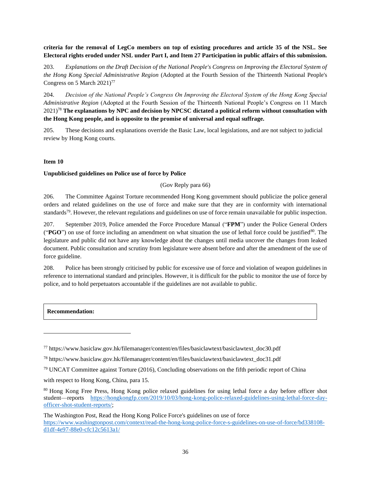**criteria for the removal of LegCo members on top of existing procedures and article 35 of the NSL. See Electoral rights eroded under NSL under Part I, and Item 27 Participation in public affairs of this submission.**

203. *Explanations on the Draft Decision of the National People's Congress on Improving the Electoral System of the Hong Kong Special Administrative Region* (Adopted at the Fourth Session of the Thirteenth National People's Congress on 5 March 2021)<sup>77</sup>

204. *Decision of the National People's Congress On Improving the Electoral System of the Hong Kong Special Administrative Region* (Adopted at the Fourth Session of the Thirteenth National People's Congress on 11 March 2021)<sup>78</sup> **The explanations by NPC and decision by NPCSC dictated a political reform without consultation with the Hong Kong people, and is opposite to the promise of universal and equal suffrage.** 

205. These decisions and explanations override the Basic Law, local legislations, and are not subject to judicial review by Hong Kong courts.

## **Item 10**

## **Unpublicised guidelines on Police use of force by Police**

(Gov Reply para 66)

206. The Committee Against Torture recommended Hong Kong government should publicize the police general orders and related guidelines on the use of force and make sure that they are in conformity with international standards<sup>79</sup>. However, the relevant regulations and guidelines on use of force remain unavailable for public inspection.

207. September 2019, Police amended the Force Procedure Manual ("**FPM**") under the Police General Orders ("**PGO**") on use of force including an amendment on what situation the use of lethal force could be justified<sup>80</sup>. The legislature and public did not have any knowledge about the changes until media uncover the changes from leaked document. Public consultation and scrutiny from legislature were absent before and after the amendment of the use of force guideline.

208. Police has been strongly criticised by public for excessive use of force and violation of weapon guidelines in reference to international standard and principles. However, it is difficult for the public to monitor the use of force by police, and to hold perpetuators accountable if the guidelines are not available to public.

### **Recommendation:**

<sup>77</sup> https://www.basiclaw.gov.hk/filemanager/content/en/files/basiclawtext/basiclawtext\_doc30.pdf

<sup>78</sup> https://www.basiclaw.gov.hk/filemanager/content/en/files/basiclawtext/basiclawtext\_doc31.pdf

<sup>79</sup> UNCAT Committee against Torture (2016), Concluding observations on the fifth periodic report of China

with respect to Hong Kong, China, para 15.

<sup>80</sup> Hong Kong Free Press, Hong Kong police relaxed guidelines for using lethal force a day before officer shot student—reports [https://hongkongfp.com/2019/10/03/hong-kong-police-relaxed-guidelines-using-lethal-force-day](https://hongkongfp.com/2019/10/03/hong-kong-police-relaxed-guidelines-using-lethal-force-day-officer-shot-student-reports/)[officer-shot-student-reports/;](https://hongkongfp.com/2019/10/03/hong-kong-police-relaxed-guidelines-using-lethal-force-day-officer-shot-student-reports/)

The Washington Post, Read the Hong Kong Police Force's guidelines on use of force [https://www.washingtonpost.com/context/read-the-hong-kong-police-force-s-guidelines-on-use-of-force/bd338108](https://www.washingtonpost.com/context/read-the-hong-kong-police-force-s-guidelines-on-use-of-force/bd338108-d1df-4e97-88e0-cfc12c5613a1/) [d1df-4e97-88e0-cfc12c5613a1/](https://www.washingtonpost.com/context/read-the-hong-kong-police-force-s-guidelines-on-use-of-force/bd338108-d1df-4e97-88e0-cfc12c5613a1/)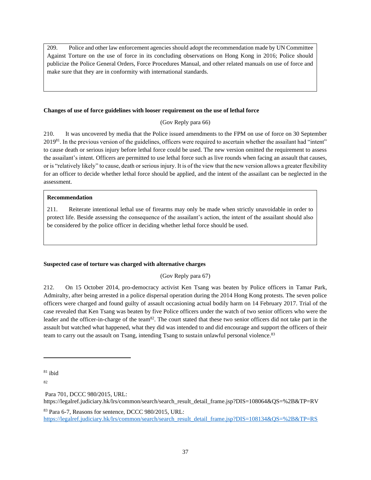209. Police and other law enforcement agencies should adopt the recommendation made by UN Committee Against Torture on the use of force in its concluding observations on Hong Kong in 2016; Police should publicize the Police General Orders, Force Procedures Manual, and other related manuals on use of force and make sure that they are in conformity with international standards.

### **Changes of use of force guidelines with looser requirement on the use of lethal force**

## (Gov Reply para 66)

210. It was uncovered by media that the Police issued amendments to the FPM on use of force on 30 September 2019<sup>81</sup>. In the previous version of the guidelines, officers were required to ascertain whether the assailant had "intent" to cause death or serious injury before lethal force could be used. The new version omitted the requirement to assess the assailant's intent. Officers are permitted to use lethal force such as live rounds when facing an assault that causes, or is "relatively likely" to cause, death or serious injury. It is of the view that the new version allows a greater flexibility for an officer to decide whether lethal force should be applied, and the intent of the assailant can be neglected in the assessment.

## **Recommendation**

211. Reiterate intentional lethal use of firearms may only be made when strictly unavoidable in order to protect life. Beside assessing the consequence of the assailant's action, the intent of the assailant should also be considered by the police officer in deciding whether lethal force should be used.

## **Suspected case of torture was charged with alternative charges**

(Gov Reply para 67)

212. On 15 October 2014, pro-democracy activist Ken Tsang was beaten by Police officers in Tamar Park, Admiralty, after being arrested in a police dispersal operation during the 2014 Hong Kong protests. The seven police officers were charged and found guilty of assault occasioning actual bodily harm on 14 February 2017. Trial of the case revealed that Ken Tsang was beaten by five Police officers under the watch of two senior officers who were the leader and the officer-in-charge of the team<sup>82</sup>. The court stated that these two senior officers did not take part in the assault but watched what happened, what they did was intended to and did encourage and support the officers of their team to carry out the assault on Tsang, intending Tsang to sustain unlawful personal violence.<sup>83</sup>

82

Para 701, DCCC 980/2015, URL:

https://legalref.judiciary.hk/lrs/common/search/search\_result\_detail\_frame.jsp?DIS=108064&OS=%2B&TP=RV

<sup>83</sup> Para 6-7, Reasons for sentence, DCCC 980/2015, URL: [https://legalref.judiciary.hk/lrs/common/search/search\\_result\\_detail\\_frame.jsp?DIS=108134&QS=%2B&TP=RS](https://legalref.judiciary.hk/lrs/common/search/search_result_detail_frame.jsp?DIS=108134&QS=%2B&TP=RS)

 $81$  ibid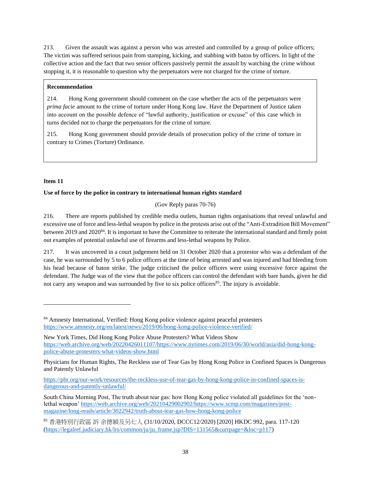213. Given the assault was against a person who was arrested and controlled by a group of police officers; The victim was suffered serious pain from stamping, kicking, and stabbing with baton by officers. In light of the collective action and the fact that two senior officers passively permit the assault by watching the crime without stopping it, it is reasonable to question why the perpetuators were not charged for the crime of torture.

## **Recommendation**

214. Hong Kong government should comment on the case whether the acts of the perpetuators were *prima facie* amount to the crime of torture under Hong Kong law. Have the Department of Justice taken into account on the possible defence of "lawful authority, justification or excuse" of this case which in turns decided not to charge the perpetuators for the crime of torture.

215. Hong Kong government should provide details of prosecution policy of the crime of torture in contrary to Crimes (Torture) Ordinance.

# **Item 11**

# **Use of force by the police in contrary to international human rights standard**

(Gov Reply paras 70-76)

216. There are reports published by credible media outlets, human rights organisations that reveal unlawful and excessive use of force and less-lethal weapon by police in the protests arise out of the "Anti-Extradition Bill Movement" between 2019 and 2020<sup>84</sup>. It is important to have the Committee to reiterate the international standard and firmly point out examples of potential unlawful use of firearms and less-lethal weapons by Police.

217. It was uncovered in a court judgement held on 31 October 2020 that a protestor who was a defendant of the case, he was surrounded by 5 to 6 police officers at the time of being arrested and was injured and had bleeding from his head because of baton strike. The judge criticised the police officers were using excessive force against the defendant. The Judge was of the view that the police officers can control the defendant with bare hands, given he did not carry any weapon and was surrounded by five to six police officers<sup>85</sup>. The injury is avoidable.

<sup>85</sup> 香港特別行政區 訴 余德穎及另七人 (31/10/2020, DCCC12/2020) [2020] HKDC 992, para. 117-120 [\(https://legalref.judiciary.hk/lrs/common/ju/ju\\_frame.jsp?DIS=131565&currpage=&loc=p117\)](https://legalref.judiciary.hk/lrs/common/ju/ju_frame.jsp?DIS=131565&currpage=&loc=p117)

<sup>84</sup> Amnesty International, Verified: Hong Kong police violence against peaceful protesters <https://www.amnesty.org/en/latest/news/2019/06/hong-kong-police-violence-verified/>

New York Times, Did Hong Kong Police Abuse Protesters? What Videos Show [https://web.archive.org/web/20220426011107/https://www.nytimes.com/2019/06/30/world/asia/did-hong-kong](https://web.archive.org/web/20220426011107/https:/www.nytimes.com/2019/06/30/world/asia/did-hong-kong-police-abuse-protesters-what-videos-show.html)[police-abuse-protesters-what-videos-show.html](https://web.archive.org/web/20220426011107/https:/www.nytimes.com/2019/06/30/world/asia/did-hong-kong-police-abuse-protesters-what-videos-show.html)

Physicians for Human Rights, The Reckless use of Tear Gas by Hong Kong Police in Confined Spaces is Dangerous and Patently Unlawful

[https://phr.org/our-work/resources/the-reckless-use-of-tear-gas-by-hong-kong-police-in-confined-spaces-is](https://phr.org/our-work/resources/the-reckless-use-of-tear-gas-by-hong-kong-police-in-confined-spaces-is-dangerous-and-patently-unlawful/)[dangerous-and-patently-unlawful/](https://phr.org/our-work/resources/the-reckless-use-of-tear-gas-by-hong-kong-police-in-confined-spaces-is-dangerous-and-patently-unlawful/)

South China Morning Post, The truth about tear gas: how Hong Kong police violated all guidelines for the 'nonlethal weapon[' https://web.archive.org/web/20210429002902/https://www.scmp.com/magazines/post](https://web.archive.org/web/20210429002902/https:/www.scmp.com/magazines/post-magazine/long-reads/article/3022942/truth-about-tear-gas-how-hong-kong-police)[magazine/long-reads/article/3022942/truth-about-tear-gas-how-hong-kong-police](https://web.archive.org/web/20210429002902/https:/www.scmp.com/magazines/post-magazine/long-reads/article/3022942/truth-about-tear-gas-how-hong-kong-police)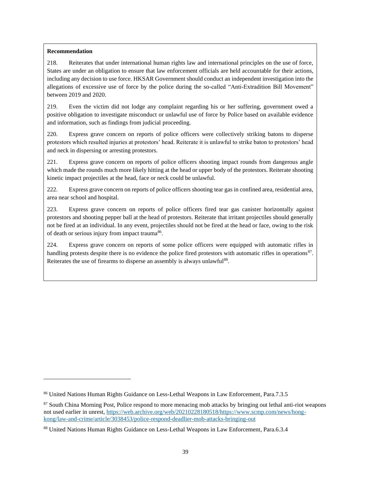## **Recommendation**

218. Reiterates that under international human rights law and international principles on the use of force, States are under an obligation to ensure that law enforcement officials are held accountable for their actions, including any decision to use force. HKSAR Government should conduct an independent investigation into the allegations of excessive use of force by the police during the so-called "Anti-Extradition Bill Movement" between 2019 and 2020.

219. Even the victim did not lodge any complaint regarding his or her suffering, government owed a positive obligation to investigate misconduct or unlawful use of force by Police based on available evidence and information, such as findings from judicial proceeding.

220. Express grave concern on reports of police officers were collectively striking batons to disperse protestors which resulted injuries at protestors' head. Reiterate it is unlawful to strike baton to protestors' head and neck in dispersing or arresting protestors.

221. Express grave concern on reports of police officers shooting impact rounds from dangerous angle which made the rounds much more likely hitting at the head or upper body of the protestors. Reiterate shooting kinetic impact projectiles at the head, face or neck could be unlawful.

222. Express grave concern on reports of police officers shooting tear gas in confined area, residential area, area near school and hospital.

223. Express grave concern on reports of police officers fired tear gas canister horizontally against protestors and shooting pepper ball at the head of protestors. Reiterate that irritant projectiles should generally not be fired at an individual. In any event, projectiles should not be fired at the head or face, owing to the risk of death or serious injury from impact trauma<sup>86</sup>.

224. Express grave concern on reports of some police officers were equipped with automatic rifles in handling protests despite there is no evidence the police fired protestors with automatic rifles in operations $87$ . Reiterates the use of firearms to disperse an assembly is always unlawful<sup>88</sup>.

<sup>86</sup> United Nations Human Rights Guidance on Less-Lethal Weapons in Law Enforcement, Para.7.3.5

<sup>&</sup>lt;sup>87</sup> South China Morning Post, Police respond to more menacing mob attacks by bringing out lethal anti-riot weapons not used earlier in unrest, [https://web.archive.org/web/20210228180518/https://www.scmp.com/news/hong](https://web.archive.org/web/20210228180518/https:/www.scmp.com/news/hong-kong/law-and-crime/article/3038453/police-respond-deadlier-mob-attacks-bringing-out)[kong/law-and-crime/article/3038453/police-respond-deadlier-mob-attacks-bringing-out](https://web.archive.org/web/20210228180518/https:/www.scmp.com/news/hong-kong/law-and-crime/article/3038453/police-respond-deadlier-mob-attacks-bringing-out)

<sup>88</sup> United Nations Human Rights Guidance on Less-Lethal Weapons in Law Enforcement, Para.6.3.4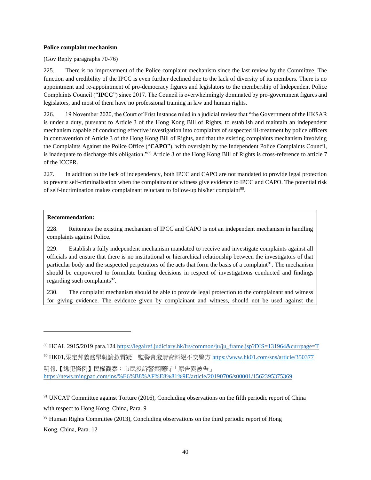#### **Police complaint mechanism**

(Gov Reply paragraphs 70-76)

225. There is no improvement of the Police complaint mechanism since the last review by the Committee. The function and credibility of the IPCC is even further declined due to the lack of diversity of its members. There is no appointment and re-appointment of pro-democracy figures and legislators to the membership of Independent Police Complaints Council ("**IPCC**") since 2017. The Council is overwhelmingly dominated by pro-government figures and legislators, and most of them have no professional training in law and human rights.

226. 19 November 2020, the Court of Frist Instance ruled in a judicial review that "the Government of the HKSAR is under a duty, pursuant to Article 3 of the Hong Kong Bill of Rights, to establish and maintain an independent mechanism capable of conducting effective investigation into complaints of suspected ill-treatment by police officers in contravention of Article 3 of the Hong Kong Bill of Rights, and that the existing complaints mechanism involving the Complaints Against the Police Office ("**CAPO**"), with oversight by the Independent Police Complaints Council, is inadequate to discharge this obligation."<sup>89</sup> Article 3 of the Hong Kong Bill of Rights is cross-reference to article 7 of the ICCPR.

227. In addition to the lack of independency, both IPCC and CAPO are not mandated to provide legal protection to prevent self-criminalisation when the complainant or witness give evidence to IPCC and CAPO. The potential risk of self-incrimination makes complainant reluctant to follow-up his/her complaint<sup>90</sup>.

### **Recommendation:**

228. Reiterates the existing mechanism of IPCC and CAPO is not an independent mechanism in handling complaints against Police.

229. Establish a fully independent mechanism mandated to receive and investigate complaints against all officials and ensure that there is no institutional or hierarchical relationship between the investigators of that particular body and the suspected perpetrators of the acts that form the basis of a complaint<sup>91</sup>. The mechanism should be empowered to formulate binding decisions in respect of investigations conducted and findings regarding such complaints<sup>92</sup>.

230. The complaint mechanism should be able to provide legal protection to the complainant and witness for giving evidence. The evidence given by complainant and witness, should not be used against the

 $92$  Human Rights Committee (2013), Concluding observations on the third periodic report of Hong Kong, China, Para. 12

<sup>89</sup> HCAL 2915/2019 para.124 [https://legalref.judiciary.hk/lrs/common/ju/ju\\_frame.jsp?DIS=131964&currpage=T](https://legalref.judiciary.hk/lrs/common/ju/ju_frame.jsp?DIS=131964&currpage=T) <sup>90</sup> HK01,梁定邦義務舉報論惹質疑 監警會澄清資料絕不交警方 <https://www.hk01.com/sns/article/350377> 明報,【逃犯條例】民權觀察:市民投訴警察隨時「原告變被告」 <https://news.mingpao.com/ins/%E6%B8%AF%E8%81%9E/article/20190706/s00001/1562395375369>

<sup>&</sup>lt;sup>91</sup> UNCAT Committee against Torture (2016), Concluding observations on the fifth periodic report of China with respect to Hong Kong, China, Para. 9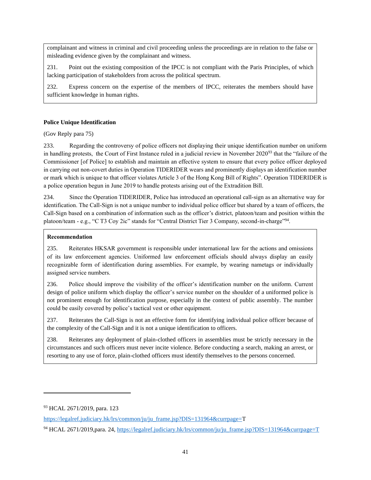complainant and witness in criminal and civil proceeding unless the proceedings are in relation to the false or misleading evidence given by the complainant and witness.

231. Point out the existing composition of the IPCC is not compliant with the Paris Principles, of which lacking participation of stakeholders from across the political spectrum.

232. Express concern on the expertise of the members of IPCC, reiterates the members should have sufficient knowledge in human rights.

## **Police Unique Identification**

## (Gov Reply para 75)

233. Regarding the controversy of police officers not displaying their unique identification number on uniform in handling protests, the Court of First Instance ruled in a judicial review in November 2020<sup>93</sup> that the "failure of the Commissioner [of Police] to establish and maintain an effective system to ensure that every police officer deployed in carrying out non-covert duties in Operation TIDERIDER wears and prominently displays an identification number or mark which is unique to that officer violates Article 3 of the Hong Kong Bill of Rights". Operation TIDERIDER is a police operation begun in June 2019 to handle protests arising out of the Extradition Bill.

234. Since the Operation TIDERIDER, Police has introduced an operational call-sign as an alternative way for identification. The Call-Sign is not a unique number to individual police officer but shared by a team of officers, the Call-Sign based on a combination of information such as the officer's district, platoon/team and position within the platoon/team - e.g., "C T3 Coy 2ic" stands for "Central District Tier 3 Company, second-in-charge", parallel

## **Recommendation**

235. Reiterates HKSAR government is responsible under international law for the actions and omissions of its law enforcement agencies. Uniformed law enforcement officials should always display an easily recognizable form of identification during assemblies. For example, by wearing nametags or individually assigned service numbers.

236. Police should improve the visibility of the officer's identification number on the uniform. Current design of police uniform which display the officer's service number on the shoulder of a uniformed police is not prominent enough for identification purpose, especially in the context of public assembly. The number could be easily covered by police's tactical vest or other equipment.

237. Reiterates the Call-Sign is not an effective form for identifying individual police officer because of the complexity of the Call-Sign and it is not a unique identification to officers.

238. Reiterates any deployment of plain-clothed officers in assemblies must be strictly necessary in the circumstances and such officers must never incite violence. Before conducting a search, making an arrest, or resorting to any use of force, plain-clothed officers must identify themselves to the persons concerned.

<sup>93</sup> HCAL 2671/2019, para. 123

[https://legalref.judiciary.hk/lrs/common/ju/ju\\_frame.jsp?DIS=131964&currpage=T](https://legalref.judiciary.hk/lrs/common/ju/ju_frame.jsp?DIS=131964&currpage=)

<sup>94</sup> HCAL 2671/2019,para. 24, [https://legalref.judiciary.hk/lrs/common/ju/ju\\_frame.jsp?DIS=131964&currpage=T](https://legalref.judiciary.hk/lrs/common/ju/ju_frame.jsp?DIS=131964&currpage=T)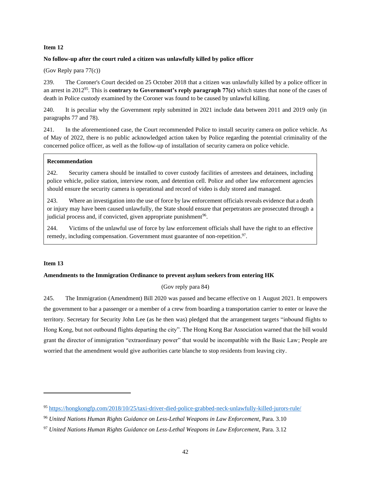#### **Item 12**

#### **No follow-up after the court ruled a citizen was unlawfully killed by police officer**

#### (Gov Reply para 77(c))

239. The Coroner's Court decided on 25 October 2018 that a citizen was unlawfully killed by a police officer in an arrest in 2012<sup>95</sup>. This is **contrary to Government's reply paragraph 77(c)** which states that none of the cases of death in Police custody examined by the Coroner was found to be caused by unlawful killing.

240. It is peculiar why the Government reply submitted in 2021 include data between 2011 and 2019 only (in paragraphs 77 and 78).

241. In the aforementioned case, the Court recommended Police to install security camera on police vehicle. As of May of 2022, there is no public acknowledged action taken by Police regarding the potential criminality of the concerned police officer, as well as the follow-up of installation of security camera on police vehicle.

#### **Recommendation**

242. Security camera should be installed to cover custody facilities of arrestees and detainees, including police vehicle, police station, interview room, and detention cell. Police and other law enforcement agencies should ensure the security camera is operational and record of video is duly stored and managed.

243. Where an investigation into the use of force by law enforcement officials reveals evidence that a death or injury may have been caused unlawfully, the State should ensure that perpetrators are prosecuted through a judicial process and, if convicted, given appropriate punishment<sup>96</sup>.

244. Victims of the unlawful use of force by law enforcement officials shall have the right to an effective remedy, including compensation. Government must guarantee of non-repetition.<sup>97</sup>.

#### **Item 13**

#### **Amendments to the Immigration Ordinance to prevent asylum seekers from entering HK**

### (Gov reply para 84)

245. The Immigration (Amendment) Bill 2020 was passed and became effective on 1 August 2021. It empowers the government to bar a passenger or a member of a crew from boarding a transportation carrier to enter or leave the territory. Secretary for Security John Lee (as he then was) pledged that the arrangement targets "inbound flights to Hong Kong, but not outbound flights departing the city". The Hong Kong Bar Association warned that the bill would grant the director of immigration "extraordinary power" that would be incompatible with the Basic Law; People are worried that the amendment would give authorities carte blanche to stop residents from leaving city.

<sup>95</sup> <https://hongkongfp.com/2018/10/25/taxi-driver-died-police-grabbed-neck-unlawfully-killed-jurors-rule/>

<sup>96</sup> *United Nations Human Rights Guidance on Less-Lethal Weapons in Law Enforcement*, Para. 3.10

<sup>97</sup> *United Nations Human Rights Guidance on Less-Lethal Weapons in Law Enforcement,* Para. 3.12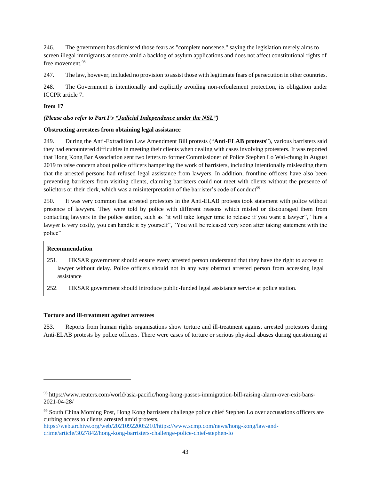246. The government has dismissed those fears as "complete nonsense," saying the legislation merely aims to screen illegal immigrants at source amid a backlog of asylum applications and does not affect constitutional rights of free movement.<sup>98</sup>

247. The law, however, included no provision to assist those with legitimate fears of persecution in other countries.

248. The Government is intentionally and explicitly avoiding non-refoulement protection, its obligation under ICCPR article 7.

## **Item 17**

## *(Please also refer to Part I's ["Judicial Independence under the NSL"\)](#page-22-0)*

### **Obstructing arrestees from obtaining legal assistance**

249. During the Anti-Extradition Law Amendment Bill protests ("**Anti-ELAB protests**"), various barristers said they had encountered difficulties in meeting their clients when dealing with cases involving protesters. It was reported that Hong Kong Bar Association sent two letters to former Commissioner of Police Stephen Lo Wai-chung in August 2019 to raise concern about police officers hampering the work of barristers, including intentionally misleading them that the arrested persons had refused legal assistance from lawyers. In addition, frontline officers have also been preventing barristers from visiting clients, claiming barristers could not meet with clients without the presence of solicitors or their clerk, which was a misinterpretation of the barrister's code of conduct<sup>99</sup>.

250. It was very common that arrested protestors in the Anti-ELAB protests took statement with police without presence of lawyers. They were told by police with different reasons which misled or discouraged them from contacting lawyers in the police station, such as "it will take longer time to release if you want a lawyer", "hire a lawyer is very costly, you can handle it by yourself", "You will be released very soon after taking statement with the police"

### **Recommendation**

- 251. HKSAR government should ensure every arrested person understand that they have the right to access to lawyer without delay. Police officers should not in any way obstruct arrested person from accessing legal assistance
- 252. HKSAR government should introduce public-funded legal assistance service at police station.

### **Torture and ill-treatment against arrestees**

253. Reports from human rights organisations show torture and ill-treatment against arrested protestors during Anti-ELAB protests by police officers. There were cases of torture or serious physical abuses during questioning at

<sup>98</sup> https://www.reuters.com/world/asia-pacific/hong-kong-passes-immigration-bill-raising-alarm-over-exit-bans-2021-04-28/

<sup>99</sup> South China Morning Post, Hong Kong barristers challenge police chief Stephen Lo over accusations officers are curbing access to clients arrested amid protests,

[https://web.archive.org/web/20210922005210/https://www.scmp.com/news/hong-kong/law-and](https://web.archive.org/web/20210922005210/https:/www.scmp.com/news/hong-kong/law-and-crime/article/3027842/hong-kong-barristers-challenge-police-chief-stephen-lo)[crime/article/3027842/hong-kong-barristers-challenge-police-chief-stephen-lo](https://web.archive.org/web/20210922005210/https:/www.scmp.com/news/hong-kong/law-and-crime/article/3027842/hong-kong-barristers-challenge-police-chief-stephen-lo)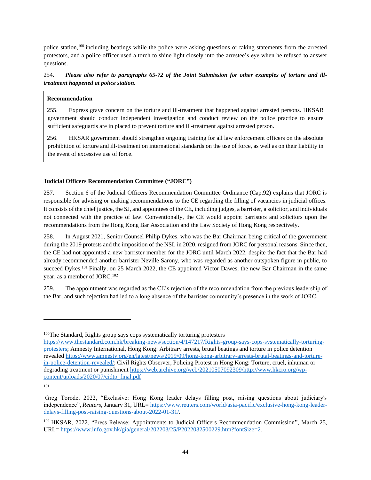police station,<sup>100</sup> including beatings while the police were asking questions or taking statements from the arrested protestors, and a police officer used a torch to shine light closely into the arrestee's eye when he refused to answer questions.

# 254. *Please also refer to paragraphs 65-72 of the Joint Submission for other examples of torture and illtreatment happened at police station.*

## **Recommendation**

255. Express grave concern on the torture and ill-treatment that happened against arrested persons. HKSAR government should conduct independent investigation and conduct review on the police practice to ensure sufficient safeguards are in placed to prevent torture and ill-treatment against arrested person.

256. HKSAR government should strengthen ongoing training for all law enforcement officers on the absolute prohibition of torture and ill-treatment on international standards on the use of force, as well as on their liability in the event of excessive use of force.

## **Judicial Officers Recommendation Committee ("JORC")**

257. Section 6 of the Judicial Officers Recommendation Committee Ordinance (Cap.92) explains that JORC is responsible for advising or making recommendations to the CE regarding the filling of vacancies in judicial offices. It consists of the chief justice, the SJ, and appointees of the CE, including judges, a barrister, a solicitor, and individuals not connected with the practice of law. Conventionally, the CE would appoint barristers and solicitors upon the recommendations from the Hong Kong Bar Association and the Law Society of Hong Kong respectively.

258. In August 2021, Senior Counsel Philip Dykes, who was the Bar Chairman being critical of the government during the 2019 protests and the imposition of the NSL in 2020, resigned from JORC for personal reasons. Since then, the CE had not appointed a new barrister member for the JORC until March 2022, despite the fact that the Bar had already recommended another barrister Neville Sarony, who was regarded as another outspoken figure in public, to succeed Dykes.<sup>101</sup> Finally, on 25 March 2022, the CE appointed Victor Dawes, the new Bar Chairman in the same year, as a member of JORC.<sup>102</sup>

259. The appointment was regarded as the CE's rejection of the recommendation from the previous leadership of the Bar, and such rejection had led to a long absence of the barrister community's presence in the work of JORC.

<sup>&</sup>lt;sup>100</sup>The Standard, Rights group says cops systematically torturing protesters

[https://www.thestandard.com.hk/breaking-news/section/4/147217/Rights-group-says-cops-systematically-torturing](https://www.thestandard.com.hk/breaking-news/section/4/147217/Rights-group-says-cops-systematically-torturing-protesters)[protesters;](https://www.thestandard.com.hk/breaking-news/section/4/147217/Rights-group-says-cops-systematically-torturing-protesters) Amnesty International, Hong Kong: Arbitrary arrests, brutal beatings and torture in police detention revealed [https://www.amnesty.org/en/latest/news/2019/09/hong-kong-arbitrary-arrests-brutal-beatings-and-torture](https://www.amnesty.org/en/latest/news/2019/09/hong-kong-arbitrary-arrests-brutal-beatings-and-torture-in-police-detention-revealed/)[in-police-detention-revealed/;](https://www.amnesty.org/en/latest/news/2019/09/hong-kong-arbitrary-arrests-brutal-beatings-and-torture-in-police-detention-revealed/) Civil Rights Observer, Policing Protest in Hong Kong: Torture, cruel, inhuman or degrading treatment or punishmen[t https://web.archive.org/web/20210507092309/http://www.hkcro.org/wp](https://web.archive.org/web/20210507092309/http:/www.hkcro.org/wp-content/uploads/2020/07/cidtp_final.pdf)[content/uploads/2020/07/cidtp\\_final.pdf](https://web.archive.org/web/20210507092309/http:/www.hkcro.org/wp-content/uploads/2020/07/cidtp_final.pdf)

<sup>101</sup>

Greg Torode, 2022, "Exclusive: Hong Kong leader delays filling post, raising questions about judiciary's independence", *Reuters*, January 31, URL= [https://www.reuters.com/world/asia-pacific/exclusive-hong-kong-leader](https://www.reuters.com/world/asia-pacific/exclusive-hong-kong-leader-delays-filling-post-raising-questions-about-2022-01-31/)[delays-filling-post-raising-questions-about-2022-01-31/.](https://www.reuters.com/world/asia-pacific/exclusive-hong-kong-leader-delays-filling-post-raising-questions-about-2022-01-31/)

<sup>102</sup> HKSAR, 2022, "Press Release: Appointments to Judicial Officers Recommendation Commission", March 25, URL= [https://www.info.gov.hk/gia/general/202203/25/P2022032500229.htm?fontSize=2.](https://www.info.gov.hk/gia/general/202203/25/P2022032500229.htm?fontSize=2)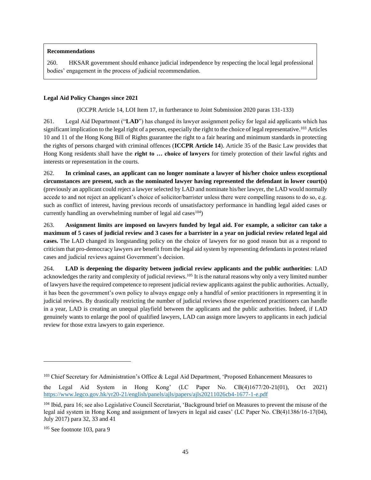## **Recommendations**

260. HKSAR government should enhance judicial independence by respecting the local legal professional bodies' engagement in the process of judicial recommendation.

## **Legal Aid Policy Changes since 2021**

<span id="page-45-0"></span>(ICCPR Article 14, LOI Item 17, in furtherance to Joint Submission 2020 paras 131-133)

261. Legal Aid Department ("**LAD**") has changed its lawyer assignment policy for legal aid applicants which has significant implication to the legal right of a person, especially the right to the choice of legal representative.<sup>103</sup> Articles 10 and 11 of the Hong Kong Bill of Rights guarantee the right to a fair hearing and minimum standards in protecting the rights of persons charged with criminal offences (**ICCPR Article 14**). Article 35 of the Basic Law provides that Hong Kong residents shall have the **right to … choice of lawyers** for timely protection of their lawful rights and interests or representation in the courts.

262. **In criminal cases, an applicant can no longer nominate a lawyer of his/her choice unless exceptional circumstances are present, such as the nominated lawyer having represented the defendant in lower court(s)**  (previously an applicant could reject a lawyer selected by LAD and nominate his/her lawyer, the LAD would normally accede to and not reject an applicant's choice of solicitor/barrister unless there were compelling reasons to do so, e.g. such as conflict of interest, having previous records of unsatisfactory performance in handling legal aided cases or currently handling an overwhelming number of legal aid cases  $(104)$ 

263. **Assignment limits are imposed on lawyers funded by legal aid. For example, a solicitor can take a maximum of 5 cases of judicial review and 3 cases for a barrister in a year on judicial review related legal aid cases.** The LAD changed its longstanding policy on the choice of lawyers for no good reason but as a respond to criticism that pro-democracy lawyers are benefit from the legal aid system by representing defendants in protest related cases and judicial reviews against Government's decision.

264. **LAD is deepening the disparity between judicial review applicants and the public authorities**: LAD acknowledges the rarity and complexity of judicial reviews.<sup>105</sup> It is the natural reasons why only a very limited number of lawyers have the required competence to represent judicial review applicants against the public authorities. Actually, it has been the government's own policy to always engage only a handful of senior practitioners in representing it in judicial reviews. By drastically restricting the number of judicial reviews those experienced practitioners can handle in a year, LAD is creating an unequal playfield between the applicants and the public authorities. Indeed, if LAD genuinely wants to enlarge the pool of qualified lawyers, LAD can assign more lawyers to applicants in each judicial review for those extra lawyers to gain experience.

<sup>&</sup>lt;sup>103</sup> Chief Secretary for Administration's Office & Legal Aid Department, 'Proposed Enhancement Measures to

the Legal Aid System in Hong Kong' (LC Paper No. CB(4)1677/20-21(01), Oct 2021) <https://www.legco.gov.hk/yr20-21/english/panels/ajls/papers/ajls20211026cb4-1677-1-e.pdf>

<sup>104</sup> Ibid, para 16; see also Legislative Council Secretariat, 'Background brief on Measures to prevent the misuse of the legal aid system in Hong Kong and assignment of lawyers in legal aid cases' (LC Paper No. CB(4)1386/16-17(04), July 2017) para 32, 33 and 41

<sup>105</sup> See footnote [103,](#page-45-0) para 9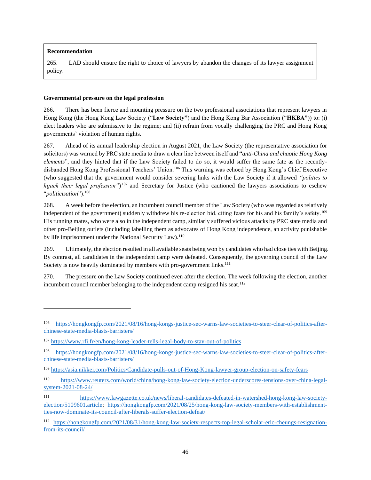## **Recommendation**

265. LAD should ensure the right to choice of lawyers by abandon the changes of its lawyer assignment policy.

## **Governmental pressure on the legal profession**

266. There has been fierce and mounting pressure on the two professional associations that represent lawyers in Hong Kong (the Hong Kong Law Society ("**Law Society"**) and the Hong Kong Bar Association ("**HKBA"**)) to: (i) elect leaders who are submissive to the regime; and (ii) refrain from vocally challenging the PRC and Hong Kong governments' violation of human rights.

267. Ahead of its annual leadership election in August 2021, the Law Society (the representative association for solicitors) was warned by PRC state media to draw a clear line between itself and "*anti-China and chaotic Hong Kong elements*", and they hinted that if the Law Society failed to do so, it would suffer the same fate as the recentlydisbanded Hong Kong Professional Teachers' Union.<sup>106</sup> This warning was echoed by Hong Kong's Chief Executive (who suggested that the government would consider severing links with the Law Society if it allowed *"politics to hijack their legal profession"*) <sup>107</sup> and Secretary for Justice (who cautioned the lawyers associations to eschew "*politicisation*").<sup>108</sup>

268. A week before the election, an incumbent council member of the Law Society (who was regarded as relatively independent of the government) suddenly withdrew his re-election bid, citing fears for his and his family's safety.<sup>109</sup> His running mates, who were also in the independent camp, similarly suffered vicious attacks by PRC state media and other pro-Beijing outlets (including labelling them as advocates of Hong Kong independence, an activity punishable by life imprisonment under the National Security Law).<sup>110</sup>

269. Ultimately, the election resulted in all available seats being won by candidates who had close ties with Beijing. By contrast, all candidates in the independent camp were defeated. Consequently, the governing council of the Law Society is now heavily dominated by members with pro-government links.<sup>111</sup>

270. The pressure on the Law Society continued even after the election. The week following the election, another incumbent council member belonging to the independent camp resigned his seat.<sup>112</sup>

[https://hongkongfp.com/2021/08/16/hong-kongs-justice-sec-warns-law-societies-to-steer-clear-of-politics-after](https://hongkongfp.com/2021/08/16/hong-kongs-justice-sec-warns-law-societies-to-steer-clear-of-politics-after-chinese-state-media-blasts-barristers/)[chinese-state-media-blasts-barristers/](https://hongkongfp.com/2021/08/16/hong-kongs-justice-sec-warns-law-societies-to-steer-clear-of-politics-after-chinese-state-media-blasts-barristers/)

<sup>107</sup> <https://www.rfi.fr/en/hong-kong-leader-tells-legal-body-to-stay-out-of-politics>

<sup>108</sup> [https://hongkongfp.com/2021/08/16/hong-kongs-justice-sec-warns-law-societies-to-steer-clear-of-politics-after](https://hongkongfp.com/2021/08/16/hong-kongs-justice-sec-warns-law-societies-to-steer-clear-of-politics-after-chinese-state-media-blasts-barristers/)[chinese-state-media-blasts-barristers/](https://hongkongfp.com/2021/08/16/hong-kongs-justice-sec-warns-law-societies-to-steer-clear-of-politics-after-chinese-state-media-blasts-barristers/)

<sup>109</sup> <https://asia.nikkei.com/Politics/Candidate-pulls-out-of-Hong-Kong-lawyer-group-election-on-safety-fears>

<sup>110</sup> [https://www.reuters.com/world/china/hong-kong-law-society-election-underscores-tensions-over-china-legal](https://www.reuters.com/world/china/hong-kong-law-society-election-underscores-tensions-over-china-legal-system-2021-08-24/)[system-2021-08-24/](https://www.reuters.com/world/china/hong-kong-law-society-election-underscores-tensions-over-china-legal-system-2021-08-24/)

<sup>111</sup> [https://www.lawgazette.co.uk/news/liberal-candidates-defeated-in-watershed-hong-kong-law-society](https://www.lawgazette.co.uk/news/liberal-candidates-defeated-in-watershed-hong-kong-law-society-election/5109601.article)[election/5109601.article;](https://www.lawgazette.co.uk/news/liberal-candidates-defeated-in-watershed-hong-kong-law-society-election/5109601.article) [https://hongkongfp.com/2021/08/25/hong-kong-law-society-members-with-establishment](https://hongkongfp.com/2021/08/25/hong-kong-law-society-members-with-establishment-ties-now-dominate-its-council-after-liberals-suffer-election-defeat/)[ties-now-dominate-its-council-after-liberals-suffer-election-defeat/](https://hongkongfp.com/2021/08/25/hong-kong-law-society-members-with-establishment-ties-now-dominate-its-council-after-liberals-suffer-election-defeat/)

<sup>112</sup> [https://hongkongfp.com/2021/08/31/hong-kong-law-society-respects-top-legal-scholar-eric-cheungs-resignation](https://hongkongfp.com/2021/08/31/hong-kong-law-society-respects-top-legal-scholar-eric-cheungs-resignation-from-its-council/)[from-its-council/](https://hongkongfp.com/2021/08/31/hong-kong-law-society-respects-top-legal-scholar-eric-cheungs-resignation-from-its-council/)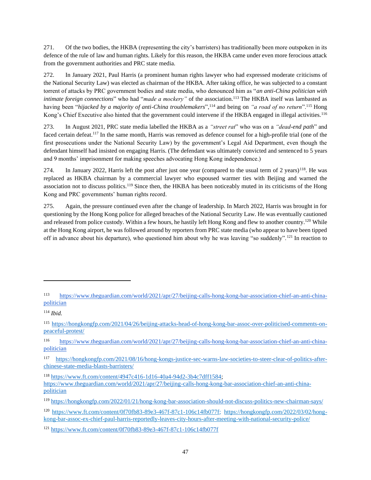271. Of the two bodies, the HKBA (representing the city's barristers) has traditionally been more outspoken in its defence of the rule of law and human rights. Likely for this reason, the HKBA came under even more ferocious attack from the government authorities and PRC state media.

272. In January 2021, Paul Harris (a prominent human rights lawyer who had expressed moderate criticisms of the National Security Law) was elected as chairman of the HKBA. After taking office, he was subjected to a constant torrent of attacks by PRC government bodies and state media, who denounced him as "*an anti-China politician with intimate foreign connections*" who had "*made a mockery*" of the association.<sup>113</sup> The HKBA itself was lambasted as having been "*hijacked by a majority of anti-China troublemakers*",<sup>114</sup> and being on *"a road of no return*".<sup>115</sup> Hong Kong's Chief Executive also hinted that the government could intervene if the HKBA engaged in illegal activities.<sup>116</sup>

273. In August 2021, PRC state media labelled the HKBA as a *"street rat*" who was on a *"dead-end path*" and faced certain defeat.<sup>117</sup> In the same month, Harris was removed as defence counsel for a high-profile trial (one of the first prosecutions under the National Security Law) by the government's Legal Aid Department, even though the defendant himself had insisted on engaging Harris. (The defendant was ultimately convicted and sentenced to 5 years and 9 months' imprisonment for making speeches advocating Hong Kong independence.)

274. In January 2022, Harris left the post after just one year (compared to the usual term of 2 years)<sup>118</sup>. He was replaced as HKBA chairman by a commercial lawyer who espoused warmer ties with Beijing and warned the association not to discuss politics.<sup>119</sup> Since then, the HKBA has been noticeably muted in its criticisms of the Hong Kong and PRC governments' human rights record.

275. Again, the pressure continued even after the change of leadership. In March 2022, Harris was brought in for questioning by the Hong Kong police for alleged breaches of the National Security Law. He was eventually cautioned and released from police custody. Within a few hours, he hastily left Hong Kong and flew to another country.<sup>120</sup> While at the Hong Kong airport, he was followed around by reporters from PRC state media (who appear to have been tipped off in advance about his departure), who questioned him about why he was leaving "so suddenly".<sup>121</sup> In reaction to

<sup>113</sup> [https://www.theguardian.com/world/2021/apr/27/beijing-calls-hong-kong-bar-association-chief-an-anti-china](https://www.theguardian.com/world/2021/apr/27/beijing-calls-hong-kong-bar-association-chief-an-anti-china-politician)[politician](https://www.theguardian.com/world/2021/apr/27/beijing-calls-hong-kong-bar-association-chief-an-anti-china-politician)

<sup>114</sup> *Ibid.*

<sup>115</sup> [https://hongkongfp.com/2021/04/26/beijing-attacks-head-of-hong-kong-bar-assoc-over-politicised-comments-on](https://hongkongfp.com/2021/04/26/beijing-attacks-head-of-hong-kong-bar-assoc-over-politicised-comments-on-peaceful-protest/)[peaceful-protest/](https://hongkongfp.com/2021/04/26/beijing-attacks-head-of-hong-kong-bar-assoc-over-politicised-comments-on-peaceful-protest/)

<sup>116</sup> [https://www.theguardian.com/world/2021/apr/27/beijing-calls-hong-kong-bar-association-chief-an-anti-china](https://www.theguardian.com/world/2021/apr/27/beijing-calls-hong-kong-bar-association-chief-an-anti-china-politician)[politician](https://www.theguardian.com/world/2021/apr/27/beijing-calls-hong-kong-bar-association-chief-an-anti-china-politician)

<sup>117</sup> [https://hongkongfp.com/2021/08/16/hong-kongs-justice-sec-warns-law-societies-to-steer-clear-of-politics-after](https://hongkongfp.com/2021/08/16/hong-kongs-justice-sec-warns-law-societies-to-steer-clear-of-politics-after-chinese-state-media-blasts-barristers/)[chinese-state-media-blasts-barristers/](https://hongkongfp.com/2021/08/16/hong-kongs-justice-sec-warns-law-societies-to-steer-clear-of-politics-after-chinese-state-media-blasts-barristers/)

<sup>118</sup> [https://www.ft.com/content/4947c416-1d16-40a4-94d2-3b4c7dff1584;](https://www.ft.com/content/4947c416-1d16-40a4-94d2-3b4c7dff1584) [https://www.theguardian.com/world/2021/apr/27/beijing-calls-hong-kong-bar-association-chief-an-anti-china](https://www.theguardian.com/world/2021/apr/27/beijing-calls-hong-kong-bar-association-chief-an-anti-china-politician)[politician](https://www.theguardian.com/world/2021/apr/27/beijing-calls-hong-kong-bar-association-chief-an-anti-china-politician)

<sup>119</sup> <https://hongkongfp.com/2022/01/21/hong-kong-bar-association-should-not-discuss-politics-new-chairman-says/>

<sup>120</sup> [https://www.ft.com/content/0f70fb83-89e3-467f-87c1-106c14fb077f;](https://www.ft.com/content/0f70fb83-89e3-467f-87c1-106c14fb077f) [https://hongkongfp.com/2022/03/02/hong](https://hongkongfp.com/2022/03/02/hong-kong-bar-assoc-ex-chief-paul-harris-reportedly-leaves-city-hours-after-meeting-with-national-security-police/)[kong-bar-assoc-ex-chief-paul-harris-reportedly-leaves-city-hours-after-meeting-with-national-security-police/](https://hongkongfp.com/2022/03/02/hong-kong-bar-assoc-ex-chief-paul-harris-reportedly-leaves-city-hours-after-meeting-with-national-security-police/) 

<sup>121</sup> <https://www.ft.com/content/0f70fb83-89e3-467f-87c1-106c14fb077f>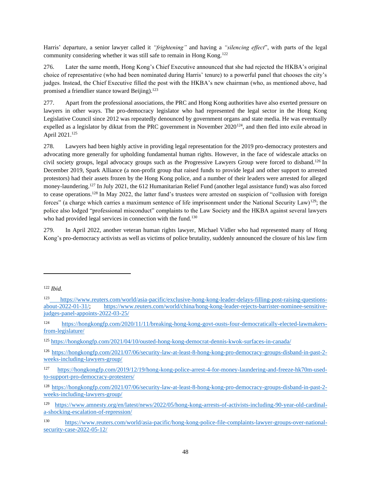Harris' departure, a senior lawyer called it *"frightening"* and having a *"silencing effect*", with parts of the legal community considering whether it was still safe to remain in Hong Kong.<sup>122</sup>

276. Later the same month, Hong Kong's Chief Executive announced that she had rejected the HKBA's original choice of representative (who had been nominated during Harris' tenure) to a powerful panel that chooses the city's judges. Instead, the Chief Executive filled the post with the HKBA's new chairman (who, as mentioned above, had promised a friendlier stance toward Beijing).<sup>123</sup>

277. Apart from the professional associations, the PRC and Hong Kong authorities have also exerted pressure on lawyers in other ways. The pro-democracy legislator who had represented the legal sector in the Hong Kong Legislative Council since 2012 was repeatedly denounced by government organs and state media. He was eventually expelled as a legislator by diktat from the PRC government in November 2020<sup>124</sup>, and then fled into exile abroad in April 2021.<sup>125</sup>

278. Lawyers had been highly active in providing legal representation for the 2019 pro-democracy protesters and advocating more generally for upholding fundamental human rights. However, in the face of widescale attacks on civil society groups, legal advocacy groups such as the Progressive Lawyers Group were forced to disband.<sup>126</sup> In December 2019, Spark Alliance (a non-profit group that raised funds to provide legal and other support to arrested protestors) had their assets frozen by the Hong Kong police, and a number of their leaders were arrested for alleged money-laundering.<sup>127</sup> In July 2021, the 612 Humanitarian Relief Fund (another legal assistance fund) was also forced to cease operations.<sup>128</sup> In May 2022, the latter fund's trustees were arrested on suspicion of "collusion with foreign forces" (a charge which carries a maximum sentence of life imprisonment under the National Security Law)<sup>129</sup>; the police also lodged "professional misconduct" complaints to the Law Society and the HKBA against several lawyers who had provided legal services in connection with the fund.<sup>130</sup>

279. In April 2022, another veteran human rights lawyer, Michael Vidler who had represented many of Hong Kong's pro-democracy activists as well as victims of police brutality, suddenly announced the closure of his law firm

<sup>122</sup> *Ibid.*

<sup>123</sup> [https://www.reuters.com/world/asia-pacific/exclusive-hong-kong-leader-delays-filling-post-raising-questions](https://www.reuters.com/world/asia-pacific/exclusive-hong-kong-leader-delays-filling-post-raising-questions-about-2022-01-31/)[about-2022-01-31/;](https://www.reuters.com/world/asia-pacific/exclusive-hong-kong-leader-delays-filling-post-raising-questions-about-2022-01-31/) [https://www.reuters.com/world/china/hong-kong-leader-rejects-barrister-nominee-sensitive](https://www.reuters.com/world/china/hong-kong-leader-rejects-barrister-nominee-sensitive-judges-panel-appoints-2022-03-25/)[judges-panel-appoints-2022-03-25/](https://www.reuters.com/world/china/hong-kong-leader-rejects-barrister-nominee-sensitive-judges-panel-appoints-2022-03-25/)

<sup>124</sup> [https://hongkongfp.com/2020/11/11/breaking-hong-kong-govt-ousts-four-democratically-elected-lawmakers](https://hongkongfp.com/2020/11/11/breaking-hong-kong-govt-ousts-four-democratically-elected-lawmakers-from-legislature/)[from-legislature/](https://hongkongfp.com/2020/11/11/breaking-hong-kong-govt-ousts-four-democratically-elected-lawmakers-from-legislature/)

<sup>125</sup> <https://hongkongfp.com/2021/04/10/ousted-hong-kong-democrat-dennis-kwok-surfaces-in-canada/>

<sup>126</sup> [https://hongkongfp.com/2021/07/06/security-law-at-least-8-hong-kong-pro-democracy-groups-disband-in-past-2](https://hongkongfp.com/2021/07/06/security-law-at-least-8-hong-kong-pro-democracy-groups-disband-in-past-2-weeks-including-lawyers-group/) [weeks-including-lawyers-group/](https://hongkongfp.com/2021/07/06/security-law-at-least-8-hong-kong-pro-democracy-groups-disband-in-past-2-weeks-including-lawyers-group/)

<sup>127</sup> [https://hongkongfp.com/2019/12/19/hong-kong-police-arrest-4-for-money-laundering-and-freeze-hk70m-used](https://hongkongfp.com/2019/12/19/hong-kong-police-arrest-4-for-money-laundering-and-freeze-hk70m-used-to-support-pro-democracy-protesters/)[to-support-pro-democracy-protesters/](https://hongkongfp.com/2019/12/19/hong-kong-police-arrest-4-for-money-laundering-and-freeze-hk70m-used-to-support-pro-democracy-protesters/)

<sup>128</sup> [https://hongkongfp.com/2021/07/06/security-law-at-least-8-hong-kong-pro-democracy-groups-disband-in-past-2](https://hongkongfp.com/2021/07/06/security-law-at-least-8-hong-kong-pro-democracy-groups-disband-in-past-2-weeks-including-lawyers-group/) [weeks-including-lawyers-group/](https://hongkongfp.com/2021/07/06/security-law-at-least-8-hong-kong-pro-democracy-groups-disband-in-past-2-weeks-including-lawyers-group/) 

<sup>129</sup> [https://www.amnesty.org/en/latest/news/2022/05/hong-kong-arrests-of-activists-including-90-year-old-cardinal](https://www.amnesty.org/en/latest/news/2022/05/hong-kong-arrests-of-activists-including-90-year-old-cardinal-a-shocking-escalation-of-repression/)[a-shocking-escalation-of-repression/](https://www.amnesty.org/en/latest/news/2022/05/hong-kong-arrests-of-activists-including-90-year-old-cardinal-a-shocking-escalation-of-repression/)

<sup>130</sup> [https://www.reuters.com/world/asia-pacific/hong-kong-police-file-complaints-lawyer-groups-over-national](https://www.reuters.com/world/asia-pacific/hong-kong-police-file-complaints-lawyer-groups-over-national-security-case-2022-05-12/)[security-case-2022-05-12/](https://www.reuters.com/world/asia-pacific/hong-kong-police-file-complaints-lawyer-groups-over-national-security-case-2022-05-12/)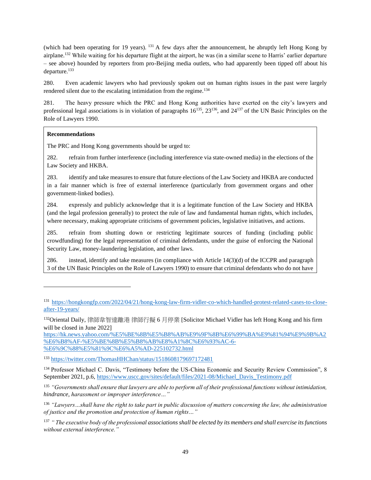(which had been operating for 19 years). <sup>131</sup> A few days after the announcement, he abruptly left Hong Kong by airplane.<sup>132</sup> While waiting for his departure flight at the airport, he was (in a similar scene to Harris' earlier departure – see above) hounded by reporters from pro-Beijing media outlets, who had apparently been tipped off about his departure.<sup>133</sup>

280. Even academic lawyers who had previously spoken out on human rights issues in the past were largely rendered silent due to the escalating intimidation from the regime.<sup>134</sup>

281. The heavy pressure which the PRC and Hong Kong authorities have exerted on the city's lawyers and professional legal associations is in violation of paragraphs  $16^{135}$ ,  $23^{136}$ , and  $24^{137}$  of the UN Basic Principles on the Role of Lawyers 1990.

## **Recommendations**

The PRC and Hong Kong governments should be urged to:

282. refrain from further interference (including interference via state-owned media) in the elections of the Law Society and HKBA.

283. identify and take measures to ensure that future elections of the Law Society and HKBA are conducted in a fair manner which is free of external interference (particularly from government organs and other government-linked bodies).

284. expressly and publicly acknowledge that it is a legitimate function of the Law Society and HKBA (and the legal profession generally) to protect the rule of law and fundamental human rights, which includes, where necessary, making appropriate criticisms of government policies, legislative initiatives, and actions.

285. refrain from shutting down or restricting legitimate sources of funding (including public crowdfunding) for the legal representation of criminal defendants, under the guise of enforcing the National Security Law, money-laundering legislation, and other laws.

286. instead, identify and take measures (in compliance with Article 14(3)(d) of the ICCPR and paragraph 3 of the UN Basic Principles on the Role of Lawyers 1990) to ensure that criminal defendants who do not have

[https://hk.news.yahoo.com/%E5%BE%8B%E5%B8%AB%E9%9F%8B%E6%99%BA%E9%81%94%E9%9B%A2](https://hk.news.yahoo.com/%E5%BE%8B%E5%B8%AB%E9%9F%8B%E6%99%BA%E9%81%94%E9%9B%A2%E6%B8%AF-%E5%BE%8B%E5%B8%AB%E8%A1%8C%E6%93%AC-6-%E6%9C%88%E5%81%9C%E6%A5%AD-225102732.html) [%E6%B8%AF-%E5%BE%8B%E5%B8%AB%E8%A1%8C%E6%93%AC-6-](https://hk.news.yahoo.com/%E5%BE%8B%E5%B8%AB%E9%9F%8B%E6%99%BA%E9%81%94%E9%9B%A2%E6%B8%AF-%E5%BE%8B%E5%B8%AB%E8%A1%8C%E6%93%AC-6-%E6%9C%88%E5%81%9C%E6%A5%AD-225102732.html) [%E6%9C%88%E5%81%9C%E6%A5%AD-225102732.html](https://hk.news.yahoo.com/%E5%BE%8B%E5%B8%AB%E9%9F%8B%E6%99%BA%E9%81%94%E9%9B%A2%E6%B8%AF-%E5%BE%8B%E5%B8%AB%E8%A1%8C%E6%93%AC-6-%E6%9C%88%E5%81%9C%E6%A5%AD-225102732.html)

<sup>133</sup> <https://twitter.com/ThomasHHChan/status/1518608179697172481>

<sup>134</sup> Professor Michael C. Davis, "Testimony before the US-China Economic and Security Review Commission", 8 September 2021, p.6, [https://www.uscc.gov/sites/default/files/2021-08/Michael\\_Davis\\_Testimony.pdf](https://www.uscc.gov/sites/default/files/2021-08/Michael_Davis_Testimony.pdf)

<sup>135</sup> *"Governments shall ensure that lawyers are able to perform all of their professional functions without intimidation, hindrance, harassment or improper interference…"*

<sup>136</sup> *"Lawyers…shall have the right to take part in public discussion of matters concerning the law, the administration of justice and the promotion and protection of human rights…"*

<sup>137</sup> *" The executive body of the professional associations shall be elected by its members and shall exercise its functions without external interference."*

<sup>131</sup> [https://hongkongfp.com/2022/04/21/hong-kong-law-firm-vidler-co-which-handled-protest-related-cases-to-close](https://hongkongfp.com/2022/04/21/hong-kong-law-firm-vidler-co-which-handled-protest-related-cases-to-close-after-19-years/)[after-19-years/](https://hongkongfp.com/2022/04/21/hong-kong-law-firm-vidler-co-which-handled-protest-related-cases-to-close-after-19-years/)

<sup>132</sup>Oriental Daily, 律師韋智達離港 律師行擬 6 月停業 [Solicitor Michael Vidler has left Hong Kong and his firm will be closed in June 2022]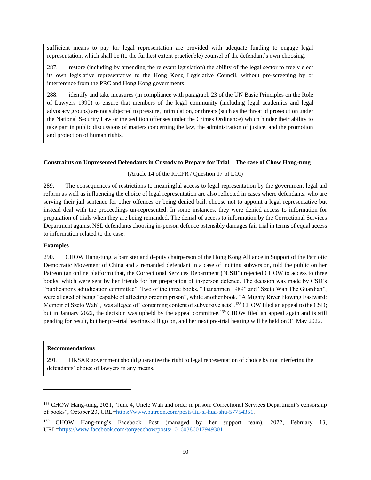sufficient means to pay for legal representation are provided with adequate funding to engage legal representation, which shall be (to the furthest extent practicable) counsel of the defendant's own choosing.

287. restore (including by amending the relevant legislation) the ability of the legal sector to freely elect its own legislative representative to the Hong Kong Legislative Council, without pre-screening by or interference from the PRC and Hong Kong governments.

288. identify and take measures (in compliance with paragraph 23 of the UN Basic Principles on the Role of Lawyers 1990) to ensure that members of the legal community (including legal academics and legal advocacy groups) are not subjected to pressure, intimidation, or threats (such as the threat of prosecution under the National Security Law or the sedition offenses under the Crimes Ordinance) which hinder their ability to take part in public discussions of matters concerning the law, the administration of justice, and the promotion and protection of human rights.

#### **Constraints on Unpresented Defendants in Custody to Prepare for Trial – The case of Chow Hang-tung**

(Article 14 of the ICCPR / Question 17 of LOI)

289. The consequences of restrictions to meaningful access to legal representation by the government legal aid reform as well as influencing the choice of legal representation are also reflected in cases where defendants, who are serving their jail sentence for other offences or being denied bail, choose not to appoint a legal representative but instead deal with the proceedings un-represented. In some instances, they were denied access to information for preparation of trials when they are being remanded. The denial of access to information by the Correctional Services Department against NSL defendants choosing in-person defence ostensibly damages fair trial in terms of equal access to information related to the case.

### **Examples**

290. CHOW Hang-tung, a barrister and deputy chairperson of the Hong Kong Alliance in Support of the Patriotic Democratic Movement of China and a remanded defendant in a case of inciting subversion, told the public on her Patreon (an online platform) that, the Correctional Services Department ("**CSD**") rejected CHOW to access to three books, which were sent by her friends for her preparation of in-person defence. The decision was made by CSD's "publications adjudication committee". Two of the three books, "Tiananmen 1989" and "Szeto Wah The Guardian", were alleged of being "capable of affecting order in prison", while another book, "A Mighty River Flowing Eastward: Memoir of Szeto Wah", was alleged of "containing content of subversive acts".<sup>138</sup> CHOW filed an appeal to the CSD; but in January 2022, the decision was upheld by the appeal committee.<sup>139</sup> CHOW filed an appeal again and is still pending for result, but her pre-trial hearings still go on, and her next pre-trial hearing will be held on 31 May 2022.

#### **Recommendations**

291. HKSAR government should guarantee the right to legal representation of choice by not interfering the defendants' choice of lawyers in any means.

<sup>138</sup> CHOW Hang-tung, 2021, "June 4, Uncle Wah and order in prison: Correctional Services Department's censorship of books", October 23, URL[=https://www.patreon.com/posts/liu-si-hua-shu-57754351.](https://www.patreon.com/posts/liu-si-hua-shu-57754351)

<sup>139</sup> CHOW Hang-tung's Facebook Post (managed by her support team), 2022, February 13, URL[=https://www.facebook.com/tonyeechow/posts/10160386017949301.](https://www.facebook.com/tonyeechow/posts/10160386017949301)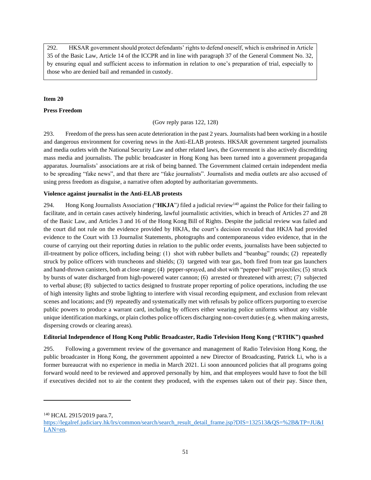292. HKSAR government should protect defendants' rights to defend oneself, which is enshrined in Article 35 of the Basic Law, Article 14 of the ICCPR and in line with paragraph 37 of the General Comment No. 32, by ensuring equal and sufficient access to information in relation to one's preparation of trial, especially to those who are denied bail and remanded in custody.

## **Item 20**

## **Press Freedom**

(Gov reply paras 122, 128)

293. Freedom of the press has seen acute deterioration in the past 2 years. Journalists had been working in a hostile and dangerous environment for covering news in the Anti-ELAB protests. HKSAR government targeted journalists and media outlets with the National Security Law and other related laws, the Government is also actively discrediting mass media and journalists. The public broadcaster in Hong Kong has been turned into a government propaganda apparatus. Journalists' associations are at risk of being banned. The Government claimed certain independent media to be spreading "fake news", and that there are "fake journalists". Journalists and media outlets are also accused of using press freedom as disguise, a narrative often adopted by authoritarian governments.

## **Violence against journalist in the Anti-ELAB protests**

294. Hong Kong Journalists Association *(*"**HKJA**"*)* filed a judicial review<sup>140</sup> against the Police for their failing to facilitate, and in certain cases actively hindering, lawful journalistic activities, which in breach of Articles 27 and 28 of the Basic Law, and Articles 3 and 16 of the Hong Kong Bill of Rights. Despite the judicial review was failed and the court did not rule on the evidence provided by HKJA, the court's decision revealed that HKJA had provided evidence to the Court with 13 Journalist Statements, photographs and contemporaneous video evidence, that in the course of carrying out their reporting duties in relation to the public order events, journalists have been subjected to ill-treatment by police officers, including being: (1) shot with rubber bullets and "beanbag" rounds; (2) repeatedly struck by police officers with truncheons and shields; (3) targeted with tear gas, both fired from tear gas launchers and hand-thrown canisters, both at close range; (4) pepper-sprayed, and shot with "pepper-ball" projectiles; (5) struck by bursts of water discharged from high-powered water cannon; (6) arrested or threatened with arrest; (7) subjected to verbal abuse; (8) subjected to tactics designed to frustrate proper reporting of police operations, including the use of high intensity lights and strobe lighting to interfere with visual recording equipment, and exclusion from relevant scenes and locations; and (9) repeatedly and systematically met with refusals by police officers purporting to exercise public powers to produce a warrant card, including by officers either wearing police uniforms without any visible unique identification markings, or plain clothes police officers discharging non-covert duties (e.g. when making arrests, dispersing crowds or clearing areas).

## **Editorial Independence of Hong Kong Public Broadcaster, Radio Television Hong Kong ("RTHK") quashed**

295. Following a government review of the governance and management of Radio Television Hong Kong, the public broadcaster in Hong Kong, the government appointed a new Director of Broadcasting, Patrick Li, who is a former bureaucrat with no experience in media in March 2021. Li soon announced policies that all programs going forward would need to be reviewed and approved personally by him, and that employees would have to foot the bill if executives decided not to air the content they produced, with the expenses taken out of their pay. Since then,

<sup>140</sup> HCAL 2915/2019 para.7,

[https://legalref.judiciary.hk/lrs/common/search/search\\_result\\_detail\\_frame.jsp?DIS=132513&QS=%2B&TP=JU&I](https://legalref.judiciary.hk/lrs/common/search/search_result_detail_frame.jsp?DIS=132513&QS=%2B&TP=JU&ILAN=en) [LAN=en.](https://legalref.judiciary.hk/lrs/common/search/search_result_detail_frame.jsp?DIS=132513&QS=%2B&TP=JU&ILAN=en)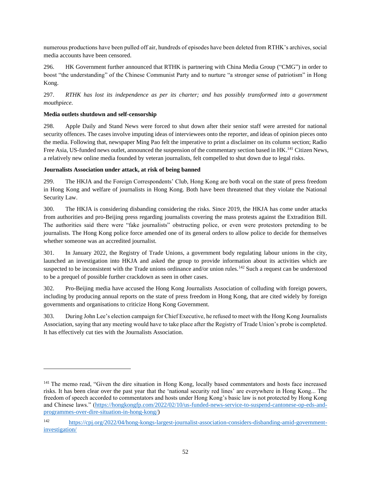numerous productions have been pulled off air, hundreds of episodes have been deleted from RTHK's archives, social media accounts have been censored.

296. HK Government further announced that RTHK is partnering with China Media Group ("CMG") in order to boost "the understanding" of the Chinese Communist Party and to nurture "a stronger sense of patriotism" in Hong Kong.

297. *RTHK has lost its independence as per its charter; and has possibly transformed into a government mouthpiece.* 

## **Media outlets shutdown and self-censorship**

298. Apple Daily and Stand News were forced to shut down after their senior staff were arrested for national security offences. The cases involve imputing ideas of interviewees onto the reporter, and ideas of opinion pieces onto the media. Following that, newspaper Ming Pao felt the imperative to print a disclaimer on its column section; Radio Free Asia, US-funded news outlet, announced the suspension of the commentary section based in HK.<sup>141</sup> Citizen News, a relatively new online media founded by veteran journalists, felt compelled to shut down due to legal risks.

## **Journalists Association under attack, at risk of being banned**

299. The HKJA and the Foreign Correspondents' Club, Hong Kong are both vocal on the state of press freedom in Hong Kong and welfare of journalists in Hong Kong. Both have been threatened that they violate the National Security Law.

300. The HKJA is considering disbanding considering the risks. Since 2019, the HKJA has come under attacks from authorities and pro-Beijing press regarding journalists covering the mass protests against the Extradition Bill. The authorities said there were "fake journalists" obstructing police, or even were protestors pretending to be journalists. The Hong Kong police force amended one of its general orders to allow police to decide for themselves whether someone was an accredited journalist.

301. In January 2022, the Registry of Trade Unions, a government body regulating labour unions in the city, launched an investigation into HKJA and asked the group to provide information about its activities which are suspected to be inconsistent with the Trade unions ordinance and/or union rules.<sup>142</sup> Such a request can be understood to be a prequel of possible further crackdown as seen in other cases.

302. Pro-Beijing media have accused the Hong Kong Journalists Association of colluding with foreign powers, including by producing annual reports on the state of press freedom in Hong Kong, that are cited widely by foreign governments and organisations to criticize Hong Kong Government.

303. During John Lee's election campaign for Chief Executive, he refused to meet with the Hong Kong Journalists Association, saying that any meeting would have to take place after the Registry of Trade Union's probe is completed. It has effectively cut ties with the Journalists Association.

<sup>&</sup>lt;sup>141</sup> The memo read, "Given the dire situation in Hong Kong, locally based commentators and hosts face increased risks. It has been clear over the past year that the 'national security red lines' are everywhere in Hong Kong... The freedom of speech accorded to commentators and hosts under Hong Kong's basic law is not protected by Hong Kong and Chinese laws." [\(https://hongkongfp.com/2022/02/10/us-funded-news-service-to-suspend-cantonese-op-eds-and](https://hongkongfp.com/2022/02/10/us-funded-news-service-to-suspend-cantonese-op-eds-and-programmes-over-dire-situation-in-hong-kong/)[programmes-over-dire-situation-in-hong-kong/\)](https://hongkongfp.com/2022/02/10/us-funded-news-service-to-suspend-cantonese-op-eds-and-programmes-over-dire-situation-in-hong-kong/)

<sup>142</sup> [https://cpj.org/2022/04/hong-kongs-largest-journalist-association-considers-disbanding-amid-government](https://cpj.org/2022/04/hong-kongs-largest-journalist-association-considers-disbanding-amid-government-investigation/)[investigation/](https://cpj.org/2022/04/hong-kongs-largest-journalist-association-considers-disbanding-amid-government-investigation/)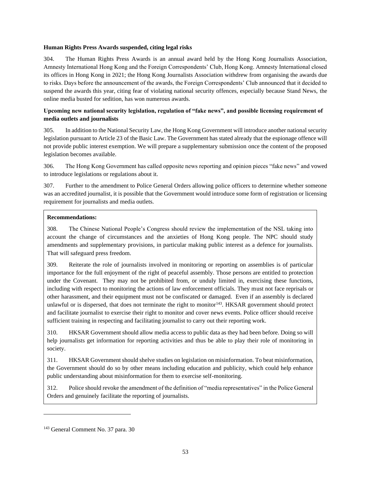#### **Human Rights Press Awards suspended, citing legal risks**

304. The Human Rights Press Awards is an annual award held by the Hong Kong Journalists Association, Amnesty International Hong Kong and the Foreign Correspondents' Club, Hong Kong. Amnesty International closed its offices in Hong Kong in 2021; the Hong Kong Journalists Association withdrew from organising the awards due to risks. Days before the announcement of the awards, the Foreign Correspondents' Club announced that it decided to suspend the awards this year, citing fear of violating national security offences, especially because Stand News, the online media busted for sedition, has won numerous awards.

## **Upcoming new national security legislation, regulation of "fake news", and possible licensing requirement of media outlets and journalists**

305. In addition to the National Security Law, the Hong Kong Government will introduce another national security legislation pursuant to Article 23 of the Basic Law. The Government has stated already that the espionage offence will not provide public interest exemption. We will prepare a supplementary submission once the content of the proposed legislation becomes available.

306. The Hong Kong Government has called opposite news reporting and opinion pieces "fake news" and vowed to introduce legislations or regulations about it.

307. Further to the amendment to Police General Orders allowing police officers to determine whether someone was an accredited journalist, it is possible that the Government would introduce some form of registration or licensing requirement for journalists and media outlets.

### **Recommendations:**

308. The Chinese National People's Congress should review the implementation of the NSL taking into account the change of circumstances and the anxieties of Hong Kong people. The NPC should study amendments and supplementary provisions, in particular making public interest as a defence for journalists. That will safeguard press freedom.

309. Reiterate the role of journalists involved in monitoring or reporting on assemblies is of particular importance for the full enjoyment of the right of peaceful assembly. Those persons are entitled to protection under the Covenant. They may not be prohibited from, or unduly limited in, exercising these functions, including with respect to monitoring the actions of law enforcement officials. They must not face reprisals or other harassment, and their equipment must not be confiscated or damaged. Even if an assembly is declared unlawful or is dispersed, that does not terminate the right to monitor<sup>143</sup>. HKSAR government should protect and facilitate journalist to exercise their right to monitor and cover news events. Police officer should receive sufficient training in respecting and facilitating journalist to carry out their reporting work.

310. HKSAR Government should allow media access to public data as they had been before. Doing so will help journalists get information for reporting activities and thus be able to play their role of monitoring in society.

311. HKSAR Government should shelve studies on legislation on misinformation. To beat misinformation, the Government should do so by other means including education and publicity, which could help enhance public understanding about misinformation for them to exercise self-monitoring.

312. Police should revoke the amendment of the definition of "media representatives" in the Police General Orders and genuinely facilitate the reporting of journalists.

<sup>143</sup> General Comment No. 37 para. 30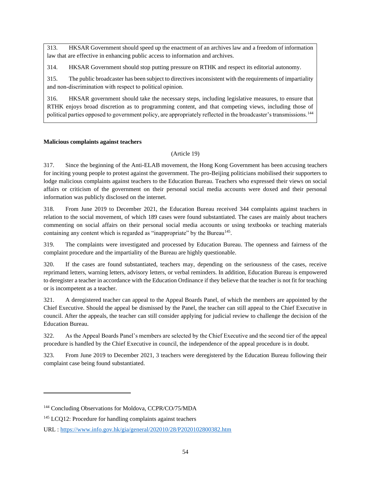313. HKSAR Government should speed up the enactment of an archives law and a freedom of information law that are effective in enhancing public access to information and archives.

314. HKSAR Government should stop putting pressure on RTHK and respect its editorial autonomy.

315. The public broadcaster has been subject to directives inconsistent with the requirements of impartiality and non-discrimination with respect to political opinion.

316. HKSAR government should take the necessary steps, including legislative measures, to ensure that RTHK enjoys broad discretion as to programming content, and that competing views, including those of political parties opposed to government policy, are appropriately reflected in the broadcaster's transmissions.<sup>144</sup>

## **Malicious complaints against teachers**

(Article 19)

317. Since the beginning of the Anti-ELAB movement, the Hong Kong Government has been accusing teachers for inciting young people to protest against the government. The pro-Beijing politicians mobilised their supporters to lodge malicious complaints against teachers to the Education Bureau. Teachers who expressed their views on social affairs or criticism of the government on their personal social media accounts were doxed and their personal information was publicly disclosed on the internet.

318. From June 2019 to December 2021, the Education Bureau received 344 complaints against teachers in relation to the social movement, of which 189 cases were found substantiated. The cases are mainly about teachers commenting on social affairs on their personal social media accounts or using textbooks or teaching materials containing any content which is regarded as "inappropriate" by the Bureau<sup>145</sup>.

319. The complaints were investigated and processed by Education Bureau. The openness and fairness of the complaint procedure and the impartiality of the Bureau are highly questionable.

320. If the cases are found substantiated, teachers may, depending on the seriousness of the cases, receive reprimand letters, warning letters, advisory letters, or verbal reminders. In addition, Education Bureau is empowered to deregister a teacher in accordance with the Education Ordinance if they believe that the teacher is not fit for teaching or is incompetent as a teacher.

321. A deregistered teacher can appeal to the Appeal Boards Panel, of which the members are appointed by the Chief Executive. Should the appeal be dismissed by the Panel, the teacher can still appeal to the Chief Executive in council. After the appeals, the teacher can still consider applying for judicial review to challenge the decision of the Education Bureau.

322. As the Appeal Boards Panel's members are selected by the Chief Executive and the second tier of the appeal procedure is handled by the Chief Executive in council, the independence of the appeal procedure is in doubt.

323. From June 2019 to December 2021, 3 teachers were deregistered by the Education Bureau following their complaint case being found substantiated.

<sup>&</sup>lt;sup>144</sup> Concluding Observations for Moldova, CCPR/CO/75/MDA

<sup>&</sup>lt;sup>145</sup> LCQ12: Procedure for handling complaints against teachers

URL :<https://www.info.gov.hk/gia/general/202010/28/P2020102800382.htm>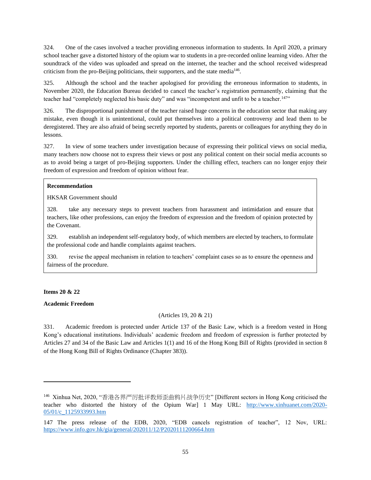324. One of the cases involved a teacher providing erroneous information to students. In April 2020, a primary school teacher gave a distorted history of the opium war to students in a pre-recorded online learning video. After the soundtrack of the video was uploaded and spread on the internet, the teacher and the school received widespread criticism from the pro-Beijing politicians, their supporters, and the state media<sup>146</sup>.

325. Although the school and the teacher apologised for providing the erroneous information to students, in November 2020, the Education Bureau decided to cancel the teacher's registration permanently, claiming that the teacher had "completely neglected his basic duty" and was "incompetent and unfit to be a teacher.<sup>147</sup>"

326. The disproportional punishment of the teacher raised huge concerns in the education sector that making any mistake, even though it is unintentional, could put themselves into a political controversy and lead them to be deregistered. They are also afraid of being secretly reported by students, parents or colleagues for anything they do in lessons.

327. In view of some teachers under investigation because of expressing their political views on social media, many teachers now choose not to express their views or post any political content on their social media accounts so as to avoid being a target of pro-Beijing supporters. Under the chilling effect, teachers can no longer enjoy their freedom of expression and freedom of opinion without fear.

### **Recommendation**

HKSAR Government should

328. take any necessary steps to prevent teachers from harassment and intimidation and ensure that teachers, like other professions, can enjoy the freedom of expression and the freedom of opinion protected by the Covenant.

329. establish an independent self-regulatory body, of which members are elected by teachers, to formulate the professional code and handle complaints against teachers.

330. revise the appeal mechanism in relation to teachers' complaint cases so as to ensure the openness and fairness of the procedure.

### **Items 20 & 22**

### **Academic Freedom**

## (Articles 19, 20 & 21)

331. Academic freedom is protected under Article 137 of the Basic Law, which is a freedom vested in Hong Kong's educational institutions. Individuals' academic freedom and freedom of expression is further protected by Articles 27 and 34 of the Basic Law and Articles 1(1) and 16 of the Hong Kong Bill of Rights (provided in section 8 of the Hong Kong Bill of Rights Ordinance (Chapter 383)).

<sup>146</sup> Xinhua Net, 2020, "香港各界严厉批评教师歪曲鸦片战争历史" [Different sectors in Hong Kong criticised the teacher who distorted the history of the Opium War] 1 May URL: [http://www.xinhuanet.com/2020-](http://www.xinhuanet.com/2020-05/01/c_1125933993.htm) [05/01/c\\_1125933993.htm](http://www.xinhuanet.com/2020-05/01/c_1125933993.htm)

<sup>147</sup> The press release of the EDB, 2020, "EDB cancels registration of teacher", 12 Nov, URL: <https://www.info.gov.hk/gia/general/202011/12/P2020111200664.htm>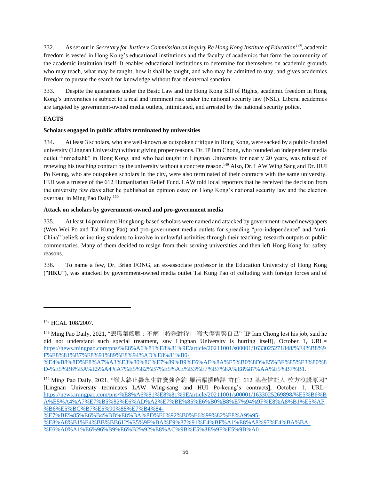332. As set out in *Secretary for Justice v Commission on Inquiry Re Hong Kong Institute of Education<sup>148</sup>*, academic freedom is vested in Hong Kong's educational institutions and the faculty of academics that form the community of the academic institution itself. It enables educational institutions to determine for themselves on academic grounds who may teach, what may be taught, how it shall be taught, and who may be admitted to stay; and gives academics freedom to pursue the search for knowledge without fear of external sanction.

333. Despite the guarantees under the Basic Law and the Hong Kong Bill of Rights, academic freedom in Hong Kong's universities is subject to a real and imminent risk under the national security law (NSL). Liberal academics are targeted by government-owned media outlets, intimidated, and arrested by the national security police.

# **FACTS**

# **Scholars engaged in public affairs terminated by universities**

334. At least 3 scholars, who are well-known as outspoken critique in Hong Kong, were sacked by a public-funded university (Lingnan University) without giving proper reasons. Dr. IP Iam Chong, who founded an independent media outlet "inmediahk" in Hong Kong, and who had taught in Lingnan University for nearly 20 years, was refused of renewing his teaching contract by the university without a concrete reason.<sup>149</sup> Also, Dr. LAW Wing Sang and Dr. HUI Po Keung, who are outspoken scholars in the city, were also terminated of their contracts with the same university. HUI was a trustee of the 612 Humanitarian Relief Fund. LAW told local reporters that he received the decision from the university few days after he published an opinion essay on Hong Kong's national security law and the election overhaul in Ming Pao Daily.<sup>150</sup>

## **Attack on scholars by government-owned and pro-government media**

335. At least 14 prominent Hongkong-based scholars were named and attacked by government-owned newspapers (Wen Wei Po and Tai Kung Pao) and pro-government media outlets for spreading "pro-independence" and "anti-China" beliefs or inciting students to involve in unlawful activities through their teaching, research outputs or public commentaries. Many of them decided to resign from their serving universities and then left Hong Kong for safety reasons.

336. To name a few, Dr. Brian FONG, an ex-associate professor in the Education University of Hong Kong ("**HKU**"), was attacked by government-owned media outlet Tai Kung Pao of colluding with foreign forces and of

<sup>148</sup> HCAL 108/2007.

<sup>149</sup> Ming Pao Daily, 2021, "丟職葉蔭聰:不解「特殊對待」 嶺大傷害緊自己" [IP Iam Chong lost his job, said he did not understand such special treatment, saw Lingnan University is hurting itself. October 1, URL= [https://news.mingpao.com/pns/%E8%A6%81%E8%81%9E/article/20211001/s00001/1633025271848/%E4%B8%9](https://news.mingpao.com/pns/%E8%A6%81%E8%81%9E/article/20211001/s00001/1633025271848/%E4%B8%9F%E8%81%B7%E8%91%89%E8%94%AD%E8%81%B0-%E4%B8%8D%E8%A7%A3%E3%80%8C%E7%89%B9%E6%AE%8A%E5%B0%8D%E5%BE%85%E3%80%8D-%E5%B6%BA%E5%A4%A7%E5%82%B7%E5%AE%B3%E7%B7%8A%E8%87%AA%E5%B7%B1) [F%E8%81%B7%E8%91%89%E8%94%AD%E8%81%B0-](https://news.mingpao.com/pns/%E8%A6%81%E8%81%9E/article/20211001/s00001/1633025271848/%E4%B8%9F%E8%81%B7%E8%91%89%E8%94%AD%E8%81%B0-%E4%B8%8D%E8%A7%A3%E3%80%8C%E7%89%B9%E6%AE%8A%E5%B0%8D%E5%BE%85%E3%80%8D-%E5%B6%BA%E5%A4%A7%E5%82%B7%E5%AE%B3%E7%B7%8A%E8%87%AA%E5%B7%B1)

[<sup>%</sup>E4%B8%8D%E8%A7%A3%E3%80%8C%E7%89%B9%E6%AE%8A%E5%B0%8D%E5%BE%85%E3%80%8](https://news.mingpao.com/pns/%E8%A6%81%E8%81%9E/article/20211001/s00001/1633025271848/%E4%B8%9F%E8%81%B7%E8%91%89%E8%94%AD%E8%81%B0-%E4%B8%8D%E8%A7%A3%E3%80%8C%E7%89%B9%E6%AE%8A%E5%B0%8D%E5%BE%85%E3%80%8D-%E5%B6%BA%E5%A4%A7%E5%82%B7%E5%AE%B3%E7%B7%8A%E8%87%AA%E5%B7%B1) [D-%E5%B6%BA%E5%A4%A7%E5%82%B7%E5%AE%B3%E7%B7%8A%E8%87%AA%E5%B7%B1.](https://news.mingpao.com/pns/%E8%A6%81%E8%81%9E/article/20211001/s00001/1633025271848/%E4%B8%9F%E8%81%B7%E8%91%89%E8%94%AD%E8%81%B0-%E4%B8%8D%E8%A7%A3%E3%80%8C%E7%89%B9%E6%AE%8A%E5%B0%8D%E5%BE%85%E3%80%8D-%E5%B6%BA%E5%A4%A7%E5%82%B7%E5%AE%B3%E7%B7%8A%E8%87%AA%E5%B7%B1)

<sup>150</sup> Ming Pao Daily, 2021, "嶺大終止羅永生許寶強合約 羅活躍撰時評 許任 612 基金信託人 校方沒講原因" [Lingnan University terminates LAW Wing-sang and HUI Po-keung's contracts], October 1, URL= [https://news.mingpao.com/pns/%E8%A6%81%E8%81%9E/article/20211001/s00001/1633025269898/%E5%B6%B](https://news.mingpao.com/pns/%E8%A6%81%E8%81%9E/article/20211001/s00001/1633025269898/%E5%B6%BA%E5%A4%A7%E7%B5%82%E6%AD%A2%E7%BE%85%E6%B0%B8%E7%94%9F%E8%A8%B1%E5%AF%B6%E5%BC%B7%E5%90%88%E7%B4%84-%E7%BE%85%E6%B4%BB%E8%BA%8D%E6%92%B0%E6%99%82%E8%A9%95-%E8%A8%B1%E4%BB%BB612%E5%9F%BA%E9%87%91%E4%BF%A1%E8%A8%97%E4%BA%BA-%E6%A0%A1%E6%96%B9%E6%B2%92%E8%AC%9B%E5%8E%9F%E5%9B%A0) [A%E5%A4%A7%E7%B5%82%E6%AD%A2%E7%BE%85%E6%B0%B8%E7%94%9F%E8%A8%B1%E5%AF](https://news.mingpao.com/pns/%E8%A6%81%E8%81%9E/article/20211001/s00001/1633025269898/%E5%B6%BA%E5%A4%A7%E7%B5%82%E6%AD%A2%E7%BE%85%E6%B0%B8%E7%94%9F%E8%A8%B1%E5%AF%B6%E5%BC%B7%E5%90%88%E7%B4%84-%E7%BE%85%E6%B4%BB%E8%BA%8D%E6%92%B0%E6%99%82%E8%A9%95-%E8%A8%B1%E4%BB%BB612%E5%9F%BA%E9%87%91%E4%BF%A1%E8%A8%97%E4%BA%BA-%E6%A0%A1%E6%96%B9%E6%B2%92%E8%AC%9B%E5%8E%9F%E5%9B%A0) [%B6%E5%BC%B7%E5%90%88%E7%B4%84-](https://news.mingpao.com/pns/%E8%A6%81%E8%81%9E/article/20211001/s00001/1633025269898/%E5%B6%BA%E5%A4%A7%E7%B5%82%E6%AD%A2%E7%BE%85%E6%B0%B8%E7%94%9F%E8%A8%B1%E5%AF%B6%E5%BC%B7%E5%90%88%E7%B4%84-%E7%BE%85%E6%B4%BB%E8%BA%8D%E6%92%B0%E6%99%82%E8%A9%95-%E8%A8%B1%E4%BB%BB612%E5%9F%BA%E9%87%91%E4%BF%A1%E8%A8%97%E4%BA%BA-%E6%A0%A1%E6%96%B9%E6%B2%92%E8%AC%9B%E5%8E%9F%E5%9B%A0)

[<sup>%</sup>E7%BE%85%E6%B4%BB%E8%BA%8D%E6%92%B0%E6%99%82%E8%A9%95-](https://news.mingpao.com/pns/%E8%A6%81%E8%81%9E/article/20211001/s00001/1633025269898/%E5%B6%BA%E5%A4%A7%E7%B5%82%E6%AD%A2%E7%BE%85%E6%B0%B8%E7%94%9F%E8%A8%B1%E5%AF%B6%E5%BC%B7%E5%90%88%E7%B4%84-%E7%BE%85%E6%B4%BB%E8%BA%8D%E6%92%B0%E6%99%82%E8%A9%95-%E8%A8%B1%E4%BB%BB612%E5%9F%BA%E9%87%91%E4%BF%A1%E8%A8%97%E4%BA%BA-%E6%A0%A1%E6%96%B9%E6%B2%92%E8%AC%9B%E5%8E%9F%E5%9B%A0)

[<sup>%</sup>E8%A8%B1%E4%BB%BB612%E5%9F%BA%E9%87%91%E4%BF%A1%E8%A8%97%E4%BA%BA-](https://news.mingpao.com/pns/%E8%A6%81%E8%81%9E/article/20211001/s00001/1633025269898/%E5%B6%BA%E5%A4%A7%E7%B5%82%E6%AD%A2%E7%BE%85%E6%B0%B8%E7%94%9F%E8%A8%B1%E5%AF%B6%E5%BC%B7%E5%90%88%E7%B4%84-%E7%BE%85%E6%B4%BB%E8%BA%8D%E6%92%B0%E6%99%82%E8%A9%95-%E8%A8%B1%E4%BB%BB612%E5%9F%BA%E9%87%91%E4%BF%A1%E8%A8%97%E4%BA%BA-%E6%A0%A1%E6%96%B9%E6%B2%92%E8%AC%9B%E5%8E%9F%E5%9B%A0) [%E6%A0%A1%E6%96%B9%E6%B2%92%E8%AC%9B%E5%8E%9F%E5%9B%A0](https://news.mingpao.com/pns/%E8%A6%81%E8%81%9E/article/20211001/s00001/1633025269898/%E5%B6%BA%E5%A4%A7%E7%B5%82%E6%AD%A2%E7%BE%85%E6%B0%B8%E7%94%9F%E8%A8%B1%E5%AF%B6%E5%BC%B7%E5%90%88%E7%B4%84-%E7%BE%85%E6%B4%BB%E8%BA%8D%E6%92%B0%E6%99%82%E8%A9%95-%E8%A8%B1%E4%BB%BB612%E5%9F%BA%E9%87%91%E4%BF%A1%E8%A8%97%E4%BA%BA-%E6%A0%A1%E6%96%B9%E6%B2%92%E8%AC%9B%E5%8E%9F%E5%9B%A0)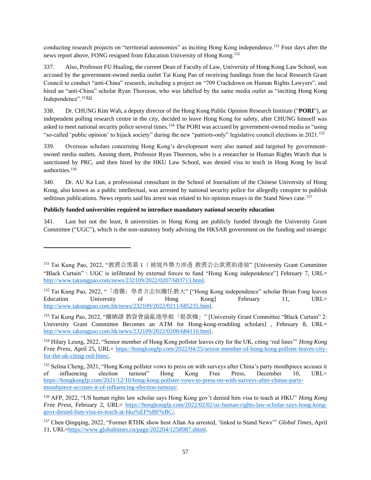conducting research projects on "territorial autonomies" as inciting Hong Kong independence.<sup>151</sup> Four days after the news report above, FONG resigned from Education University of Hong Kong.<sup>152</sup>

337. Also, Professor FU Hualing, the current Dean of Faculty of Law, University of Hong Kong Law School, was accused by the government-owned media outlet Tai Kung Pao of receiving fundings from the local Research Grant Council to conduct "anti-China" research, including a project on "709 Crackdown on Human Rights Lawyers", and hired an "anti-China" scholar Ryan Thoreson, who was labelled by the same media outlet as "inciting Hong Kong Independence".<sup>15[3\[6\]](https://word-edit.officeapps.live.com/we/wordeditorframe.aspx?ui=en%2DGB&rs=en%2DUS&hid=Dmb70EmQMEyMGRNNdtZn%2FQ%2E0&WOPISrc=https%3A%2F%2Fwopi%2Eonedrive%2Ecom%2Fwopi%2Ffiles%2FCFCABDCA17B16EBD%21129&&&sc=host%3D%26qt%3DDefault&wdo=1&wde=docx&wdp=3&wdOrigin=AppModeSwitch&wdhostclicktime=1652696534594&wdredirectionreason=Unified%5FViewActionUrl&wdPid=4D20DC97&wdModeSwitchTime=1652696558627&wdPreviousSession=957923db-587b-4dbb-965e-cac3caf96bb6&uih=OneDrive&pdcn=pdc3784#_ftn6)</sup>

338. Dr. CHUNG Kim Wah, a deputy director of the Hong Kong Public Opinion Research Institute ("**PORI**"), an independent polling research centre in the city, decided to leave Hong Kong for safety, after CHUNG himself was asked to meet national security police several times.<sup>154</sup> The PORI was accused by government-owned media as "using "so-called 'public opinion' to hijack society" during the new "patriots-only" legislative council elections in 2021.<sup>155</sup>

339. Overseas scholars concerning Hong Kong's development were also named and targeted by governmentowned media outlets. Among them, Professor Ryan Thoreson, who is a researcher in Human Rights Watch that is sanctioned by PRC, and then hired by the HKU Law School, was denied visa to teach in Hong Kong by local authorities.<sup>156</sup>

340. Dr. AU Ka Lun, a professional consultant in the School of Journalism of the Chinese University of Hong Kong, also known as a public intellectual, was arrested by national security police for allegedly conspire to publish seditious publications. News reports said his arrest was related to his opinion essays in the Stand News case.<sup>157</sup>

## **Publicly funded universities required to introduce mandatory national security education**

341. Last but not the least, 8 universities in Hong Kong are publicly funded through the University Grant Committee ("UGC"), which is the non-statutory body advising the HKSAR government on the funding and strategic

<sup>151</sup> Tai Kung Pao, 2022, "教资会黑幕 1 丨被境外势力渗透 教资会公款资助港独" [University Grant Committee "Black Curtain" : UGC is infiltrated by external forces to fund "Hong Kong independence"] February 7, URL= [http://www.takungpao.com/news/232109/2022/0207/683713.html.](http://www.takungpao.com/news/232109/2022/0207/683713.html)

<sup>152</sup> Tai Kung Pao, 2022, "「港獨」學者方志恒離任教大" ["Hong Kong independence" scholar Brian Fong leaves Education University of Hong Kong] February 11, URL= [http://www.takungpao.com.hk/news/232109/2022/0211/685235.html.](http://www.takungpao.com.hk/news/232109/2022/0211/685235.html)

<sup>153</sup> Tai Kung Pao, 2022, "離晒譜 教資會淪亂港學棍「提款機」" [University Grant Committee "Black Curtain" 2: University Grant Committee Becomes an ATM for Hong-kong-troubling scholars], February 8, URL= [http://www.takungpao.com.hk/news/232109/2022/0208/684110.html.](http://www.takungpao.com.hk/news/232109/2022/0208/684110.html)

<sup>154</sup> Hilary Leung, 2022, "Senior member of Hong Kong pollster leaves city for the UK, citing 'red lines'" *Hong Kong Free Press*, April 25, URL= [https://hongkongfp.com/2022/04/25/senior-member-of-hong-kong-pollster-leaves-city](https://hongkongfp.com/2022/04/25/senior-member-of-hong-kong-pollster-leaves-city-for-the-uk-citing-red-lines/)[for-the-uk-citing-red-lines/.](https://hongkongfp.com/2022/04/25/senior-member-of-hong-kong-pollster-leaves-city-for-the-uk-citing-red-lines/)

<sup>&</sup>lt;sup>155</sup> Selina Cheng, 2021, "Hong Kong pollster vows to press on with surveys after China's party mouthpiece accuses it of influencing election turnout" Hong Kong Free Press, December 10, URL= [https://hongkongfp.com/2021/12/10/hong-kong-pollster-vows-to-press-on-with-surveys-after-chinas-party](https://hongkongfp.com/2021/12/10/hong-kong-pollster-vows-to-press-on-with-surveys-after-chinas-party-mouthpiece-accuses-it-of-influencing-election-turnout/)[mouthpiece-accuses-it-of-influencing-election-turnout/.](https://hongkongfp.com/2021/12/10/hong-kong-pollster-vows-to-press-on-with-surveys-after-chinas-party-mouthpiece-accuses-it-of-influencing-election-turnout/)

<sup>156</sup> AFP, 2022, "US human rights law scholar says Hong Kong gov't denied him visa to teach at HKU" *Hong Kong Free Press*, February 2, URL= [https://hongkongfp.com/2022/02/02/us-human-rights-law-scholar-says-hong-kong](https://hongkongfp.com/2022/02/02/us-human-rights-law-scholar-says-hong-kong-govt-denied-him-visa-to-teach-at-hku%EF%BF%BC/)[govt-denied-him-visa-to-teach-at-hku%EF%BF%BC/.](https://hongkongfp.com/2022/02/02/us-human-rights-law-scholar-says-hong-kong-govt-denied-him-visa-to-teach-at-hku%EF%BF%BC/)

<sup>157</sup> Chen Qingqing, 2022, "Former RTHK show host Allan Au arrested, 'linked to Stand News'" *Global Times*, April 11, URL[=https://www.globaltimes.cn/page/202204/1258987.shtml.](https://www.globaltimes.cn/page/202204/1258987.shtml)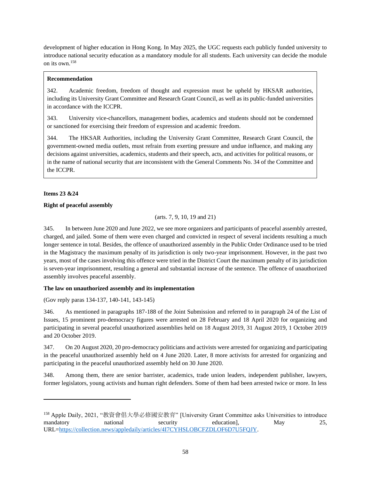development of higher education in Hong Kong. In May 2025, the UGC requests each publicly funded university to introduce national security education as a mandatory module for all students. Each university can decide the module on its own.<sup>158</sup>

## **Recommendation**

342. Academic freedom, freedom of thought and expression must be upheld by HKSAR authorities, including its University Grant Committee and Research Grant Council, as well as its public-funded universities in accordance with the ICCPR.

343. University vice-chancellors, management bodies, academics and students should not be condemned or sanctioned for exercising their freedom of expression and academic freedom.

344. The HKSAR Authorities, including the University Grant Committee, Research Grant Council, the government-owned media outlets, must refrain from exerting pressure and undue influence, and making any decisions against universities, academics, students and their speech, acts, and activities for political reasons, or in the name of national security that are inconsistent with the General Comments No. 34 of the Committee and the ICCPR.

# **Items 23 &24**

## **Right of peaceful assembly**

(arts. 7, 9, 10, 19 and 21)

345. In between June 2020 and June 2022, we see more organizers and participants of peaceful assembly arrested, charged, and jailed. Some of them were even charged and convicted in respect of several incidents resulting a much longer sentence in total. Besides, the offence of unauthorized assembly in the Public Order Ordinance used to be tried in the Magistracy the maximum penalty of its jurisdiction is only two-year imprisonment. However, in the past two years, most of the cases involving this offence were tried in the District Court the maximum penalty of its jurisdiction is seven-year imprisonment, resulting a general and substantial increase of the sentence. The offence of unauthorized assembly involves peaceful assembly.

## **The law on unauthorized assembly and its implementation**

(Gov reply paras 134-137, 140-141, 143-145)

346. As mentioned in paragraphs 187-188 of the Joint Submission and referred to in paragraph 24 of the List of Issues, 15 prominent pro-democracy figures were arrested on 28 February and 18 April 2020 for organizing and participating in several peaceful unauthorized assemblies held on 18 August 2019, 31 August 2019, 1 October 2019 and 20 October 2019.

347. On 20 August 2020, 20 pro-democracy politicians and activists were arrested for organizing and participating in the peaceful unauthorized assembly held on 4 June 2020. Later, 8 more activists for arrested for organizing and participating in the peaceful unauthorized assembly held on 30 June 2020.

348. Among them, there are senior barrister, academics, trade union leaders, independent publisher, lawyers, former legislators, young activists and human right defenders. Some of them had been arrested twice or more. In less

<sup>158</sup> Apple Daily, 2021, "教資會倡大學必修國安教育" [University Grant Committee asks Universities to introduce mandatory national security education], May 25, URL[=https://collection.news/appledaily/articles/4I7CYHSLOBCFZDLOF6D7U5FQJY.](https://collection.news/appledaily/articles/4I7CYHSLOBCFZDLOF6D7U5FQJY)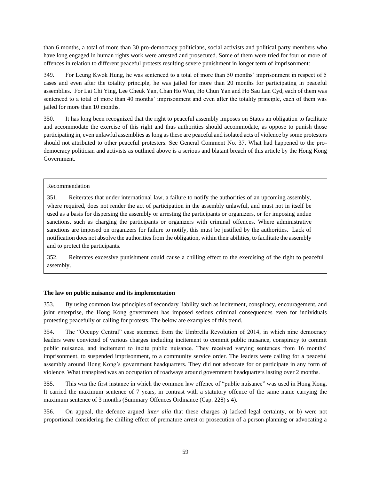than 6 months, a total of more than 30 pro-democracy politicians, social activists and political party members who have long engaged in human rights work were arrested and prosecuted. Some of them were tried for four or more of offences in relation to different peaceful protests resulting severe punishment in longer term of imprisonment:

349. For Leung Kwok Hung, he was sentenced to a total of more than 50 months' imprisonment in respect of 5 cases and even after the totality principle, he was jailed for more than 20 months for participating in peaceful assemblies. For Lai Chi Ying, Lee Cheuk Yan, Chan Ho Wun, Ho Chun Yan and Ho Sau Lan Cyd, each of them was sentenced to a total of more than 40 months' imprisonment and even after the totality principle, each of them was jailed for more than 10 months.

350. It has long been recognized that the right to peaceful assembly imposes on States an obligation to facilitate and accommodate the exercise of this right and thus authorities should accommodate, as oppose to punish those participating in, even unlawful assemblies as long as these are peaceful and isolated acts of violence by some protesters should not attributed to other peaceful protesters. See General Comment No. 37. What had happened to the prodemocracy politician and activists as outlined above is a serious and blatant breach of this article by the Hong Kong Government.

### Recommendation

351. Reiterates that under international law, a failure to notify the authorities of an upcoming assembly, where required, does not render the act of participation in the assembly unlawful, and must not in itself be used as a basis for dispersing the assembly or arresting the participants or organizers, or for imposing undue sanctions, such as charging the participants or organizers with criminal offences. Where administrative sanctions are imposed on organizers for failure to notify, this must be justified by the authorities. Lack of notification does not absolve the authorities from the obligation, within their abilities, to facilitate the assembly and to protect the participants.

352. Reiterates excessive punishment could cause a chilling effect to the exercising of the right to peaceful assembly.

## **The law on public nuisance and its implementation**

353. By using common law principles of secondary liability such as incitement, conspiracy, encouragement, and joint enterprise, the Hong Kong government has imposed serious criminal consequences even for individuals protesting peacefully or calling for protests. The below are examples of this trend.

354. The "Occupy Central" case stemmed from the Umbrella Revolution of 2014, in which nine democracy leaders were convicted of various charges including incitement to commit public nuisance, conspiracy to commit public nuisance, and incitement to incite public nuisance. They received varying sentences from 16 months' imprisonment, to suspended imprisonment, to a community service order. The leaders were calling for a peaceful assembly around Hong Kong's government headquarters. They did not advocate for or participate in any form of violence. What transpired was an occupation of roadways around government headquarters lasting over 2 months.

355. This was the first instance in which the common law offence of "public nuisance" was used in Hong Kong. It carried the maximum sentence of 7 years, in contrast with a statutory offence of the same name carrying the maximum sentence of 3 months (Summary Offences Ordinance (Cap. 228) s 4).

356. On appeal, the defence argued *inter alia* that these charges a) lacked legal certainty, or b) were not proportional considering the chilling effect of premature arrest or prosecution of a person planning or advocating a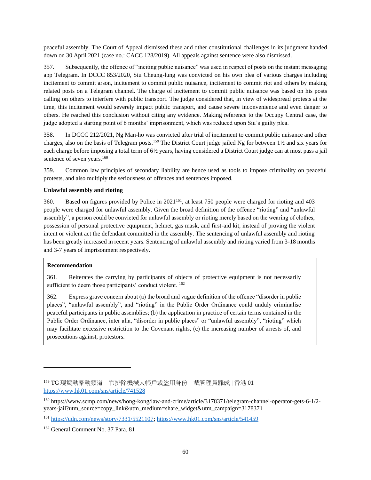peaceful assembly. The Court of Appeal dismissed these and other constitutional challenges in its judgment handed down on 30 April 2021 (case no.: CACC 128/2019). All appeals against sentence were also dismissed.

357. Subsequently, the offence of "inciting public nuisance" was used in respect of posts on the instant messaging app Telegram. In DCCC 853/2020, Siu Cheung-lung was convicted on his own plea of various charges including incitement to commit arson, incitement to commit public nuisance, incitement to commit riot and others by making related posts on a Telegram channel. The charge of incitement to commit public nuisance was based on his posts calling on others to interfere with public transport. The judge considered that, in view of widespread protests at the time, this incitement would severely impact public transport, and cause severe inconvenience and even danger to others. He reached this conclusion without citing any evidence. Making reference to the Occupy Central case, the judge adopted a starting point of 6 months' imprisonment, which was reduced upon Siu's guilty plea.

358. In DCCC 212/2021, Ng Man-ho was convicted after trial of incitement to commit public nuisance and other charges, also on the basis of Telegram posts.<sup>159</sup> The District Court judge jailed Ng for between 1½ and six years for each charge before imposing a total term of 6½ years, having considered a District Court judge can at most pass a jail sentence of seven years.<sup>160</sup>

359. Common law principles of secondary liability are hence used as tools to impose criminality on peaceful protests, and also multiply the seriousness of offences and sentences imposed.

## **Unlawful assembly and rioting**

360. Based on figures provided by Police in 2021<sup>161</sup>, at least 750 people were charged for rioting and 403 people were charged for unlawful assembly. Given the broad definition of the offence "rioting" and "unlawful assembly", a person could be convicted for unlawful assembly or rioting merely based on the wearing of clothes, possession of personal protective equipment, helmet, gas mask, and first-aid kit, instead of proving the violent intent or violent act the defendant committed in the assembly. The sentencing of unlawful assembly and rioting has been greatly increased in recent years. Sentencing of unlawful assembly and rioting varied from 3-18 months and 3-7 years of imprisonment respectively.

### **Recommendation**

361. Reiterates the carrying by participants of objects of protective equipment is not necessarily sufficient to deem those participants' conduct violent. <sup>162</sup>

362. Express grave concern about (a) the broad and vague definition of the offence "disorder in public places", "unlawful assembly", and "rioting" in the Public Order Ordinance could unduly criminalise peaceful participants in public assemblies; (b) the application in practice of certain terms contained in the Public Order Ordinance, inter alia, "disorder in public places" or "unlawful assembly", "rioting" which may facilitate excessive restriction to the Covenant rights, (c) the increasing number of arrests of, and prosecutions against, protestors.

<sup>159</sup> TG 現煽動暴動頻道 官排除機械人帳戶或盜用身份 裁管理員罪成 | 香港 01 <https://www.hk01.com/sns/article/741528>

<sup>160</sup> https://www.scmp.com/news/hong-kong/law-and-crime/article/3178371/telegram-channel-operator-gets-6-1/2 years-jail?utm\_source=copy\_link&utm\_medium=share\_widget&utm\_campaign=3178371

<sup>161</sup> [https://udn.com/news/story/7331/5521107;](https://udn.com/news/story/7331/5521107)<https://www.hk01.com/sns/article/541459>

<sup>162</sup> General Comment No. 37 Para. 81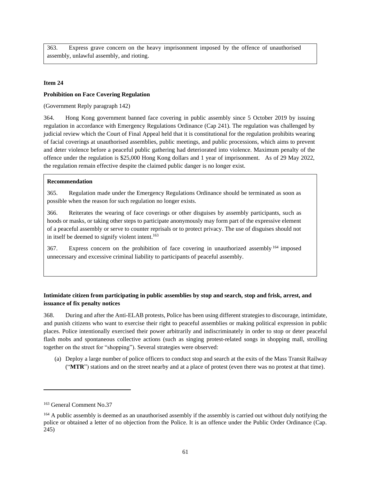363. Express grave concern on the heavy imprisonment imposed by the offence of unauthorised assembly, unlawful assembly, and rioting.

#### **Item 24**

#### **Prohibition on Face Covering Regulation**

(Government Reply paragraph 142)

364. Hong Kong government banned face covering in public assembly since 5 October 2019 by issuing regulation in accordance with Emergency Regulations Ordinance (Cap 241). The regulation was challenged by judicial review which the Court of Final Appeal held that it is constitutional for the regulation prohibits wearing of facial coverings at unauthorised assemblies, public meetings, and public processions, which aims to prevent and deter violence before a peaceful public gathering had deteriorated into violence. Maximum penalty of the offence under the regulation is \$25,000 Hong Kong dollars and 1 year of imprisonment. As of 29 May 2022, the regulation remain effective despite the claimed public danger is no longer exist.

#### **Recommendation**

365. Regulation made under the Emergency Regulations Ordinance should be terminated as soon as possible when the reason for such regulation no longer exists.

366. Reiterates the wearing of face coverings or other disguises by assembly participants, such as hoods or masks, or taking other steps to participate anonymously may form part of the expressive element of a peaceful assembly or serve to counter reprisals or to protect privacy. The use of disguises should not in itself be deemed to signify violent intent.<sup>163</sup>

367. Express concern on the prohibition of face covering in unauthorized assembly <sup>164</sup> imposed unnecessary and excessive criminal liability to participants of peaceful assembly.

## **Intimidate citizen from participating in public assemblies by stop and search, stop and frisk, arrest, and issuance of fix penalty notices**

368. During and after the Anti-ELAB protests, Police has been using different strategies to discourage, intimidate, and punish citizens who want to exercise their right to peaceful assemblies or making political expression in public places. Police intentionally exercised their power arbitrarily and indiscriminately in order to stop or deter peaceful flash mobs and spontaneous collective actions (such as singing protest-related songs in shopping mall, strolling together on the street for "shopping"). Several strategies were observed:

(a) Deploy a large number of police officers to conduct stop and search at the exits of the Mass Transit Railway ("**MTR**") stations and on the street nearby and at a place of protest (even there was no protest at that time).

<sup>163</sup> General Comment No.37

<sup>&</sup>lt;sup>164</sup> A public assembly is deemed as an unauthorised assembly if the assembly is carried out without duly notifying the police or obtained a letter of no objection from the Police. It is an offence under the Public Order Ordinance (Cap. 245)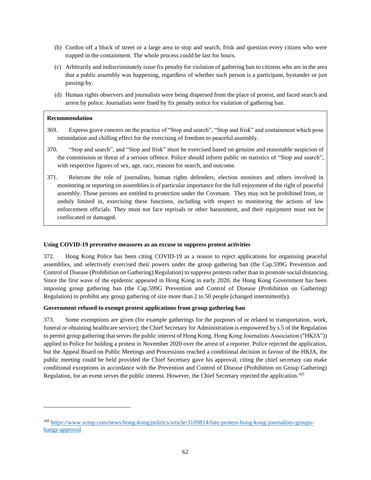- (b) Cordon off a block of street or a large area to stop and search, frisk and question every citizen who were trapped in the containment. The whole process could be last for hours.
- (c) Arbitrarily and indiscriminately issue fix penalty for violation of gathering ban to citizens who are in the area that a public assembly was happening, regardless of whether such person is a participant, bystander or just passing-by.
- (d) Human rights observers and journalists were being dispersed from the place of protest, and faced search and arrest by police. Journalists were fined by fix penalty notice for violation of gathering ban.

## **Recommendation**

- 369. Express grave concern on the practice of "Stop and search", "Stop and frisk" and containment which pose intimidation and chilling effect for the exercising of freedom to peaceful assembly.
- 370. "Stop and search", and "Stop and frisk" must be exercised based on genuine and reasonable suspicion of the commission or threat of a serious offence. Police should inform public on statistics of "Stop and search", with respective figures of sex, age, race, reasons for search, and outcome.
- 371. Reiterate the role of journalists, human rights defenders, election monitors and others involved in monitoring or reporting on assemblies is of particular importance for the full enjoyment of the right of peaceful assembly. Those persons are entitled to protection under the Covenant. They may not be prohibited from, or unduly limited in, exercising these functions, including with respect to monitoring the actions of law enforcement officials. They must not face reprisals or other harassment, and their equipment must not be confiscated or damaged.

### **Using COVID-19 preventive measures as an excuse to suppress protest activities**

372. Hong Kong Police has been citing COVID-19 as a reason to reject applications for organising peaceful assemblies, and selectively exercised their powers under the group gathering ban (the Cap.599G Prevention and Control of Disease (Prohibition on Gathering) Regulation) to suppress protests rather than to promote social distancing. Since the first wave of the epidemic appeared in Hong Kong in early 2020, the Hong Kong Government has been imposing group gathering ban (the Cap.599G Prevention and Control of Disease (Prohibition on Gathering) Regulation) to prohibit any group gathering of size more than 2 to 50 people (changed intermittently).

## **Government refused to exempt protest applications from group gathering ban**

373. Some exemptions are given (for example gatherings for the purposes of or related to transportation, work, funeral or obtaining healthcare service); the Chief Secretary for Administration is empowered by s.5 of the Regulation to permit group gathering that serves the public interest of Hong Kong. Hong Kong Journalists Association ("HKJA")) applied to Police for holding a protest in November 2020 over the arrest of a reporter. Police rejected the application, but the Appeal Board on Public Meetings and Processions reached a conditional decision in favour of the HKJA, the public meeting could be held provided the Chief Secretary gave his approval, citing the chief secretary can make conditional exceptions in accordance with the Prevention and Control of Disease (Prohibition on Group Gathering) Regulation, for an event serves the public interest. However, the Chief Secretary rejected the application.<sup>165</sup>

<sup>165</sup> [https://www.scmp.com/news/hong-kong/politics/article/3109814/fate-protest-hong-kong-journalists-groups](https://www.scmp.com/news/hong-kong/politics/article/3109814/fate-protest-hong-kong-journalists-groups-hangs-approval)[hangs-approval](https://www.scmp.com/news/hong-kong/politics/article/3109814/fate-protest-hong-kong-journalists-groups-hangs-approval)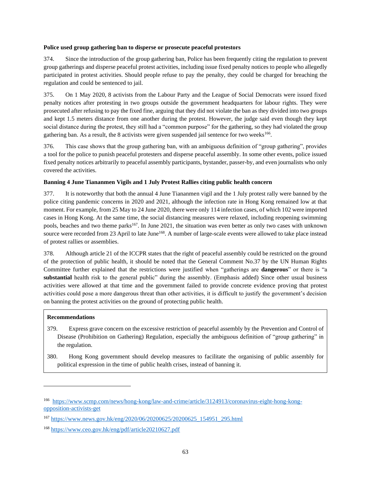#### **Police used group gathering ban to disperse or prosecute peaceful protestors**

374. Since the introduction of the group gathering ban, Police has been frequently citing the regulation to prevent group gatherings and disperse peaceful protest activities, including issue fixed penalty notices to people who allegedly participated in protest activities. Should people refuse to pay the penalty, they could be charged for breaching the regulation and could be sentenced to jail.

375. On 1 May 2020, 8 activists from the Labour Party and the League of Social Democrats were issued fixed penalty notices after protesting in two groups outside the government headquarters for labour rights. They were prosecuted after refusing to pay the fixed fine, arguing that they did not violate the ban as they divided into two groups and kept 1.5 meters distance from one another during the protest. However, the judge said even though they kept social distance during the protest, they still had a "common purpose" for the gathering, so they had violated the group gathering ban. As a result, the 8 activists were given suspended jail sentence for two weeks<sup>166</sup>.

376. This case shows that the group gathering ban, with an ambiguous definition of "group gathering", provides a tool for the police to punish peaceful protesters and disperse peaceful assembly. In some other events, police issued fixed penalty notices arbitrarily to peaceful assembly participants, bystander, passer-by, and even journalists who only covered the activities.

## **Banning 4 June Tiananmen Vigils and 1 July Protest Rallies citing public health concern**

377. It is noteworthy that both the annual 4 June Tiananmen vigil and the 1 July protest rally were banned by the police citing pandemic concerns in 2020 and 2021, although the infection rate in Hong Kong remained low at that moment. For example, from 25 May to 24 June 2020, there were only 114 infection cases, of which 102 were imported cases in Hong Kong. At the same time, the social distancing measures were relaxed, including reopening swimming pools, beaches and two theme parks<sup>167</sup>. In June 2021, the situation was even better as only two cases with unknown source were recorded from 23 April to late June<sup>168</sup>. A number of large-scale events were allowed to take place instead of protest rallies or assemblies.

378. Although article 21 of the ICCPR states that the right of peaceful assembly could be restricted on the ground of the protection of public health, it should be noted that the General Comment No.37 by the UN Human Rights Committee further explained that the restrictions were justified when "gatherings are **dangerous**" or there is "a **substantial** health risk to the general public" during the assembly. (Emphasis added) Since other usual business activities were allowed at that time and the government failed to provide concrete evidence proving that protest activities could pose a more dangerous threat than other activities, it is difficult to justify the government's decision on banning the protest activities on the ground of protecting public health.

### **Recommendations**

- 379. Express grave concern on the excessive restriction of peaceful assembly by the Prevention and Control of Disease (Prohibition on Gathering) Regulation, especially the ambiguous definition of "group gathering" in the regulation.
- 380. Hong Kong government should develop measures to facilitate the organising of public assembly for political expression in the time of public health crises, instead of banning it.

<sup>166</sup>  [https://www.scmp.com/news/hong-kong/law-and-crime/article/3124913/coronavirus-eight-hong-kong](https://www.scmp.com/news/hong-kong/law-and-crime/article/3124913/coronavirus-eight-hong-kong-opposition-activists-get)[opposition-activists-get](https://www.scmp.com/news/hong-kong/law-and-crime/article/3124913/coronavirus-eight-hong-kong-opposition-activists-get)

<sup>167</sup> [https://www.news.gov.hk/eng/2020/06/20200625/20200625\\_154951\\_295.html](https://www.news.gov.hk/eng/2020/06/20200625/20200625_154951_295.html)

<sup>168</sup> <https://www.ceo.gov.hk/eng/pdf/article20210627.pdf>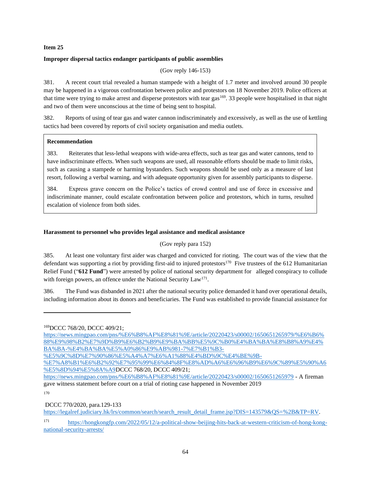#### **Item 25**

## **Improper dispersal tactics endanger participants of public assemblies**

(Gov reply 146-153)

381. A recent court trial revealed a human stampede with a height of 1.7 meter and involved around 30 people may be happened in a vigorous confrontation between police and protestors on 18 November 2019. Police officers at that time were trying to make arrest and disperse protestors with tear gas<sup>169</sup>. 33 people were hospitalised in that night and two of them were unconscious at the time of being sent to hospital.

382. Reports of using of tear gas and water cannon indiscriminately and excessively, as well as the use of kettling tactics had been covered by reports of civil society organisation and media outlets.

## **Recommendation**

383. Reiterates that less-lethal weapons with wide-area effects, such as tear gas and water cannons, tend to have indiscriminate effects. When such weapons are used, all reasonable efforts should be made to limit risks, such as causing a stampede or harming bystanders. Such weapons should be used only as a measure of last resort, following a verbal warning, and with adequate opportunity given for assembly participants to disperse.

384. Express grave concern on the Police's tactics of crowd control and use of force in excessive and indiscriminate manner, could escalate confrontation between police and protestors, which in turns, resulted escalation of violence from both sides.

## **Harassment to personnel who provides legal assistance and medical assistance**

### (Gov reply para 152)

385. At least one voluntary first aider was charged and convicted for rioting. The court was of the view that the defendant was supporting a riot by providing first-aid to injured protestors<sup>170</sup> Five trustees of the 612 Humanitarian Relief Fund ("**612 Fund**") were arrested by police of national security department for alleged conspiracy to collude with foreign powers, an offence under the National Security Law<sup>171</sup>.

386. The Fund was disbanded in 2021 after the national security police demanded it hand over operational details, including information about its donors and beneficiaries. The Fund was established to provide financial assistance for

170

DCCC 770/2020, para.129-133

[https://legalref.judiciary.hk/lrs/common/search/search\\_result\\_detail\\_frame.jsp?DIS=143579&QS=%2B&TP=RV.](https://legalref.judiciary.hk/lrs/common/search/search_result_detail_frame.jsp?DIS=143579&QS=%2B&TP=RV)

<sup>169</sup>DCCC 768/20, DCCC 409/21;

[https://news.mingpao.com/pns/%E6%B8%AF%E8%81%9E/article/20220423/s00002/1650651265979/%E6%B6%](https://news.mingpao.com/pns/%E6%B8%AF%E8%81%9E/article/20220423/s00002/1650651265979/%E6%B6%88%E9%98%B2%E7%9D%B9%E6%B2%B9%E9%BA%BB%E5%9C%B0%E4%BA%BA%E8%B8%A9%E4%BA%BA-%E4%BA%BA%E5%A0%86%E9%AB%981-7%E7%B1%B3-%E5%9C%8D%E7%90%86%E5%A4%A7%E6%A1%88%E4%BD%9C%E4%BE%9B-%E7%A8%B1%E6%B2%92%E7%95%99%E6%84%8F%E8%AD%A6%E6%96%B9%E6%9C%89%E5%90%A6%E5%8D%94%E5%8A%A9) [88%E9%98%B2%E7%9D%B9%E6%B2%B9%E9%BA%BB%E5%9C%B0%E4%BA%BA%E8%B8%A9%E4%](https://news.mingpao.com/pns/%E6%B8%AF%E8%81%9E/article/20220423/s00002/1650651265979/%E6%B6%88%E9%98%B2%E7%9D%B9%E6%B2%B9%E9%BA%BB%E5%9C%B0%E4%BA%BA%E8%B8%A9%E4%BA%BA-%E4%BA%BA%E5%A0%86%E9%AB%981-7%E7%B1%B3-%E5%9C%8D%E7%90%86%E5%A4%A7%E6%A1%88%E4%BD%9C%E4%BE%9B-%E7%A8%B1%E6%B2%92%E7%95%99%E6%84%8F%E8%AD%A6%E6%96%B9%E6%9C%89%E5%90%A6%E5%8D%94%E5%8A%A9) [BA%BA-%E4%BA%BA%E5%A0%86%E9%AB%981-7%E7%B1%B3-](https://news.mingpao.com/pns/%E6%B8%AF%E8%81%9E/article/20220423/s00002/1650651265979/%E6%B6%88%E9%98%B2%E7%9D%B9%E6%B2%B9%E9%BA%BB%E5%9C%B0%E4%BA%BA%E8%B8%A9%E4%BA%BA-%E4%BA%BA%E5%A0%86%E9%AB%981-7%E7%B1%B3-%E5%9C%8D%E7%90%86%E5%A4%A7%E6%A1%88%E4%BD%9C%E4%BE%9B-%E7%A8%B1%E6%B2%92%E7%95%99%E6%84%8F%E8%AD%A6%E6%96%B9%E6%9C%89%E5%90%A6%E5%8D%94%E5%8A%A9)

[<sup>%</sup>E5%9C%8D%E7%90%86%E5%A4%A7%E6%A1%88%E4%BD%9C%E4%BE%9B-](https://news.mingpao.com/pns/%E6%B8%AF%E8%81%9E/article/20220423/s00002/1650651265979/%E6%B6%88%E9%98%B2%E7%9D%B9%E6%B2%B9%E9%BA%BB%E5%9C%B0%E4%BA%BA%E8%B8%A9%E4%BA%BA-%E4%BA%BA%E5%A0%86%E9%AB%981-7%E7%B1%B3-%E5%9C%8D%E7%90%86%E5%A4%A7%E6%A1%88%E4%BD%9C%E4%BE%9B-%E7%A8%B1%E6%B2%92%E7%95%99%E6%84%8F%E8%AD%A6%E6%96%B9%E6%9C%89%E5%90%A6%E5%8D%94%E5%8A%A9)

[<sup>%</sup>E7%A8%B1%E6%B2%92%E7%95%99%E6%84%8F%E8%AD%A6%E6%96%B9%E6%9C%89%E5%90%A6](https://news.mingpao.com/pns/%E6%B8%AF%E8%81%9E/article/20220423/s00002/1650651265979/%E6%B6%88%E9%98%B2%E7%9D%B9%E6%B2%B9%E9%BA%BB%E5%9C%B0%E4%BA%BA%E8%B8%A9%E4%BA%BA-%E4%BA%BA%E5%A0%86%E9%AB%981-7%E7%B1%B3-%E5%9C%8D%E7%90%86%E5%A4%A7%E6%A1%88%E4%BD%9C%E4%BE%9B-%E7%A8%B1%E6%B2%92%E7%95%99%E6%84%8F%E8%AD%A6%E6%96%B9%E6%9C%89%E5%90%A6%E5%8D%94%E5%8A%A9) [%E5%8D%94%E5%8A%A9D](https://news.mingpao.com/pns/%E6%B8%AF%E8%81%9E/article/20220423/s00002/1650651265979/%E6%B6%88%E9%98%B2%E7%9D%B9%E6%B2%B9%E9%BA%BB%E5%9C%B0%E4%BA%BA%E8%B8%A9%E4%BA%BA-%E4%BA%BA%E5%A0%86%E9%AB%981-7%E7%B1%B3-%E5%9C%8D%E7%90%86%E5%A4%A7%E6%A1%88%E4%BD%9C%E4%BE%9B-%E7%A8%B1%E6%B2%92%E7%95%99%E6%84%8F%E8%AD%A6%E6%96%B9%E6%9C%89%E5%90%A6%E5%8D%94%E5%8A%A9)CCC 768/20, DCCC 409/21;

<https://news.mingpao.com/pns/%E6%B8%AF%E8%81%9E/article/20220423/s00002/1650651265979> - A fireman gave witness statement before court on a trial of rioting case happened in November 2019

<sup>171</sup> [https://hongkongfp.com/2022/05/12/a-political-show-beijing-hits-back-at-western-criticism-of-hong-kong](https://hongkongfp.com/2022/05/12/a-political-show-beijing-hits-back-at-western-criticism-of-hong-kong-national-security-arrests/)[national-security-arrests/](https://hongkongfp.com/2022/05/12/a-political-show-beijing-hits-back-at-western-criticism-of-hong-kong-national-security-arrests/)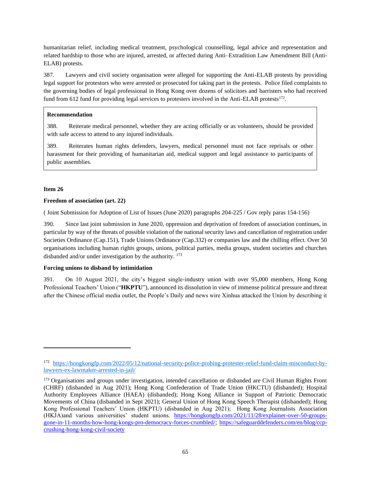humanitarian relief, including medical treatment, psychological counselling, legal advice and representation and related hardship to those who are injured, arrested, or affected during Anti–Extradition Law Amendment Bill (Anti-ELAB) protests.

387. Lawyers and civil society organisation were alleged for supporting the Anti-ELAB protests by providing legal support for protestors who were arrested or prosecuted for taking part in the protests. Police filed complaints to the governing bodies of legal professional in Hong Kong over dozens of solicitors and barristers who had received fund from 612 fund for providing legal services to protesters involved in the Anti-ELAB protests<sup>172</sup>.

## **Recommendation**

388. Reiterate medical personnel, whether they are acting officially or as volunteers, should be provided with safe access to attend to any injured individuals.

389. Reiterates human rights defenders, lawyers, medical personnel must not face reprisals or other harassment for their providing of humanitarian aid, medical support and legal assistance to participants of public assemblies.

### **Item 26**

### **Freedom of association (art. 22)**

( Joint Submission for Adoption of List of Issues (June 2020) paragraphs 204-225 / Gov reply paras 154-156)

390. Since last joint submission in June 2020, oppression and deprivation of freedom of association continues, in particular by way of the threats of possible violation of the national security laws and cancellation of registration under Societies Ordinance (Cap.151), Trade Unions Ordinance (Cap.332) or companies law and the chilling effect. Over 50 organisations including human rights groups, unions, political parties, media groups, student societies and churches disbanded and/or under investigation by the authority. <sup>173</sup>

### **Forcing unions to disband by intimidation**

391. On 10 August 2021, the city's biggest single-industry union with over 95,000 members, Hong Kong Professional Teachers' Union ("**HKPTU**"), announced its dissolution in view of immense political pressure and threat after the Chinese official media outlet, the People's Daily and news wire Xinhua attacked the Union by describing it

<sup>172</sup> [https://hongkongfp.com/2022/05/12/national-security-police-probing-protester-relief-fund-claim-misconduct-by](https://hongkongfp.com/2022/05/12/national-security-police-probing-protester-relief-fund-claim-misconduct-by-lawyers-ex-lawmaker-arrested-in-jail/)[lawyers-ex-lawmaker-arrested-in-jail/](https://hongkongfp.com/2022/05/12/national-security-police-probing-protester-relief-fund-claim-misconduct-by-lawyers-ex-lawmaker-arrested-in-jail/)

<sup>&</sup>lt;sup>173</sup> Organisations and groups under investigation, intended cancellation or disbanded are Civil Human Rights Front (CHRF) (disbanded in Aug 2021); Hong Kong Confederation of Trade Union (HKCTU) (disbanded); Hospital Authority Employees Alliance (HAEA) (disbanded); Hong Kong Alliance in Support of Patriotic Democratic Movements of China (disbanded in Sept 2021); General Union of Hong Kong Speech Therapist (disbanded); Hong Kong Professional Teachers' Union (HKPTU) (disbanded in Aug 2021); Hong Kong Journalists Association (HKJA)and various universities' student unions. [https://hongkongfp.com/2021/11/28/explainer-over-50-groups](https://hongkongfp.com/2021/11/28/explainer-over-50-groups-gone-in-11-months-how-hong-kongs-pro-democracy-forces-crumbled/)[gone-in-11-months-how-hong-kongs-pro-democracy-forces-crumbled/;](https://hongkongfp.com/2021/11/28/explainer-over-50-groups-gone-in-11-months-how-hong-kongs-pro-democracy-forces-crumbled/) https://safeguarddefenders.com/en/blog/ccpcrushing-hong-kong-civil-society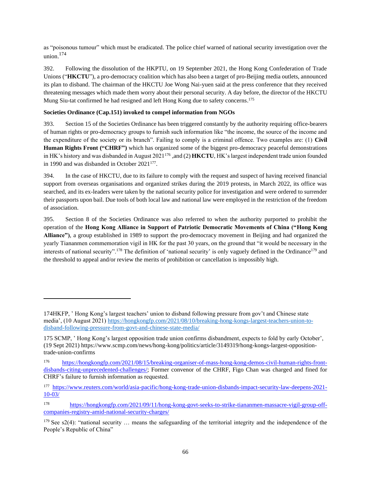as "poisonous tumour" which must be eradicated. The police chief warned of national security investigation over the union. 174

392. Following the dissolution of the HKPTU, on 19 September 2021, the Hong Kong Confederation of Trade Unions ("**HKCTU**"), a pro-democracy coalition which has also been a target of pro-Beijing media outlets, announced its plan to disband. The chairman of the HKCTU Joe Wong Nai-yuen said at the press conference that they received threatening messages which made them worry about their personal security. A day before, the director of the HKCTU Mung Siu-tat confirmed he had resigned and left Hong Kong due to safety concerns.<sup>175</sup>

## **Societies Ordinance (Cap.151) invoked to compel information from NGOs**

393. Section 15 of the Societies Ordinance has been triggered constantly by the authority requiring office-bearers of human rights or pro-democracy groups to furnish such information like "the income, the source of the income and the expenditure of the society or its branch". Failing to comply is a criminal offence. Two examples are: (1) **Civil Human Rights Front ("CHRF")** which has organized some of the biggest pro-democracy peaceful demonstrations in HK's history and was disbanded in August 2021<sup>176</sup>, and (2) HKCTU, HK's largest independent trade union founded in 1990 and was disbanded in October 2021<sup>177</sup>.

394. In the case of HKCTU, due to its failure to comply with the request and suspect of having received financial support from overseas organisations and organized strikes during the 2019 protests, in March 2022, its office was searched, and its ex-leaders were taken by the national security police for investigation and were ordered to surrender their passports upon bail. Due tools of both local law and national law were employed in the restriction of the freedom of association.

395. Section 8 of the Societies Ordinance was also referred to when the authority purported to prohibit the operation of the **Hong Kong Alliance in Support of Patriotic Democratic Movements of China ("Hong Kong Alliance")**, a group established in 1989 to support the pro-democracy movement in Beijing and had organized the yearly Tiananmen commemoration vigil in HK for the past 30 years, on the ground that "it would be necessary in the interests of national security".<sup>178</sup> The definition of 'national security' is only vaguely defined in the Ordinance<sup>179</sup> and the threshold to appeal and/or review the merits of prohibition or cancellation is impossibly high.

<sup>174</sup>HKFP, ' Hong Kong's largest teachers' union to disband following pressure from gov't and Chinese state media', (10 August 2021) [https://hongkongfp.com/2021/08/10/breaking-hong-kongs-largest-teachers-union-to](https://hongkongfp.com/2021/08/10/breaking-hong-kongs-largest-teachers-union-to-disband-following-pressure-from-govt-and-chinese-state-media/)[disband-following-pressure-from-govt-and-chinese-state-media/](https://hongkongfp.com/2021/08/10/breaking-hong-kongs-largest-teachers-union-to-disband-following-pressure-from-govt-and-chinese-state-media/)

<sup>175</sup> SCMP, ' Hong Kong's largest opposition trade union confirms disbandment, expects to fold by early October', (19 Sept 2021) https://www.scmp.com/news/hong-kong/politics/article/3149319/hong-kongs-largest-oppositiontrade-union-confirms

<sup>176</sup> [https://hongkongfp.com/2021/08/15/breaking-organiser-of-mass-hong-kong-demos-civil-human-rights-front](https://hongkongfp.com/2021/08/15/breaking-organiser-of-mass-hong-kong-demos-civil-human-rights-front-disbands-citing-unprecedented-challenges/)[disbands-citing-unprecedented-challenges/;](https://hongkongfp.com/2021/08/15/breaking-organiser-of-mass-hong-kong-demos-civil-human-rights-front-disbands-citing-unprecedented-challenges/) Former convenor of the CHRF, Figo Chan was charged and fined for CHRF's failure to furnish information as requested.

<sup>177</sup> [https://www.reuters.com/world/asia-pacific/hong-kong-trade-union-disbands-impact-security-law-deepens-2021-](https://www.reuters.com/world/asia-pacific/hong-kong-trade-union-disbands-impact-security-law-deepens-2021-10-03/) [10-03/](https://www.reuters.com/world/asia-pacific/hong-kong-trade-union-disbands-impact-security-law-deepens-2021-10-03/)

<sup>178</sup> [https://hongkongfp.com/2021/09/11/hong-kong-govt-seeks-to-strike-tiananmen-massacre-vigil-group-off](https://hongkongfp.com/2021/09/11/hong-kong-govt-seeks-to-strike-tiananmen-massacre-vigil-group-off-companies-registry-amid-national-security-charges/)[companies-registry-amid-national-security-charges/](https://hongkongfp.com/2021/09/11/hong-kong-govt-seeks-to-strike-tiananmen-massacre-vigil-group-off-companies-registry-amid-national-security-charges/)

 $179$  See s2(4): "national security ... means the safeguarding of the territorial integrity and the independence of the People's Republic of China"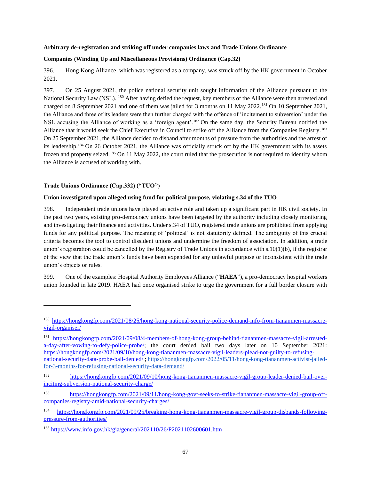#### **Arbitrary de-registration and striking off under companies laws and Trade Unions Ordinance**

#### **Companies (Winding Up and Miscellaneous Provisions) Ordinance (Cap.32)**

396. Hong Kong Alliance, which was registered as a company, was struck off by the HK government in October 2021.

397. On 25 August 2021, the police national security unit sought information of the Alliance pursuant to the National Security Law (NSL). <sup>180</sup> After having defied the request, key members of the Alliance were then arrested and charged on 8 September 2021 and one of them was jailed for 3 months on 11 May 2022.<sup>181</sup> On 10 September 2021, the Alliance and three of its leaders were then further charged with the offence of 'incitement to subversion' under the NSL accusing the Alliance of working as a 'foreign agent'.<sup>182</sup> On the same day, the Security Bureau notified the Alliance that it would seek the Chief Executive in Council to strike off the Alliance from the Companies Registry.<sup>183</sup> On 25 September 2021, the Alliance decided to disband after months of pressure from the authorities and the arrest of its leadership.<sup>184</sup> On 26 October 2021, the Alliance was officially struck off by the HK government with its assets frozen and property seized.<sup>185</sup> On 11 May 2022, the court ruled that the prosecution is not required to identify whom the Alliance is accused of working with.

#### **Trade Unions Ordinance (Cap.332) ("TUO")**

#### **Union investigated upon alleged using fund for political purpose, violating s.34 of the TUO**

398. Independent trade unions have played an active role and taken up a significant part in HK civil society. In the past two years, existing pro-democracy unions have been targeted by the authority including closely monitoring and investigating their finance and activities. Under s.34 of TUO, registered trade unions are prohibited from applying funds for any political purpose. The meaning of 'political' is not statutorily defined. The ambiguity of this crucial criteria becomes the tool to control dissident unions and undermine the freedom of association. In addition, a trade union's registration could be cancelled by the Registry of Trade Unions in accordance with  $s.10(1)(b)$ , if the registrar of the view that the trade union's funds have been expended for any unlawful purpose or inconsistent with the trade union's objects or rules.

399. One of the examples: Hospital Authority Employees Alliance ("**HAEA**"), a pro-democracy hospital workers union founded in late 2019. HAEA had once organised strike to urge the government for a full border closure with

<sup>180</sup> [https://hongkongfp.com/2021/08/25/hong-kong-national-security-police-demand-info-from-tiananmen-massacre](https://hongkongfp.com/2021/08/25/hong-kong-national-security-police-demand-info-from-tiananmen-massacre-vigil-organiser/)[vigil-organiser/](https://hongkongfp.com/2021/08/25/hong-kong-national-security-police-demand-info-from-tiananmen-massacre-vigil-organiser/)

<sup>181</sup> [https://hongkongfp.com/2021/09/08/4-members-of-hong-kong-group-behind-tiananmen-massacre-vigil-arrested](https://hongkongfp.com/2021/09/08/4-members-of-hong-kong-group-behind-tiananmen-massacre-vigil-arrested-a-day-after-vowing-to-defy-police-probe/)[a-day-after-vowing-to-defy-police-probe/;](https://hongkongfp.com/2021/09/08/4-members-of-hong-kong-group-behind-tiananmen-massacre-vigil-arrested-a-day-after-vowing-to-defy-police-probe/) the court denied bail two days later on 10 September 2021: [https://hongkongfp.com/2021/09/10/hong-kong-tiananmen-massacre-vigil-leaders-plead-not-guilty-to-refusing](https://hongkongfp.com/2021/09/10/hong-kong-tiananmen-massacre-vigil-leaders-plead-not-guilty-to-refusing-national-security-data-probe-bail-denied/)[national-security-data-probe-bail-denied/](https://hongkongfp.com/2021/09/10/hong-kong-tiananmen-massacre-vigil-leaders-plead-not-guilty-to-refusing-national-security-data-probe-bail-denied/) [; https://hongkongfp.com/2022/05/11/hong-kong-tiananmen-activist-jailed](https://hongkongfp.com/2022/05/11/hong-kong-tiananmen-activist-jailed-for-3-months-for-refusing-national-security-data-demand/)[for-3-months-for-refusing-national-security-data-demand/](https://hongkongfp.com/2022/05/11/hong-kong-tiananmen-activist-jailed-for-3-months-for-refusing-national-security-data-demand/)

<sup>182</sup> [https://hongkongfp.com/2021/09/10/hong-kong-tiananmen-massacre-vigil-group-leader-denied-bail-over](https://hongkongfp.com/2021/09/10/hong-kong-tiananmen-massacre-vigil-group-leader-denied-bail-over-inciting-subversion-national-security-charge/)[inciting-subversion-national-security-charge/](https://hongkongfp.com/2021/09/10/hong-kong-tiananmen-massacre-vigil-group-leader-denied-bail-over-inciting-subversion-national-security-charge/)

<sup>183</sup> [https://hongkongfp.com/2021/09/11/hong-kong-govt-seeks-to-strike-tiananmen-massacre-vigil-group-off](https://hongkongfp.com/2021/09/11/hong-kong-govt-seeks-to-strike-tiananmen-massacre-vigil-group-off-companies-registry-amid-national-security-charges/)[companies-registry-amid-national-security-charges/](https://hongkongfp.com/2021/09/11/hong-kong-govt-seeks-to-strike-tiananmen-massacre-vigil-group-off-companies-registry-amid-national-security-charges/)

<sup>184</sup> [https://hongkongfp.com/2021/09/25/breaking-hong-kong-tiananmen-massacre-vigil-group-disbands-following](https://hongkongfp.com/2021/09/25/breaking-hong-kong-tiananmen-massacre-vigil-group-disbands-following-pressure-from-authorities/)[pressure-from-authorities/](https://hongkongfp.com/2021/09/25/breaking-hong-kong-tiananmen-massacre-vigil-group-disbands-following-pressure-from-authorities/)

<sup>185</sup> <https://www.info.gov.hk/gia/general/202110/26/P2021102600601.htm>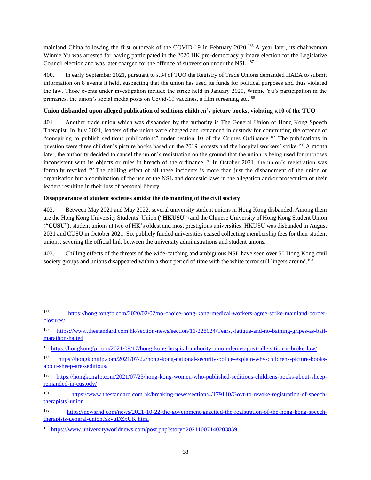mainland China following the first outbreak of the COVID-19 in February 2020.<sup>186</sup> A year later, its chairwoman Winnie Yu was arrested for having participated in the 2020 HK pro-democracy primary election for the Legislative Council election and was later charged for the offence of subversion under the NSL.<sup>187</sup>

400. In early September 2021, pursuant to s.34 of TUO the Registry of Trade Unions demanded HAEA to submit information on 8 events it held, suspecting that the union has used its funds for political purposes and thus violated the law. Those events under investigation include the strike held in January 2020, Winnie Yu's participation in the primaries, the union's social media posts on Covid-19 vaccines, a film screening etc.<sup>188</sup>

## **Union disbanded upon alleged publication of seditious children's picture books, violating s.10 of the TUO**

401. Another trade union which was disbanded by the authority is The General Union of Hong Kong Speech Therapist. In July 2021, leaders of the union were charged and remanded in custody for committing the offence of "conspiring to publish seditious publications" under section 10 of the Crimes Ordinance. <sup>189</sup> The publications in question were three children's picture books based on the 2019 protests and the hospital workers' strike.<sup>190</sup> A month later, the authority decided to cancel the union's registration on the ground that the union is being used for purposes inconsistent with its objects or rules in breach of the ordinance.<sup>191</sup> In October 2021, the union's registration was formally revoked.<sup>192</sup> The chilling effect of all these incidents is more than just the disbandment of the union or organisation but a combination of the use of the NSL and domestic laws in the allegation and/or prosecution of their leaders resulting in their loss of personal liberty.

## **Disappearance of student societies amidst the dismantling of the civil society**

402. Between May 2021 and May 2022, several university student unions in Hong Kong disbanded. Among them are the Hong Kong University Students' Union ("**HKUSU**") and the Chinese University of Hong Kong Student Union ("**CUSU**"), student unions at two of HK's oldest and most prestigious universities. HKUSU was disbanded in August 2021 and CUSU in October 2021. Six publicly funded universities ceased collecting membership fees for their student unions, severing the official link between the university administrations and student unions.

403. Chilling effects of the threats of the wide-catching and ambiguous NSL have seen over 50 Hong Kong civil society groups and unions disappeared within a short period of time with the white terror still lingers around.<sup>193</sup>

<sup>186</sup> [https://hongkongfp.com/2020/02/02/no-choice-hong-kong-medical-workers-agree-strike-mainland-border](https://hongkongfp.com/2020/02/02/no-choice-hong-kong-medical-workers-agree-strike-mainland-border-closures/)[closures/](https://hongkongfp.com/2020/02/02/no-choice-hong-kong-medical-workers-agree-strike-mainland-border-closures/)

<sup>187</sup> [https://www.thestandard.com.hk/section-news/section/11/228024/Tears,-fatigue-and-no-bathing-gripes-as-bail](https://www.thestandard.com.hk/section-news/section/11/228024/Tears,-fatigue-and-no-bathing-gripes-as-bail-marathon-halted)[marathon-halted](https://www.thestandard.com.hk/section-news/section/11/228024/Tears,-fatigue-and-no-bathing-gripes-as-bail-marathon-halted)

<sup>188</sup> <https://hongkongfp.com/2021/09/17/hong-kong-hospital-authority-union-denies-govt-allegation-it-broke-law/>

<sup>189</sup> [https://hongkongfp.com/2021/07/22/hong-kong-national-security-police-explain-why-childrens-picture-books](https://hongkongfp.com/2021/07/22/hong-kong-national-security-police-explain-why-childrens-picture-books-about-sheep-are-seditious/)[about-sheep-are-seditious/](https://hongkongfp.com/2021/07/22/hong-kong-national-security-police-explain-why-childrens-picture-books-about-sheep-are-seditious/)

<sup>190</sup> [https://hongkongfp.com/2021/07/23/hong-kong-women-who-published-seditious-childrens-books-about-sheep](https://hongkongfp.com/2021/07/23/hong-kong-women-who-published-seditious-childrens-books-about-sheep-remanded-in-custody/)[remanded-in-custody/](https://hongkongfp.com/2021/07/23/hong-kong-women-who-published-seditious-childrens-books-about-sheep-remanded-in-custody/)

<sup>191</sup> [https://www.thestandard.com.hk/breaking-news/section/4/179110/Govt-to-revoke-registration-of-speech](https://www.thestandard.com.hk/breaking-news/section/4/179110/Govt-to-revoke-registration-of-speech-therapists)[therapists'-union](https://www.thestandard.com.hk/breaking-news/section/4/179110/Govt-to-revoke-registration-of-speech-therapists)

<sup>192</sup> [https://newsrnd.com/news/2021-10-22-the-government-gazetted-the-registration-of-the-hong-kong-speech](https://newsrnd.com/news/2021-10-22-the-government-gazetted-the-registration-of-the-hong-kong-speech-therapists-general-union.SkyuDZxUK.html)[therapists-general-union.SkyuDZxUK.html](https://newsrnd.com/news/2021-10-22-the-government-gazetted-the-registration-of-the-hong-kong-speech-therapists-general-union.SkyuDZxUK.html)

<sup>193</sup> <https://www.universityworldnews.com/post.php?story=20211007140203859>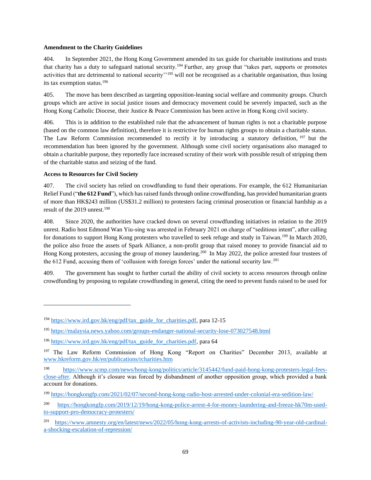#### **Amendment to the Charity Guidelines**

404. In September 2021, the Hong Kong Government amended its tax guide for charitable institutions and trusts that charity has a duty to safeguard national security.<sup>194</sup> Further, any group that "takes part, supports or promotes activities that are detrimental to national security'<sup>195</sup> will not be recognised as a charitable organisation, thus losing its tax exemption status.<sup>196</sup>

405. The move has been described as targeting opposition-leaning social welfare and community groups. Church groups which are active in social justice issues and democracy movement could be severely impacted, such as the Hong Kong Catholic Diocese, their Justice & Peace Commission has been active in Hong Kong civil society.

406. This is in addition to the established rule that the advancement of human rights is not a charitable purpose (based on the common law definition), therefore it is restrictive for human rights groups to obtain a charitable status. The Law Reform Commission recommended to rectify it by introducing a statutory definition,  $197$  but the recommendation has been ignored by the government. Although some civil society organisations also managed to obtain a charitable purpose, they reportedly face increased scrutiny of their work with possible result of stripping them of the charitable status and seizing of the fund.

### **Access to Resources for Civil Society**

407. The civil society has relied on crowdfunding to fund their operations. For example, the 612 Humanitarian Relief Fund ("**the 612 Fund**"), which has raised funds through online crowdfunding, has provided humanitarian grants of more than HK\$243 million (US\$31.2 million) to protesters facing criminal prosecution or financial hardship as a result of the 2019 unrest.<sup>198</sup>

408. Since 2020, the authorities have cracked down on several crowdfunding initiatives in relation to the 2019 unrest. Radio host Edmond Wan Yiu-sing was arrested in February 2021 on charge of "seditious intent", after calling for donations to support Hong Kong protesters who travelled to seek refuge and study in Taiwan.<sup>199</sup> In March 2020, the police also froze the assets of Spark Alliance, a non-profit group that raised money to provide financial aid to Hong Kong protesters, accusing the group of money laundering.<sup>200</sup> In May 2022, the police arrested four trustees of the 612 Fund, accusing them of 'collusion with foreign forces' under the national security law.<sup>201</sup>

409. The government has sought to further curtail the ability of civil society to access resources through online crowdfunding by proposing to regulate crowdfunding in general, citing the need to prevent funds raised to be used for

<sup>194</sup> [https://www.ird.gov.hk/eng/pdf/tax\\_guide\\_for\\_charities.pdf,](https://www.ird.gov.hk/eng/pdf/tax_guide_for_charities.pdf) para 12-15

<sup>195</sup> <https://malaysia.news.yahoo.com/groups-endanger-national-security-lose-073027548.html>

<sup>196</sup> [https://www.ird.gov.hk/eng/pdf/tax\\_guide\\_for\\_charities.pdf,](https://www.ird.gov.hk/eng/pdf/tax_guide_for_charities.pdf) para 64

<sup>&</sup>lt;sup>197</sup> The Law Reform Commission of Hong Kong "Report on Charities" December 2013, available at [www.hkreform.gov.hk/en/publications/rcharities.htm](http://www.hkreform.gov.hk/en/publications/rcharities.htm)

<sup>198</sup> [https://www.scmp.com/news/hong-kong/politics/article/3145442/fund-paid-hong-kong-protesters-legal-fees](https://www.scmp.com/news/hong-kong/politics/article/3145442/fund-paid-hong-kong-protesters-legal-fees-close-after)[close-after.](https://www.scmp.com/news/hong-kong/politics/article/3145442/fund-paid-hong-kong-protesters-legal-fees-close-after) Although it's closure was forced by disbandment of another opposition group, which provided a bank account for donations.

<sup>199</sup> <https://hongkongfp.com/2021/02/07/second-hong-kong-radio-host-arrested-under-colonial-era-sedition-law/>

<sup>200</sup> [https://hongkongfp.com/2019/12/19/hong-kong-police-arrest-4-for-money-laundering-and-freeze-hk70m-used](https://hongkongfp.com/2019/12/19/hong-kong-police-arrest-4-for-money-laundering-and-freeze-hk70m-used-to-support-pro-democracy-protesters/)[to-support-pro-democracy-protesters/](https://hongkongfp.com/2019/12/19/hong-kong-police-arrest-4-for-money-laundering-and-freeze-hk70m-used-to-support-pro-democracy-protesters/)

<sup>201</sup> [https://www.amnesty.org/en/latest/news/2022/05/hong-kong-arrests-of-activists-including-90-year-old-cardinal](https://www.amnesty.org/en/latest/news/2022/05/hong-kong-arrests-of-activists-including-90-year-old-cardinal-a-shocking-escalation-of-repression/)[a-shocking-escalation-of-repression/](https://www.amnesty.org/en/latest/news/2022/05/hong-kong-arrests-of-activists-including-90-year-old-cardinal-a-shocking-escalation-of-repression/)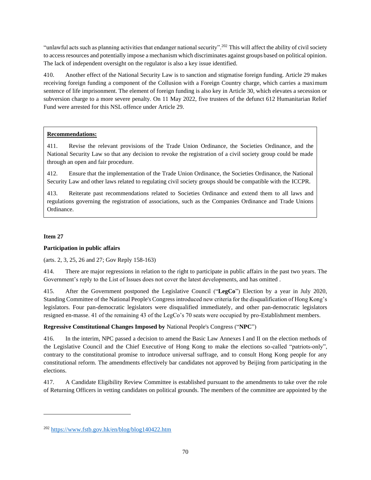"unlawful acts such as planning activities that endanger national security".<sup>202</sup> This will affect the ability of civil society to access resources and potentially impose a mechanism which discriminates against groups based on political opinion. The lack of independent oversight on the regulator is also a key issue identified.

410. Another effect of the National Security Law is to sanction and stigmatise foreign funding. Article 29 makes receiving foreign funding a component of the Collusion with a Foreign Country charge, which carries a maximum sentence of life imprisonment. The element of foreign funding is also key in Article 30, which elevates a secession or subversion charge to a more severe penalty. On 11 May 2022, five trustees of the defunct 612 Humanitarian Relief Fund were arrested for this NSL offence under Article 29.

## **Recommendations:**

411. Revise the relevant provisions of the Trade Union Ordinance, the Societies Ordinance, and the National Security Law so that any decision to revoke the registration of a civil society group could be made through an open and fair procedure.

412. Ensure that the implementation of the Trade Union Ordinance, the Societies Ordinance, the National Security Law and other laws related to regulating civil society groups should be compatible with the ICCPR.

413. Reiterate past recommendations related to Societies Ordinance and extend them to all laws and regulations governing the registration of associations, such as the Companies Ordinance and Trade Unions Ordinance.

## **Item 27**

## **Participation in public affairs**

(arts. 2, 3, 25, 26 and 27; Gov Reply 158-163)

414. There are major regressions in relation to the right to participate in public affairs in the past two years. The Government's reply to the List of Issues does not cover the latest developments, and has omitted .

415. After the Government postponed the Legislative Council ("**LegCo**") Election by a year in July 2020, Standing Committee of the National People's Congress introduced new criteria for the disqualification of Hong Kong's legislators. Four pan-democratic legislators were disqualified immediately, and other pan-democratic legislators resigned en-masse. 41 of the remaining 43 of the LegCo's 70 seats were occupied by pro-Establishment members.

## **Regressive Constitutional Changes Imposed by** National People's Congress ("**NPC**")

416. In the interim, NPC passed a decision to amend the Basic Law Annexes I and II on the election methods of the Legislative Council and the Chief Executive of Hong Kong to make the elections so-called "patriots-only", contrary to the constitutional promise to introduce universal suffrage, and to consult Hong Kong people for any constitutional reform. The amendments effectively bar candidates not approved by Beijing from participating in the elections.

417. A Candidate Eligibility Review Committee is established pursuant to the amendments to take over the role of Returning Officers in vetting candidates on political grounds. The members of the committee are appointed by the

<sup>202</sup> <https://www.fstb.gov.hk/en/blog/blog140422.htm>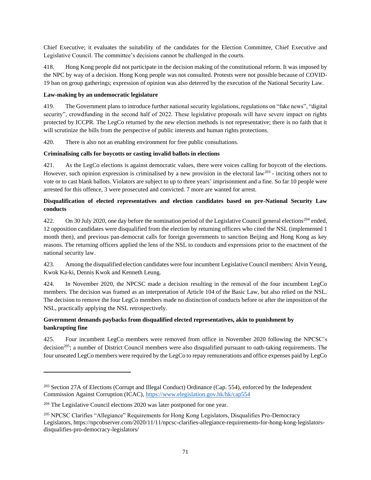Chief Executive; it evaluates the suitability of the candidates for the Election Committee, Chief Executive and Legislative Council. The committee's decisions cannot be challenged in the courts.

418. Hong Kong people did not participate in the decision making of the constitutional reform. It was imposed by the NPC by way of a decision. Hong Kong people was not consulted. Protests were not possible because of COVID-19 ban on group gatherings; expression of opinion was also deterred by the execution of the National Security Law.

## **Law-making by an undemocratic legislature**

419. The Government plans to introduce further national security legislations, regulations on "fake news", "digital security", crowdfunding in the second half of 2022. These legislative proposals will have severe impact on rights protected by ICCPR. The LegCo returned by the new election methods is not representative; there is no faith that it will scrutinize the bills from the perspective of public interests and human rights protections.

420. There is also not an enabling environment for free public consultations.

## **Criminalising calls for boycotts or casting invalid ballots in elections**

421. As the LegCo elections is against democratic values, there were voices calling for boycott of the elections. However, such opinion expression is criminalised by a new provision in the electoral law<sup>203</sup> - inciting others not to vote or to cast blank ballots. Violators are subject to up to three years' imprisonment and a fine. So far 10 people were arrested for this offence, 3 were prosecuted and convicted. 7 more are wanted for arrest.

## **Disqualification of elected representatives and election candidates based on pre-National Security Law conducts**

422. On 30 July 2020, one day before the nomination period of the Legislative Council general elections<sup>204</sup> ended, 12 opposition candidates were disqualified from the election by returning officers who cited the NSL (implemented 1 month then), and previous pan-democrat calls for foreign governments to sanction Beijing and Hong Kong as key reasons. The returning officers applied the lens of the NSL to conducts and expressions prior to the enactment of the national security law.

423. Among the disqualified election candidates were four incumbent Legislative Council members: Alvin Yeung, Kwok Ka-ki, Dennis Kwok and Kenneth Leung.

424. In November 2020, the NPCSC made a decision resulting in the removal of the four incumbent LegCo members. The decision was framed as an interpretation of Article 104 of the Basic Law, but also relied on the NSL. The decision to remove the four LegCo members made no distinction of conducts before or after the imposition of the NSL, practically applying the NSL retrospectively.

# **Government demands paybacks from disqualified elected representatives, akin to punishment by bankrupting fine**

425. Four incumbent LegCo members were removed from office in November 2020 following the NPCSC's decision<sup>205</sup>; a number of District Council members were also disqualified pursuant to oath-taking requirements. The four unseated LegCo members were required by the LegCo to repay remunerations and office expenses paid by LegCo

<sup>&</sup>lt;sup>203</sup> Section 27A of Elections (Corrupt and Illegal Conduct) Ordinance (Cap. 554), enforced by the Independent Commission Against Corruption (ICAC)[, https://www.elegislation.gov.hk/hk/cap554](https://www.elegislation.gov.hk/hk/cap554)

 $204$  The Legislative Council elections 2020 was later postponed for one year.

<sup>&</sup>lt;sup>205</sup> NPCSC Clarifies "Allegiance" Requirements for Hong Kong Legislators, Disqualifies Pro-Democracy Legislators, https://npcobserver.com/2020/11/11/npcsc-clarifies-allegiance-requirements-for-hong-kong-legislatorsdisqualifies-pro-democracy-legislators/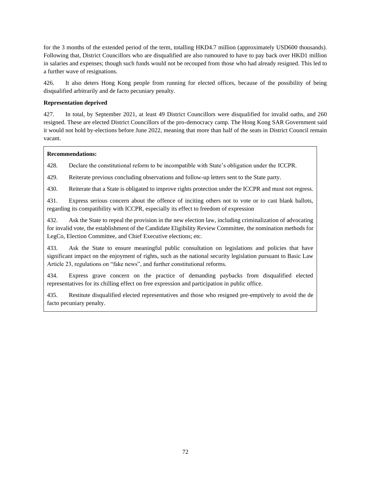for the 3 months of the extended period of the term, totalling HKD4.7 million (approximately USD600 thousands). Following that, District Councillors who are disqualified are also rumoured to have to pay back over HKD1 million in salaries and expenses; though such funds would not be recouped from those who had already resigned. This led to a further wave of resignations.

426. It also deters Hong Kong people from running for elected offices, because of the possibility of being disqualified arbitrarily and de facto pecuniary penalty.

## **Representation deprived**

427. In total, by September 2021, at least 49 District Councillors were disqualified for invalid oaths, and 260 resigned. These are elected District Councillors of the pro-democracy camp. The Hong Kong SAR Government said it would not hold by-elections before June 2022, meaning that more than half of the seats in District Council remain vacant.

## **Recommendations:**

428. Declare the constitutional reform to be incompatible with State's obligation under the ICCPR.

429. Reiterate previous concluding observations and follow-up letters sent to the State party.

430. Reiterate that a State is obligated to improve rights protection under the ICCPR and must not regress.

431. Express serious concern about the offence of inciting others not to vote or to cast blank ballots, regarding its compatibility with ICCPR, especially its effect to freedom of expression

432. Ask the State to repeal the provision in the new election law, including criminalization of advocating for invalid vote, the establishment of the Candidate Eligibility Review Committee, the nomination methods for LegCo, Election Committee, and Chief Executive elections; etc.

433. Ask the State to ensure meaningful public consultation on legislations and policies that have significant impact on the enjoyment of rights, such as the national security legislation pursuant to Basic Law Article 23, regulations on "fake news", and further constitutional reforms.

434. Express grave concern on the practice of demanding paybacks from disqualified elected representatives for its chilling effect on free expression and participation in public office.

435. Restitute disqualified elected representatives and those who resigned pre-emptively to avoid the de facto pecuniary penalty.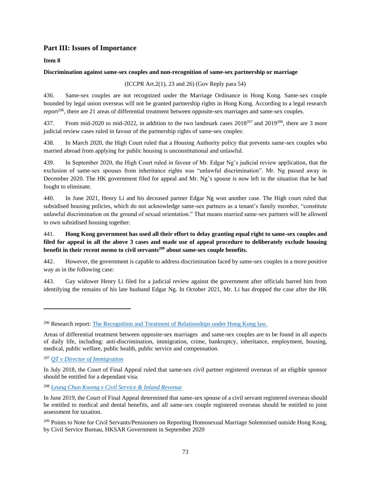# **Part III: Issues of Importance**

**Item 8**

## **Discrimination against same-sex couples and non-recognition of same-sex partnership or marriage**

(ICCPR Art.2(1), 23 and 26) (Gov Reply para 54)

436. Same-sex couples are not recognized under the Marriage Ordinance in Hong Kong. Same-sex couple bounded by legal union overseas will not be granted partnership rights in Hong Kong. According to a legal research report<sup>206</sup>, there are 21 areas of differential treatment between opposite-sex marriages and same-sex couples.

437. From mid-2020 to mid-2022, in addition to the two landmark cases  $2018^{207}$  and  $2019^{208}$ , there are 3 more judicial review cases ruled in favour of the partnership rights of same-sex couples:

438. In March 2020, the High Court ruled that a Housing Authority policy that prevents same-sex couples who married abroad from applying for public housing is unconstitutional and unlawful.

439. In September 2020, the High Court ruled in favour of Mr. Edgar Ng's judicial review application, that the exclusion of same-sex spouses from inheritance rights was "unlawful discrimination". Mr. Ng passed away in December 2020. The HK government filed for appeal and Mr. Ng's spouse is now left in the situation that he had fought to eliminate.

440. In June 2021, Henry Li and his deceased partner Edgar Ng won another case. The High court ruled that subsidised housing policies, which do not acknowledge same-sex partners as a tenant's family member, "constitute unlawful discrimination on the ground of sexual orientation." That means married same-sex partners will be allowed to own subsidised housing together.

## 441. **Hong Kong government has used all their effort to delay granting equal right to same-sex couples and filed for appeal in all the above 3 cases and made use of appeal procedure to deliberately exclude housing benefit in their recent memo to civil servants<sup>209</sup> about same-sex couple benefits.**

442. However, the government is capable to address discrimination faced by same-sex couples in a more positive way as in the following case:

443. Gay widower Henry Li filed for a judicial review against the government after officials barred him from identifying the remains of his late husband Edgar Ng. In October 2021, Mr. Li has dropped the case after the HK

<sup>206</sup> Research report[: The Recognition and Treatment of Relationships under Hong Kong law.](https://www.eoc.org.hk/en/policy-advocacy-and-research/research-reports/2019-2)

Areas of differential treatment between opposite-sex marriages and same-sex couples are to be found in all aspects of daily life, including: anti-discrimination, immigration, crime, bankruptcy, inheritance, employment, housing, medical, public welfare, public health, public service and compensation.

<sup>207</sup> *[QT v Director of Immigration](https://legalref.judiciary.hk/lrs/common/search/search_result_detail_frame.jsp?DIS=116049&QS=%2B&TP=JU&ILAN=en)*

In July 2018, the Court of Final Appeal ruled that same-sex civil partner registered overseas of an eligible sponsor should be entitled for a dependant visa.

<sup>208</sup> *[Leung Chun Kwong v Civil Service & Inland Revenue](https://legalref.judiciary.hk/lrs/common/search/search_result_detail_frame.jsp?DIS=122337&QS=%2B&TP=JU&ILAN=en)*

In June 2019, the Court of Final Appeal determined that same-sex spouse of a civil servant registered overseas should be entitled to medical and dental benefits, and all same-sex couple registered overseas should be entitled to joint assessment for taxation.

<sup>&</sup>lt;sup>209</sup> Points to Note for Civil Servants/Pensioners on Reporting Homosexual Marriage Solemnised outside Hong Kong, by Civil Service Bureau, HKSAR Government in September 2020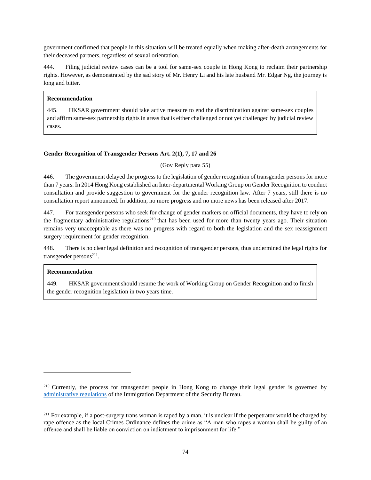government confirmed that people in this situation will be treated equally when making after-death arrangements for their deceased partners, regardless of sexual orientation.

444. Filing judicial review cases can be a tool for same-sex couple in Hong Kong to reclaim their partnership rights. However, as demonstrated by the sad story of Mr. Henry Li and his late husband Mr. Edgar Ng, the journey is long and bitter.

## **Recommendation**

445. HKSAR government should take active measure to end the discrimination against same-sex couples and affirm same-sex partnership rights in areas that is either challenged or not yet challenged by judicial review cases.

## **Gender Recognition of Transgender Persons Art. 2(1), 7, 17 and 26**

(Gov Reply para 55)

446. The government delayed the progress to the legislation of gender recognition of transgender persons for more than 7 years. In 2014 Hong Kong established an Inter-departmental Working Group on Gender Recognition to conduct consultation and provide suggestion to government for the gender recognition law. After 7 years, still there is no consultation report announced. In addition, no more progress and no more news has been released after 2017.

447. For transgender persons who seek for change of gender markers on official documents, they have to rely on the fragmentary administrative regulations<sup>210</sup> that has been used for more than twenty years ago. Their situation remains very unacceptable as there was no progress with regard to both the legislation and the sex reassignment surgery requirement for gender recognition.

448. There is no clear legal definition and recognition of transgender persons, thus undermined the legal rights for transgender persons<sup>211</sup>.

## **Recommendation**

449. HKSAR government should resume the work of Working Group on Gender Recognition and to finish the gender recognition legislation in two years time.

<sup>210</sup> Currently, the process for transgender people in Hong Kong to change their legal gender is governed by [administrative regulations](https://www.immd.gov.hk/eng/faq/faq_hkic.html) of the Immigration Department of the Security Bureau.

<sup>&</sup>lt;sup>211</sup> For example, if a post-surgery trans woman is raped by a man, it is unclear if the perpetrator would be charged by rape offence as the local Crimes Ordinance defines the crime as "A man who rapes a woman shall be guilty of an offence and shall be liable on conviction on indictment to imprisonment for life."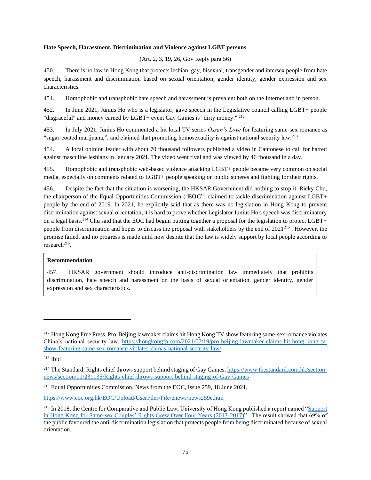#### **Hate Speech, Harassment, Discrimination and Violence against LGBT persons**

(Art. 2, 3, 19, 26, Gov Reply para 56)

450. There is no law in Hong Kong that protects lesbian, gay, bisexual, transgender and intersex people from hate speech, harassment and discrimination based on sexual orientation, gender identity, gender expression and sex characteristics.

451. Homophobic and transphobic hate speech and harassment is prevalent both on the Internet and in person.

452. In June 2021, Junius Ho who is a legislator, gave speech in the Legislative council calling LGBT+ people "disgraceful" and money earned by LGBT+ event Gay Games is "dirty money."<sup>212</sup>

453. In July 2021, Junius Ho commented a hit local TV series *Ossan's Love* for featuring same-sex romance as "sugar-coated marijuana,", and claimed that promoting homosexuality is against national security law.<sup>213</sup>

454. A local opinion leader with about 70 thousand followers published a video in Cantonese to call for hatred against masculine lesbians in January 2021. The video went rival and was viewed by 46 thousand in a day.

455. Homophobic and transphobic web-based violence attacking LGBT+ people became very common on social media, especially on comments related to LGBT+ people speaking on public spheres and fighting for their rights.

456. Despite the fact that the situation is worsening, the HKSAR Government did nothing to stop it. Ricky Chu, the chairperson of the Equal Opportunities Commission ("**EOC**") claimed to tackle discrimination against LGBT+ people by the end of 2019. In 2021, he explicitly said that as there was no legislation in Hong Kong to prevent discrimination against sexual orientation, it is hard to prove whether Legislator Junius Ho's speech was discriminatory on a legal basis.<sup>214</sup> Chu said that the EOC had begun putting together a proposal for the legislation to protect LGBT+ people from discrimination and hopes to discuss the proposal with stakeholders by the end of 2021<sup>215</sup> . However, the promise failed, and no progress is made until now despite that the law is widely support by local people according to  $research<sup>216</sup>$ .

## **Recommendation**

457. HKSAR government should introduce anti-discrimination law immediately that prohibits discrimination, hate speech and harassment on the basis of sexual orientation, gender identity, gender expression and sex characteristics.

https://www.eoc.org.hk/EOC/Upload/UserFiles/File/enews/news259e.htm

<sup>&</sup>lt;sup>212</sup> Hong Kong Free Press, Pro-Beijing lawmaker claims hit Hong Kong TV show featuring same-sex romance violates China's national security law, https://hongkongfp.com/2021/07/19/pro-beijing-lawmaker-claims-hit-hong-kong-tvshow-featuring-same-sex-romance-violates-chinas-national-security-law/

<sup>213</sup> Ibid

<sup>&</sup>lt;sup>214</sup> The Standard, Rights chief throws support behind staging of Gay Games, https://www.thestandard.com.hk/sectionnews/section/11/231135/Rights-chief-throws-support-behind-staging-of-Gay-Games

<sup>215</sup> Equal Opportunities Commission, News from the EOC, Issue 259, 18 June 2021,

<sup>&</sup>lt;sup>216</sup> In 2018, the Centre for Comparative and Public Law, University of Hong Kong published a report named "Support" in Hong Kong for Same-sex Couples' Rights Grew Over Four Years (2013-2017)" . The result showed that 69% of the public favoured the anti-discrimination legislation that protects people from being discriminated because of sexual orientation.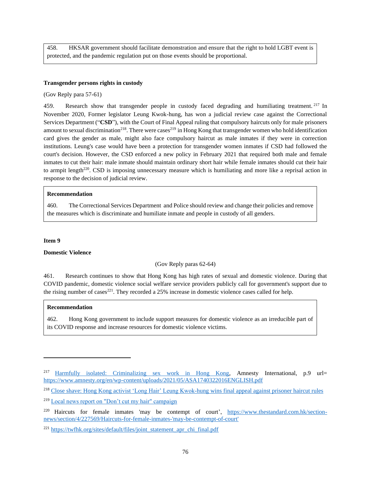458. HKSAR government should facilitate demonstration and ensure that the right to hold LGBT event is protected, and the pandemic regulation put on those events should be proportional.

#### **Transgender persons rights in custody**

(Gov Reply para 57-61)

459. Research show that transgender people in custody faced degrading and humiliating treatment. <sup>217</sup> In November 2020, Former legislator Leung Kwok-hung, has won a judicial review case against the Correctional Services Department ("**CSD**"), with the Court of Final Appeal ruling that compulsory haircuts only for male prisoners amount to sexual discrimination<sup>218</sup>. There were cases<sup>219</sup> in Hong Kong that transgender women who hold identification card gives the gender as male, might also face compulsory haircut as male inmates if they were in correction institutions. Leung's case would have been a protection for transgender women inmates if CSD had followed the court's decision. However, the CSD enforced a new policy in February 2021 that required both male and female inmates to cut their hair: male inmate should maintain ordinary short hair while female inmates should cut their hair to armpit length<sup>220</sup>. CSD is imposing unnecessary measure which is humiliating and more like a reprisal action in response to the decision of judicial review.

#### **Recommendation**

460. The Correctional Services Department and Police should review and change their policies and remove the measures which is discriminate and humiliate inmate and people in custody of all genders.

#### **Item 9**

#### **Domestic Violence**

#### (Gov Reply paras 62-64)

461. Research continues to show that Hong Kong has high rates of sexual and domestic violence. During that COVID pandemic, domestic violence social welfare service providers publicly call for government's support due to the rising number of cases<sup>221</sup>. They recorded a 25% increase in domestic violence cases called for help.

#### **Recommendation**

462. Hong Kong government to include support measures for domestic violence as an irreducible part of its COVID response and increase resources for domestic violence victims.

<sup>&</sup>lt;sup>217</sup> Harmfully isolated: Criminalizing sex work in Hong Kong, Amnesty International, p.9 url= https://www.amnesty.org/en/wp-content/uploads/2021/05/ASA1740322016ENGLISH.pdf

<sup>218</sup> Close shave: Hong Kong activist 'Long Hair' Leung Kwok-hung wins final appeal against prisoner haircut rules

<sup>219</sup> Local news report on "Don't cut my hair" campaign

<sup>&</sup>lt;sup>220</sup> Haircuts for female inmates 'may be contempt of court', https://www.thestandard.com.hk/sectionnews/section/4/227569/Haircuts-for-female-inmates-'may-be-contempt-of-court'

<sup>221</sup> https://twfhk.org/sites/default/files/joint\_statement\_apr\_chi\_final.pdf